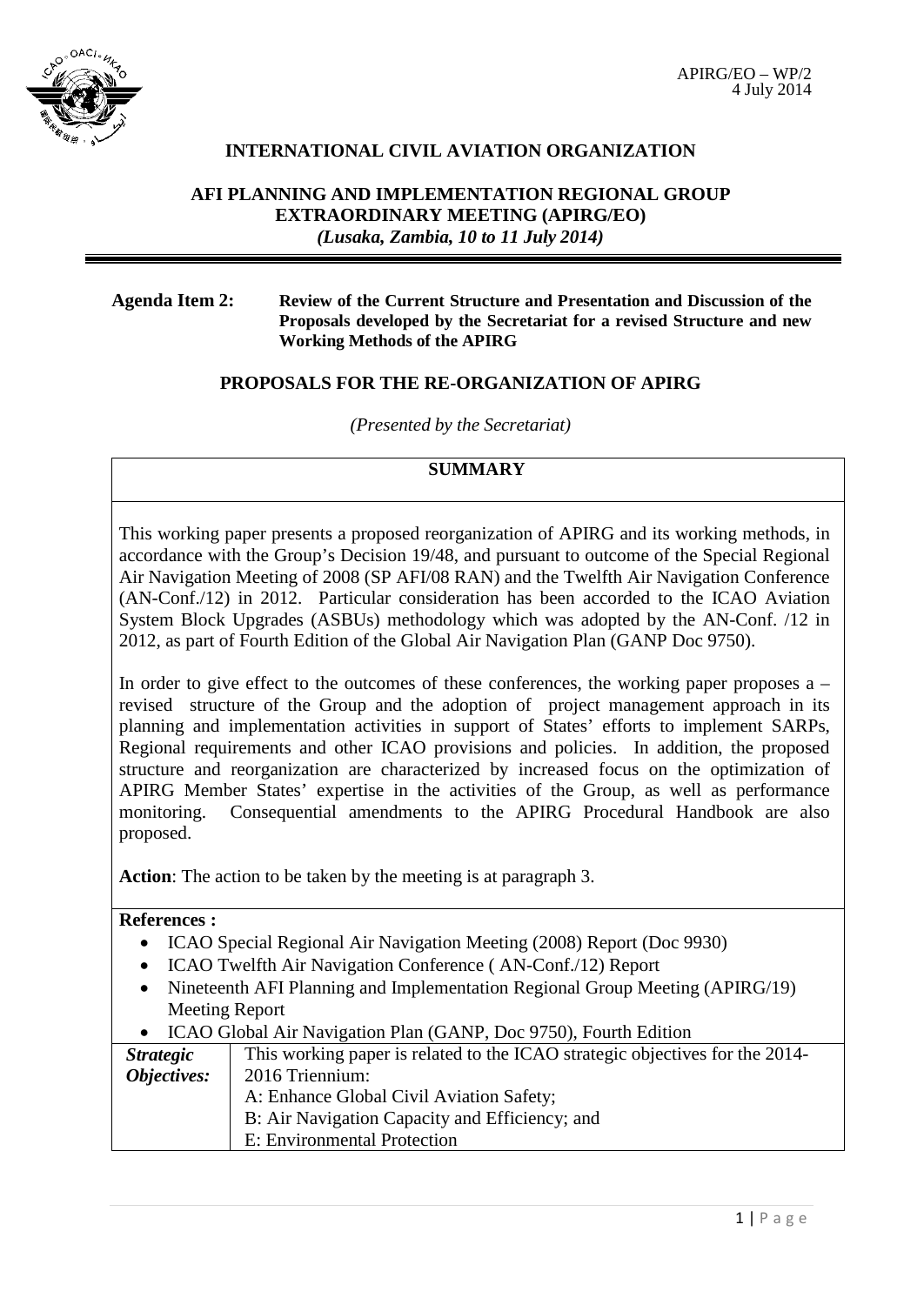

### **INTERNATIONAL CIVIL AVIATION ORGANIZATION**

### **AFI PLANNING AND IMPLEMENTATION REGIONAL GROUP EXTRAORDINARY MEETING (APIRG/EO)** *(Lusaka, Zambia, 10 to 11 July 2014)*

### **Agenda Item 2: Review of the Current Structure and Presentation and Discussion of the Proposals developed by the Secretariat for a revised Structure and new Working Methods of the APIRG**

### **PROPOSALS FOR THE RE-ORGANIZATION OF APIRG**

*(Presented by the Secretariat)*

## **SUMMARY**

This working paper presents a proposed reorganization of APIRG and its working methods, in accordance with the Group's Decision 19/48, and pursuant to outcome of the Special Regional Air Navigation Meeting of 2008 (SP AFI/08 RAN) and the Twelfth Air Navigation Conference (AN-Conf./12) in 2012. Particular consideration has been accorded to the ICAO Aviation System Block Upgrades (ASBUs) methodology which was adopted by the AN-Conf. /12 in 2012, as part of Fourth Edition of the Global Air Navigation Plan (GANP Doc 9750).

In order to give effect to the outcomes of these conferences, the working paper proposes  $a$ revised structure of the Group and the adoption of project management approach in its planning and implementation activities in support of States' efforts to implement SARPs, Regional requirements and other ICAO provisions and policies. In addition, the proposed structure and reorganization are characterized by increased focus on the optimization of APIRG Member States' expertise in the activities of the Group, as well as performance monitoring. Consequential amendments to the APIRG Procedural Handbook are also proposed.

**Action**: The action to be taken by the meeting is at paragraph 3.

### **References :**

 $\overline{\phantom{a}}$ 

- ICAO Special Regional Air Navigation Meeting (2008) Report (Doc 9930)
- ICAO Twelfth Air Navigation Conference (AN-Conf./12) Report
- Nineteenth AFI Planning and Implementation Regional Group Meeting (APIRG/19) Meeting Report

| <i>Strategic</i> | This working paper is related to the ICAO strategic objectives for the 2014- |
|------------------|------------------------------------------------------------------------------|
| Objectives:      | 2016 Triennium:                                                              |
|                  | A: Enhance Global Civil Aviation Safety;                                     |
|                  | B: Air Navigation Capacity and Efficiency; and                               |
|                  | E: Environmental Protection                                                  |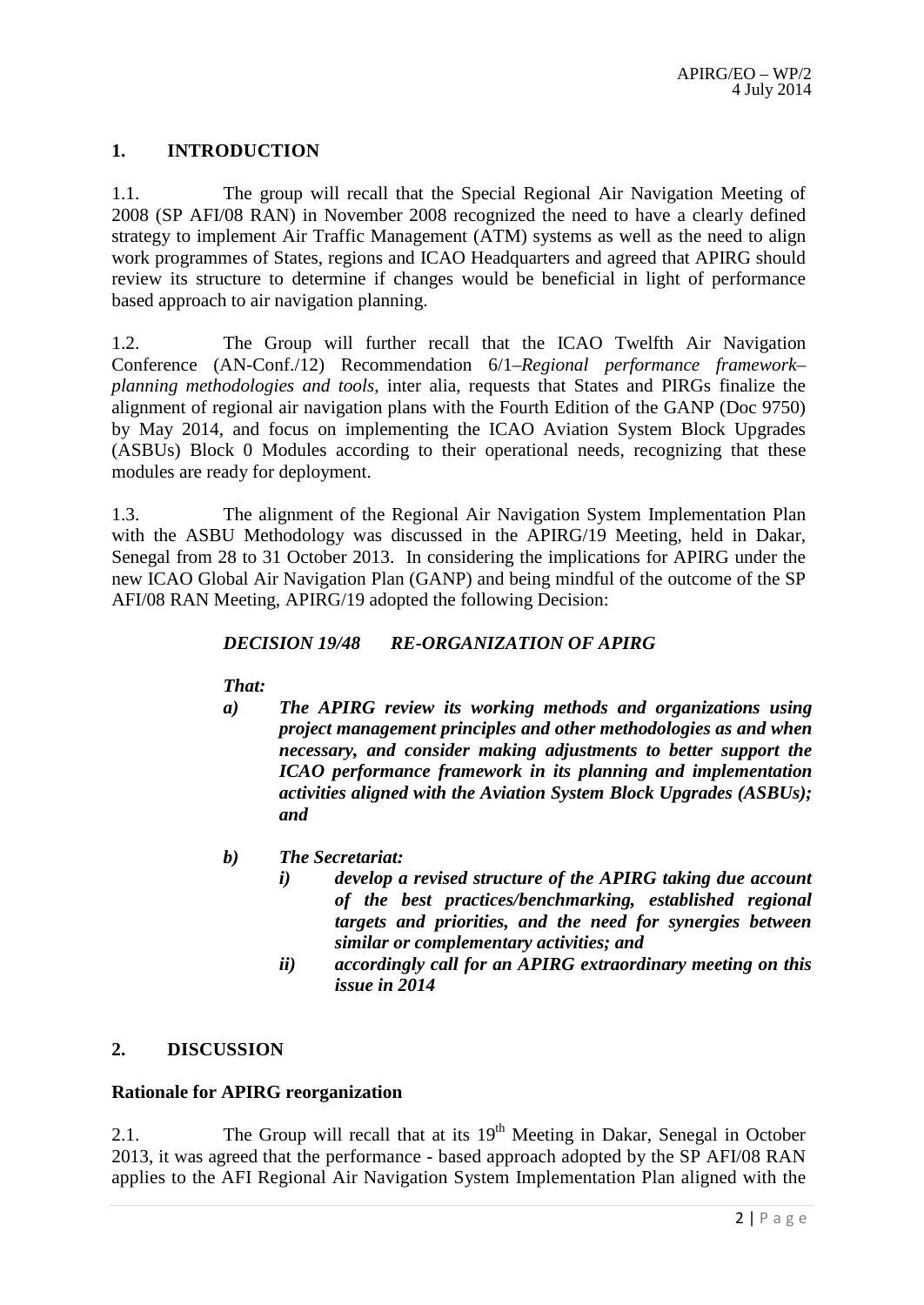### **1. INTRODUCTION**

1.1. The group will recall that the Special Regional Air Navigation Meeting of 2008 (SP AFI/08 RAN) in November 2008 recognized the need to have a clearly defined strategy to implement Air Traffic Management (ATM) systems as well as the need to align work programmes of States, regions and ICAO Headquarters and agreed that APIRG should review its structure to determine if changes would be beneficial in light of performance based approach to air navigation planning.

1.2. The Group will further recall that the ICAO Twelfth Air Navigation Conference (AN-Conf./12) Recommendation 6/1–*Regional performance framework– planning methodologies and tools*, inter alia, requests that States and PIRGs finalize the alignment of regional air navigation plans with the Fourth Edition of the GANP (Doc 9750) by May 2014, and focus on implementing the ICAO Aviation System Block Upgrades (ASBUs) Block 0 Modules according to their operational needs, recognizing that these modules are ready for deployment.

1.3. The alignment of the Regional Air Navigation System Implementation Plan with the ASBU Methodology was discussed in the APIRG/19 Meeting, held in Dakar, Senegal from 28 to 31 October 2013. In considering the implications for APIRG under the new ICAO Global Air Navigation Plan (GANP) and being mindful of the outcome of the SP AFI/08 RAN Meeting, APIRG/19 adopted the following Decision:

### *DECISION 19/48 RE-ORGANIZATION OF APIRG*

*That:*

- *a) The APIRG review its working methods and organizations using project management principles and other methodologies as and when necessary, and consider making adjustments to better support the ICAO performance framework in its planning and implementation activities aligned with the Aviation System Block Upgrades (ASBUs); and*
- *b) The Secretariat:*
	- *i) develop a revised structure of the APIRG taking due account of the best practices/benchmarking, established regional targets and priorities, and the need for synergies between similar or complementary activities; and*
	- *ii) accordingly call for an APIRG extraordinary meeting on this issue in 2014*

### **2. DISCUSSION**

### **Rationale for APIRG reorganization**

2.1. The Group will recall that at its  $19<sup>th</sup>$  Meeting in Dakar, Senegal in October 2013, it was agreed that the performance - based approach adopted by the SP AFI/08 RAN applies to the AFI Regional Air Navigation System Implementation Plan aligned with the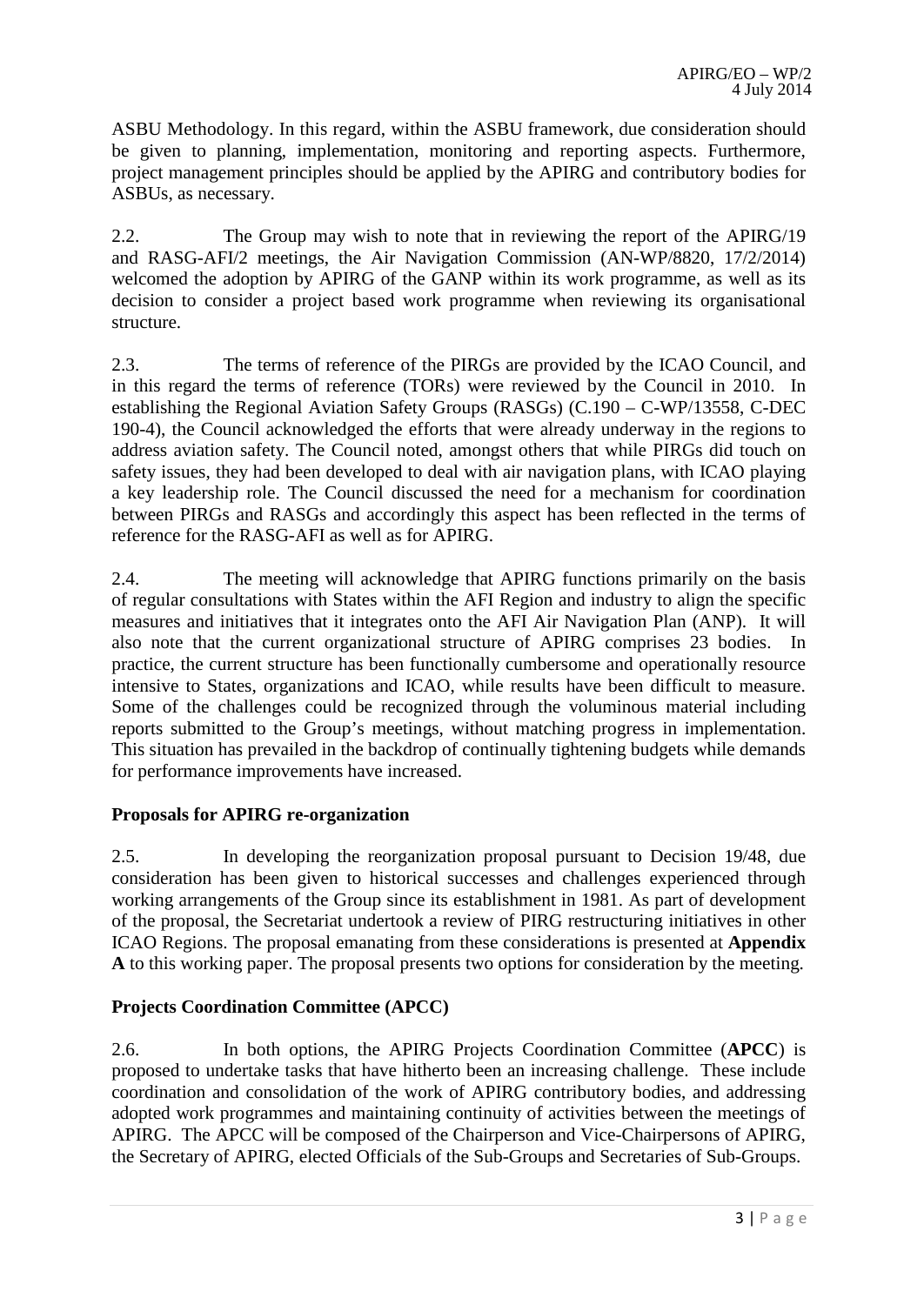ASBU Methodology. In this regard, within the ASBU framework, due consideration should be given to planning, implementation, monitoring and reporting aspects. Furthermore, project management principles should be applied by the APIRG and contributory bodies for ASBUs, as necessary.

2.2. The Group may wish to note that in reviewing the report of the APIRG/19 and RASG-AFI/2 meetings, the Air Navigation Commission (AN-WP/8820, 17/2/2014) welcomed the adoption by APIRG of the GANP within its work programme, as well as its decision to consider a project based work programme when reviewing its organisational structure.

2.3. The terms of reference of the PIRGs are provided by the ICAO Council, and in this regard the terms of reference (TORs) were reviewed by the Council in 2010. In establishing the Regional Aviation Safety Groups (RASGs) (C.190 – C-WP/13558, C-DEC 190-4), the Council acknowledged the efforts that were already underway in the regions to address aviation safety. The Council noted, amongst others that while PIRGs did touch on safety issues, they had been developed to deal with air navigation plans, with ICAO playing a key leadership role. The Council discussed the need for a mechanism for coordination between PIRGs and RASGs and accordingly this aspect has been reflected in the terms of reference for the RASG-AFI as well as for APIRG.

2.4. The meeting will acknowledge that APIRG functions primarily on the basis of regular consultations with States within the AFI Region and industry to align the specific measures and initiatives that it integrates onto the AFI Air Navigation Plan (ANP). It will also note that the current organizational structure of APIRG comprises 23 bodies. In practice, the current structure has been functionally cumbersome and operationally resource intensive to States, organizations and ICAO, while results have been difficult to measure. Some of the challenges could be recognized through the voluminous material including reports submitted to the Group's meetings, without matching progress in implementation. This situation has prevailed in the backdrop of continually tightening budgets while demands for performance improvements have increased.

### **Proposals for APIRG re-organization**

2.5. In developing the reorganization proposal pursuant to Decision 19/48, due consideration has been given to historical successes and challenges experienced through working arrangements of the Group since its establishment in 1981. As part of development of the proposal, the Secretariat undertook a review of PIRG restructuring initiatives in other ICAO Regions. The proposal emanating from these considerations is presented at **Appendix A** to this working paper. The proposal presents two options for consideration by the meeting.

### **Projects Coordination Committee (APCC)**

2.6. In both options, the APIRG Projects Coordination Committee (**APCC**) is proposed to undertake tasks that have hitherto been an increasing challenge. These include coordination and consolidation of the work of APIRG contributory bodies, and addressing adopted work programmes and maintaining continuity of activities between the meetings of APIRG. The APCC will be composed of the Chairperson and Vice-Chairpersons of APIRG, the Secretary of APIRG, elected Officials of the Sub-Groups and Secretaries of Sub-Groups.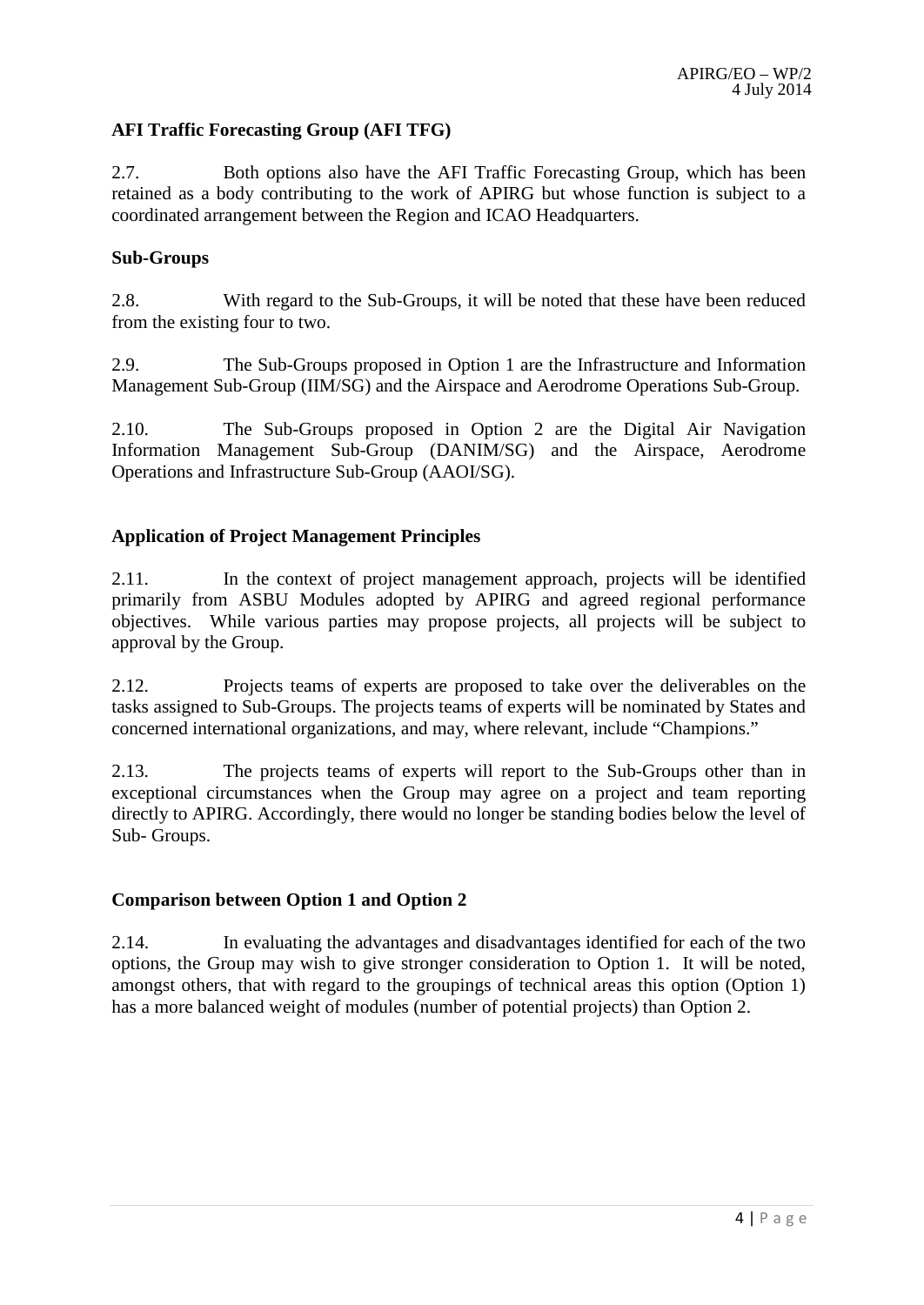### **AFI Traffic Forecasting Group (AFI TFG)**

2.7. Both options also have the AFI Traffic Forecasting Group, which has been retained as a body contributing to the work of APIRG but whose function is subject to a coordinated arrangement between the Region and ICAO Headquarters.

### **Sub-Groups**

2.8. With regard to the Sub-Groups, it will be noted that these have been reduced from the existing four to two.

2.9. The Sub-Groups proposed in Option 1 are the Infrastructure and Information Management Sub-Group (IIM/SG) and the Airspace and Aerodrome Operations Sub-Group.

2.10. The Sub-Groups proposed in Option 2 are the Digital Air Navigation Information Management Sub-Group (DANIM/SG) and the Airspace, Aerodrome Operations and Infrastructure Sub-Group (AAOI/SG).

### **Application of Project Management Principles**

2.11. In the context of project management approach, projects will be identified primarily from ASBU Modules adopted by APIRG and agreed regional performance objectives. While various parties may propose projects, all projects will be subject to approval by the Group.

2.12. Projects teams of experts are proposed to take over the deliverables on the tasks assigned to Sub-Groups. The projects teams of experts will be nominated by States and concerned international organizations, and may, where relevant, include "Champions."

2.13. The projects teams of experts will report to the Sub-Groups other than in exceptional circumstances when the Group may agree on a project and team reporting directly to APIRG. Accordingly, there would no longer be standing bodies below the level of Sub- Groups.

### **Comparison between Option 1 and Option 2**

2.14. In evaluating the advantages and disadvantages identified for each of the two options, the Group may wish to give stronger consideration to Option 1. It will be noted, amongst others, that with regard to the groupings of technical areas this option (Option 1) has a more balanced weight of modules (number of potential projects) than Option 2.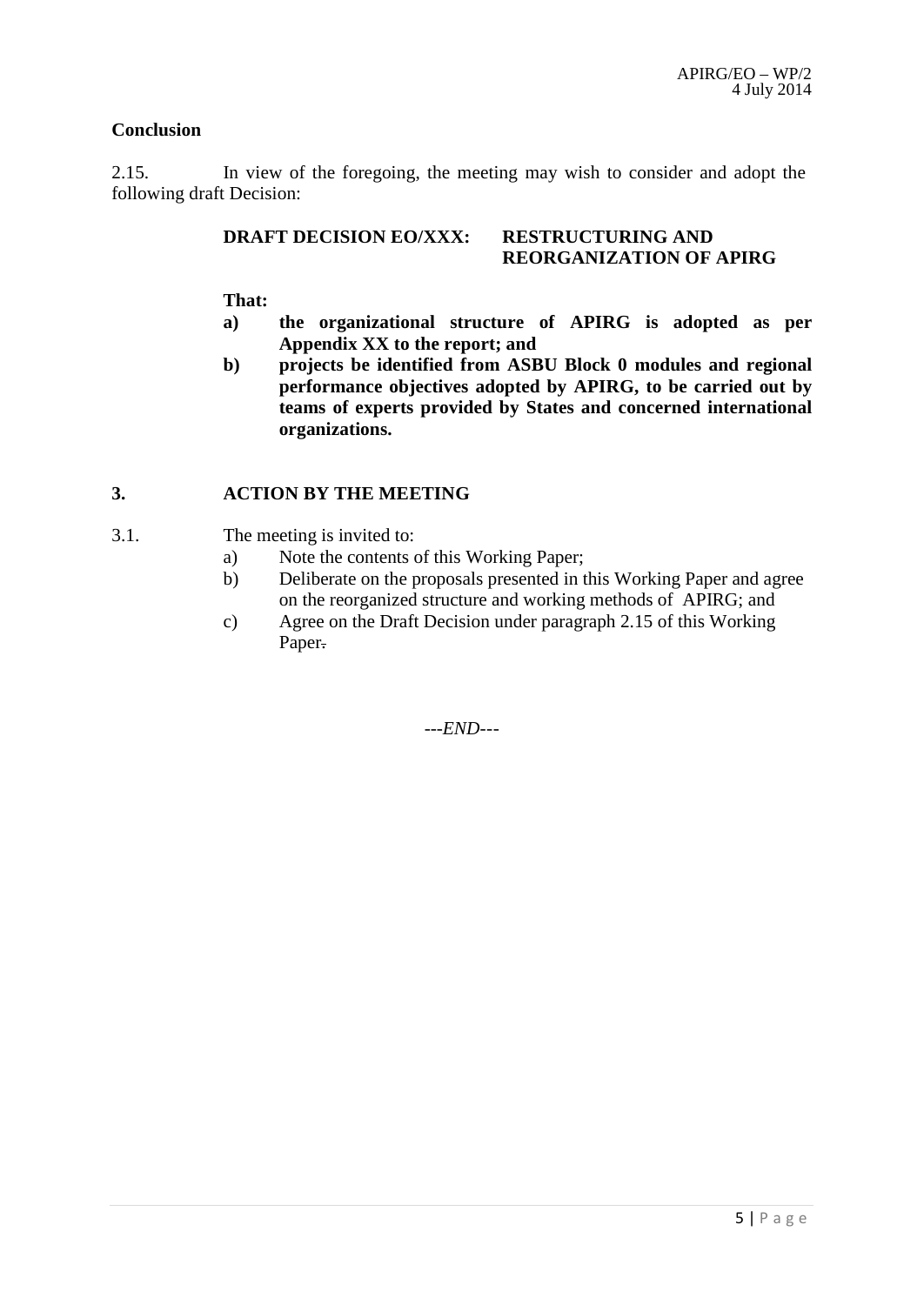### **Conclusion**

2.15. In view of the foregoing, the meeting may wish to consider and adopt the following draft Decision:

### **DRAFT DECISION EO/XXX: RESTRUCTURING AND REORGANIZATION OF APIRG**

### **That:**

- **a) the organizational structure of APIRG is adopted as per Appendix XX to the report; and**
- **b) projects be identified from ASBU Block 0 modules and regional performance objectives adopted by APIRG, to be carried out by teams of experts provided by States and concerned international organizations.**

### **3. ACTION BY THE MEETING**

- 3.1. The meeting is invited to:
	- a) Note the contents of this Working Paper;
	- b) Deliberate on the proposals presented in this Working Paper and agree on the reorganized structure and working methods of APIRG; and
	- c) Agree on the Draft Decision under paragraph 2.15 of this Working Paper.

*---END---*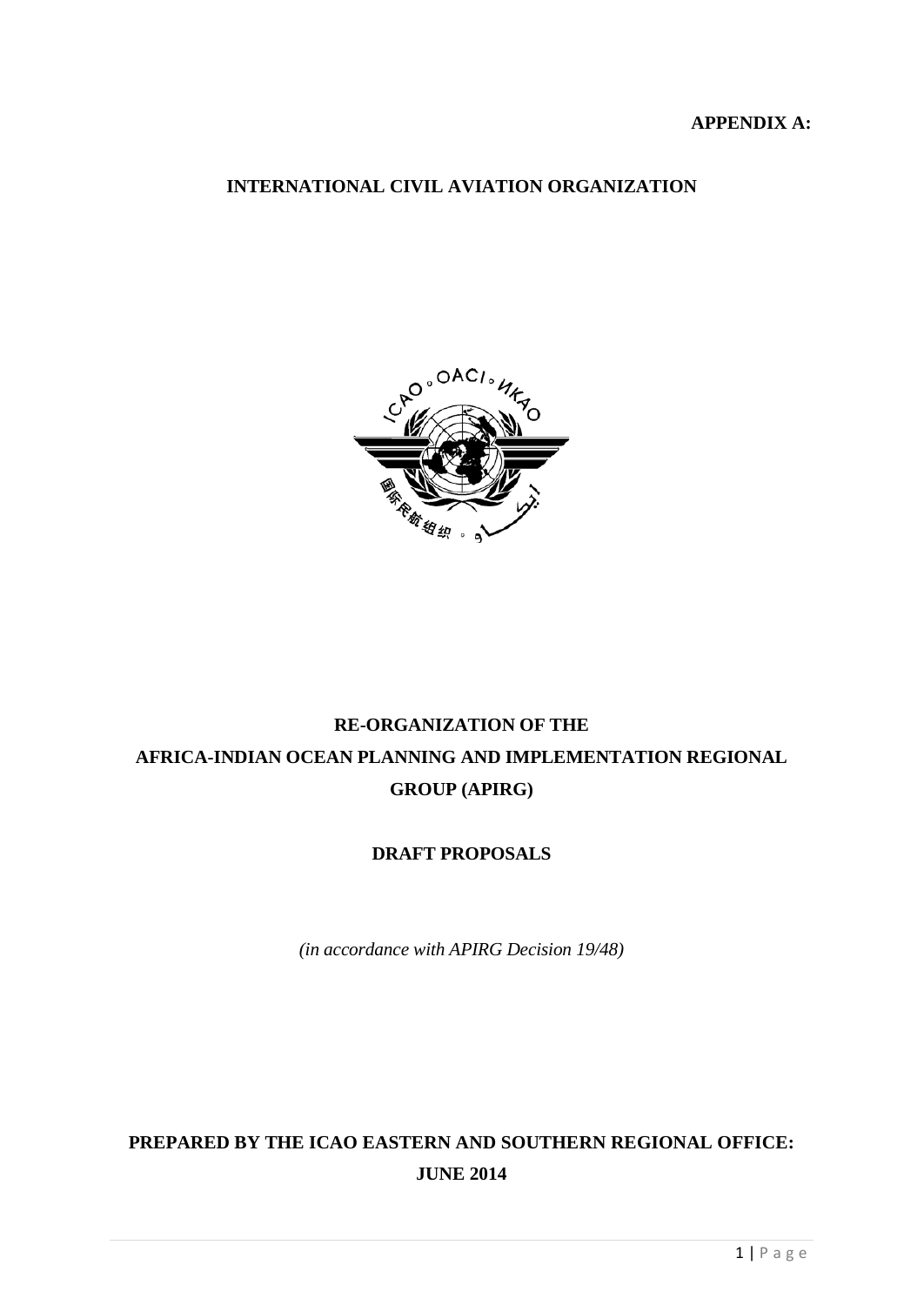### **APPENDIX A:**

## **INTERNATIONAL CIVIL AVIATION ORGANIZATION**



# **RE-ORGANIZATION OF THE AFRICA-INDIAN OCEAN PLANNING AND IMPLEMENTATION REGIONAL GROUP (APIRG)**

## **DRAFT PROPOSALS**

*(in accordance with APIRG Decision 19/48)*

# **PREPARED BY THE ICAO EASTERN AND SOUTHERN REGIONAL OFFICE: JUNE 2014**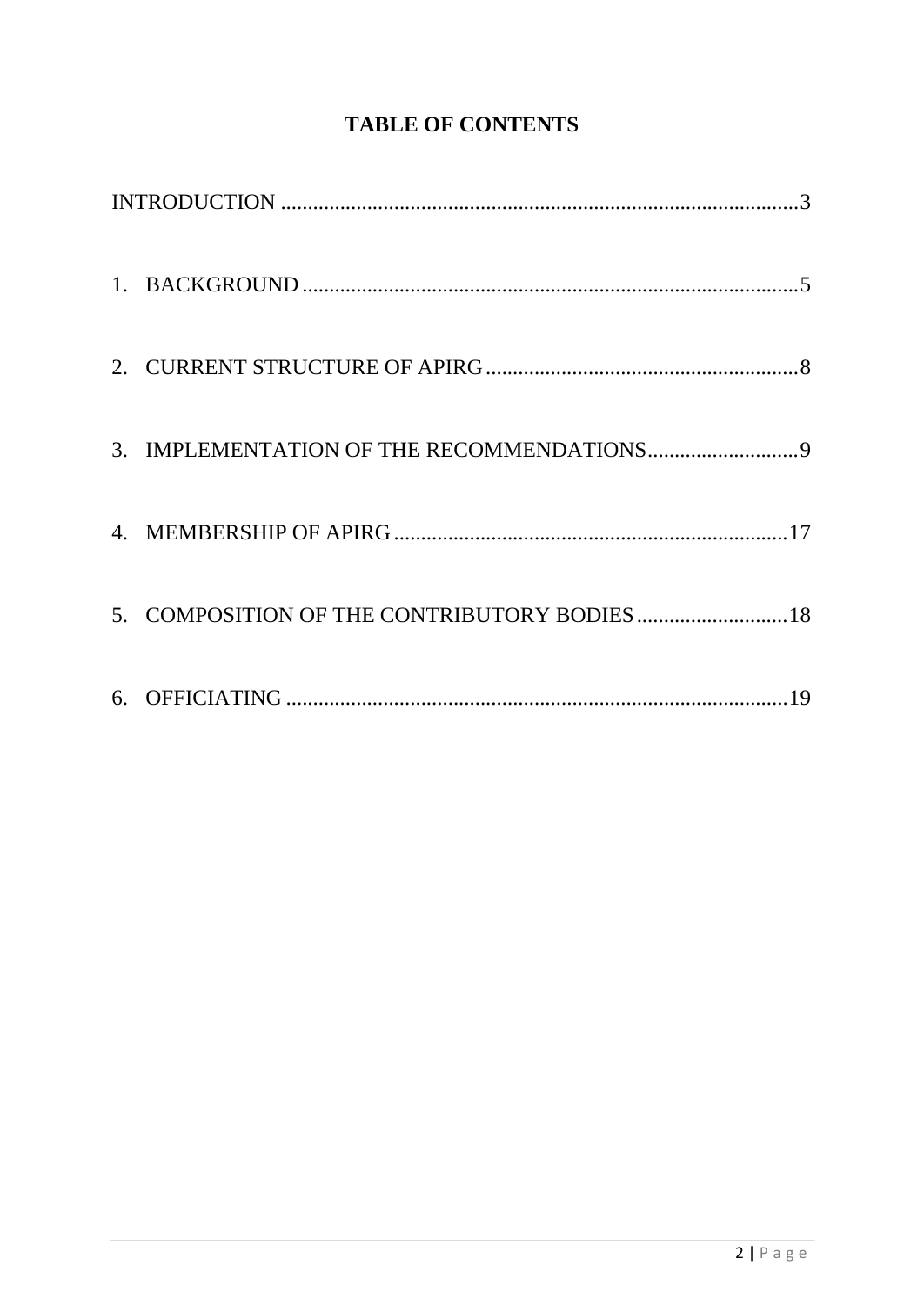# **TABLE OF CONTENTS**

| 5. COMPOSITION OF THE CONTRIBUTORY BODIES  18 |
|-----------------------------------------------|
|                                               |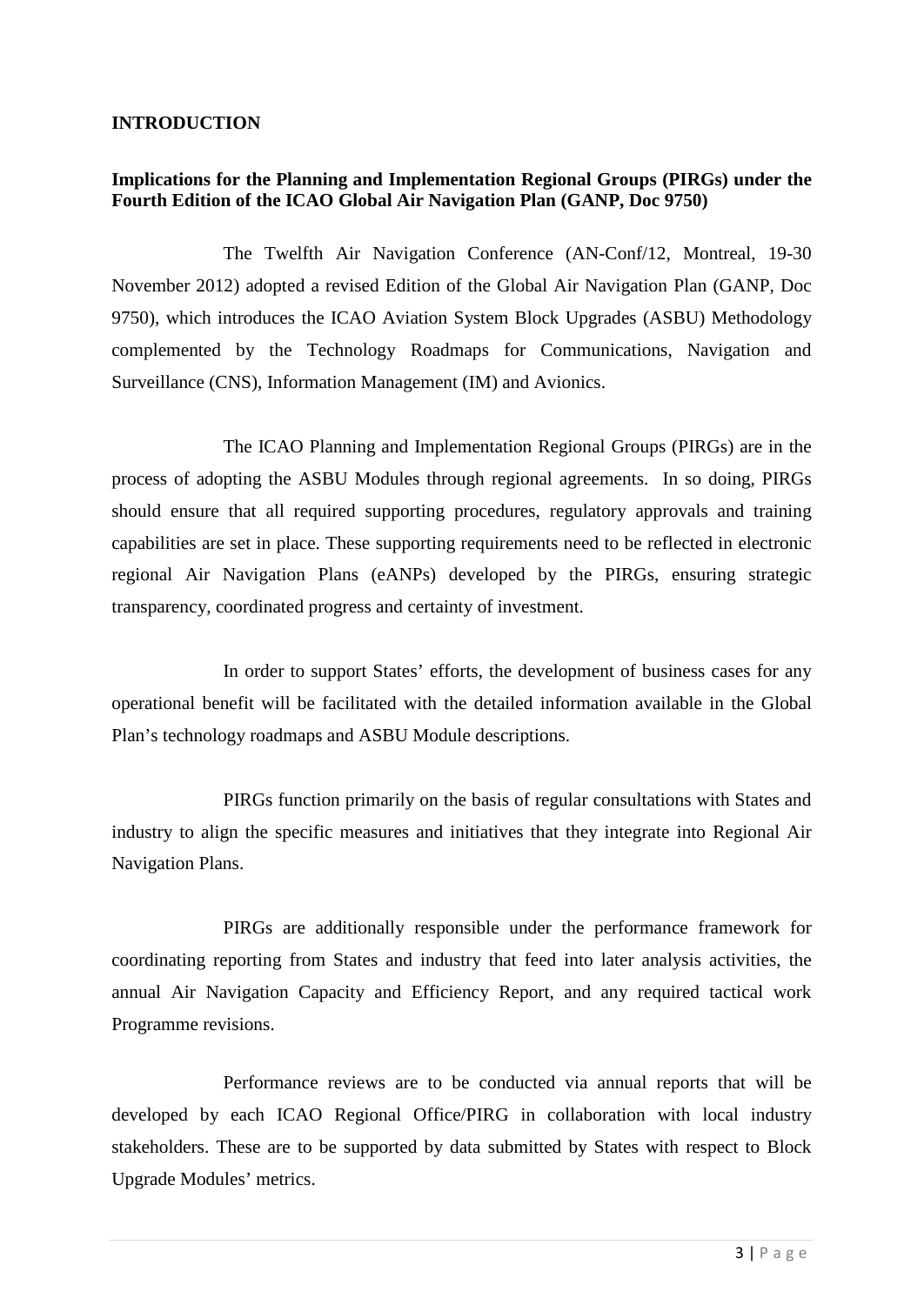### <span id="page-7-0"></span>**INTRODUCTION**

### **Implications for the Planning and Implementation Regional Groups (PIRGs) under the Fourth Edition of the ICAO Global Air Navigation Plan (GANP, Doc 9750)**

 The Twelfth Air Navigation Conference (AN-Conf/12, Montreal, 19-30 November 2012) adopted a revised Edition of the Global Air Navigation Plan (GANP, Doc 9750), which introduces the ICAO Aviation System Block Upgrades (ASBU) Methodology complemented by the Technology Roadmaps for Communications, Navigation and Surveillance (CNS), Information Management (IM) and Avionics.

 The ICAO Planning and Implementation Regional Groups (PIRGs) are in the process of adopting the ASBU Modules through regional agreements. In so doing, PIRGs should ensure that all required supporting procedures, regulatory approvals and training capabilities are set in place. These supporting requirements need to be reflected in electronic regional Air Navigation Plans (eANPs) developed by the PIRGs, ensuring strategic transparency, coordinated progress and certainty of investment.

 In order to support States' efforts, the development of business cases for any operational benefit will be facilitated with the detailed information available in the Global Plan's technology roadmaps and ASBU Module descriptions.

PIRGs function primarily on the basis of regular consultations with States and industry to align the specific measures and initiatives that they integrate into Regional Air Navigation Plans.

PIRGs are additionally responsible under the performance framework for coordinating reporting from States and industry that feed into later analysis activities, the annual Air Navigation Capacity and Efficiency Report, and any required tactical work Programme revisions.

Performance reviews are to be conducted via annual reports that will be developed by each ICAO Regional Office/PIRG in collaboration with local industry stakeholders. These are to be supported by data submitted by States with respect to Block Upgrade Modules' metrics.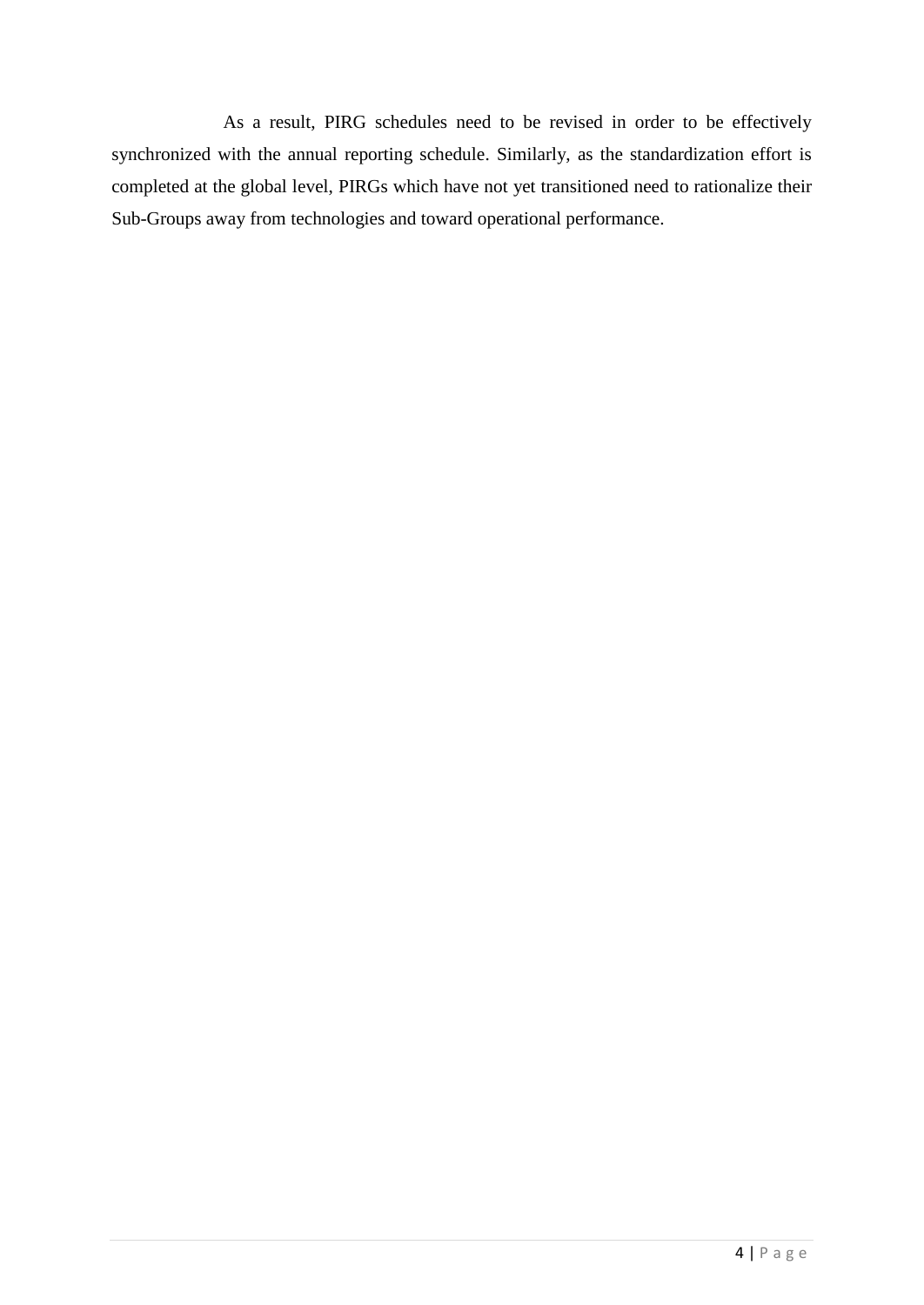As a result, PIRG schedules need to be revised in order to be effectively synchronized with the annual reporting schedule. Similarly, as the standardization effort is completed at the global level, PIRGs which have not yet transitioned need to rationalize their Sub-Groups away from technologies and toward operational performance.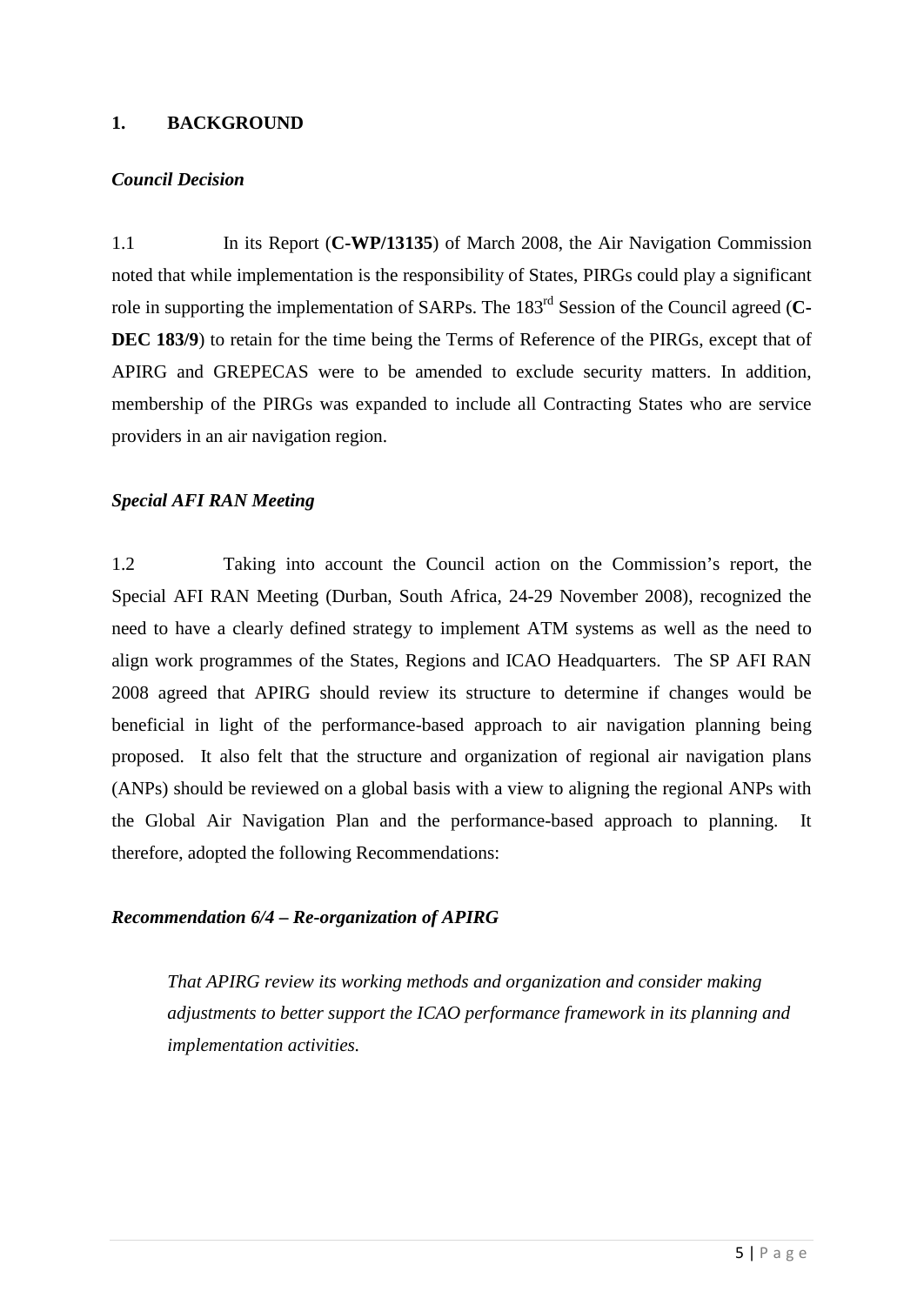### <span id="page-9-0"></span>**1. BACKGROUND**

### *Council Decision*

1.1 In its Report (**C-WP/13135**) of March 2008, the Air Navigation Commission noted that while implementation is the responsibility of States, PIRGs could play a significant role in supporting the implementation of SARPs. The 183rd Session of the Council agreed (**C-DEC 183/9**) to retain for the time being the Terms of Reference of the PIRGs, except that of APIRG and GREPECAS were to be amended to exclude security matters. In addition, membership of the PIRGs was expanded to include all Contracting States who are service providers in an air navigation region.

### *Special AFI RAN Meeting*

1.2 Taking into account the Council action on the Commission's report, the Special AFI RAN Meeting (Durban, South Africa, 24-29 November 2008), recognized the need to have a clearly defined strategy to implement ATM systems as well as the need to align work programmes of the States, Regions and ICAO Headquarters. The SP AFI RAN 2008 agreed that APIRG should review its structure to determine if changes would be beneficial in light of the performance-based approach to air navigation planning being proposed. It also felt that the structure and organization of regional air navigation plans (ANPs) should be reviewed on a global basis with a view to aligning the regional ANPs with the Global Air Navigation Plan and the performance-based approach to planning. It therefore, adopted the following Recommendations:

### *Recommendation 6/4 – Re-organization of APIRG*

*That APIRG review its working methods and organization and consider making adjustments to better support the ICAO performance framework in its planning and implementation activities.*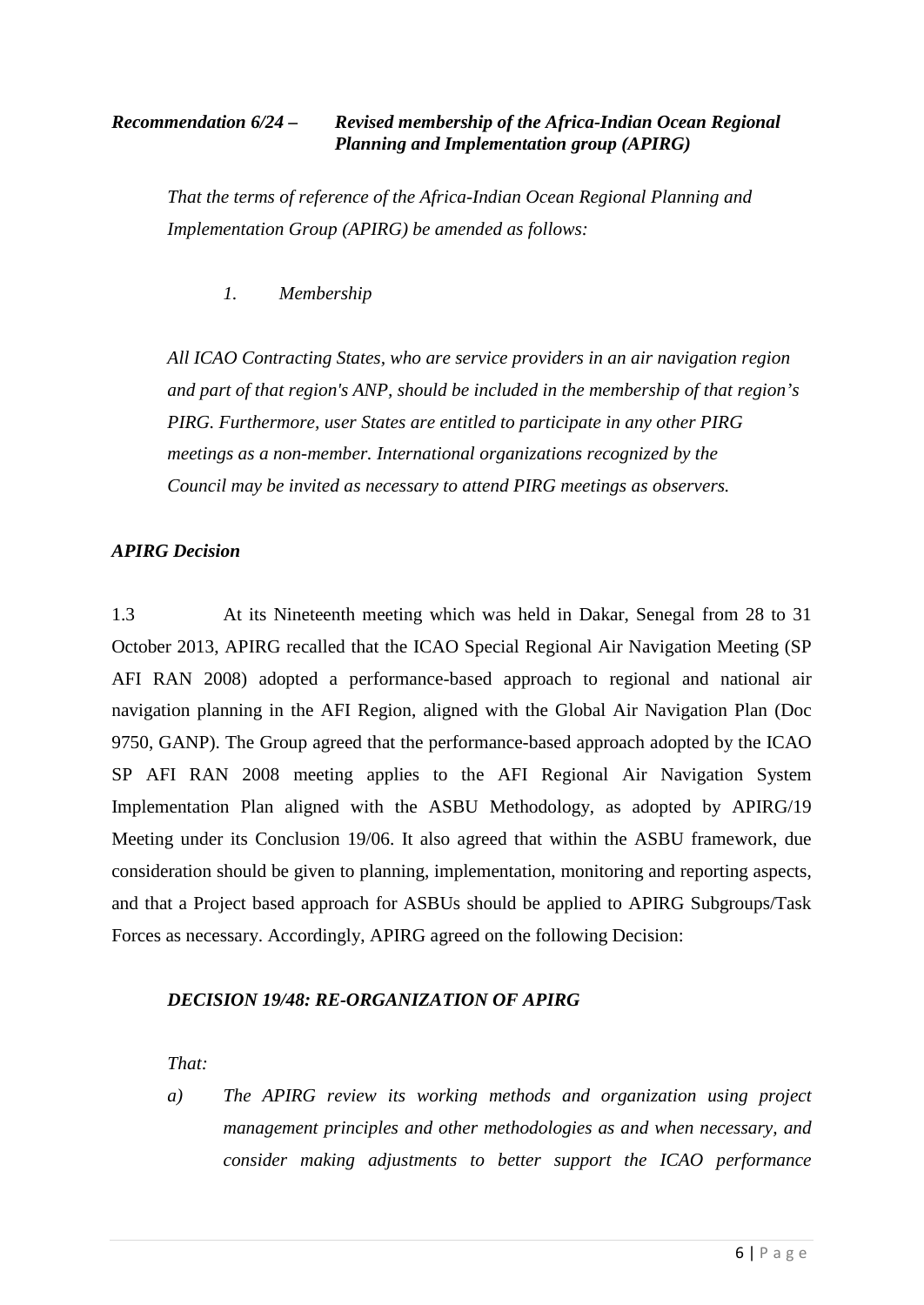## *Recommendation 6/24 – Revised membership of the Africa-Indian Ocean Regional Planning and Implementation group (APIRG)*

*That the terms of reference of the Africa-Indian Ocean Regional Planning and Implementation Group (APIRG) be amended as follows:*

*1. Membership*

*All ICAO Contracting States, who are service providers in an air navigation region and part of that region's ANP, should be included in the membership of that region's PIRG. Furthermore, user States are entitled to participate in any other PIRG meetings as a non-member. International organizations recognized by the Council may be invited as necessary to attend PIRG meetings as observers.*

### *APIRG Decision*

1.3 At its Nineteenth meeting which was held in Dakar, Senegal from 28 to 31 October 2013, APIRG recalled that the ICAO Special Regional Air Navigation Meeting (SP AFI RAN 2008) adopted a performance-based approach to regional and national air navigation planning in the AFI Region, aligned with the Global Air Navigation Plan (Doc 9750, GANP). The Group agreed that the performance-based approach adopted by the ICAO SP AFI RAN 2008 meeting applies to the AFI Regional Air Navigation System Implementation Plan aligned with the ASBU Methodology, as adopted by APIRG/19 Meeting under its Conclusion 19/06. It also agreed that within the ASBU framework, due consideration should be given to planning, implementation, monitoring and reporting aspects, and that a Project based approach for ASBUs should be applied to APIRG Subgroups/Task Forces as necessary. Accordingly, APIRG agreed on the following Decision:

### *DECISION 19/48: RE-ORGANIZATION OF APIRG*

*That:*

*a) The APIRG review its working methods and organization using project management principles and other methodologies as and when necessary, and consider making adjustments to better support the ICAO performance*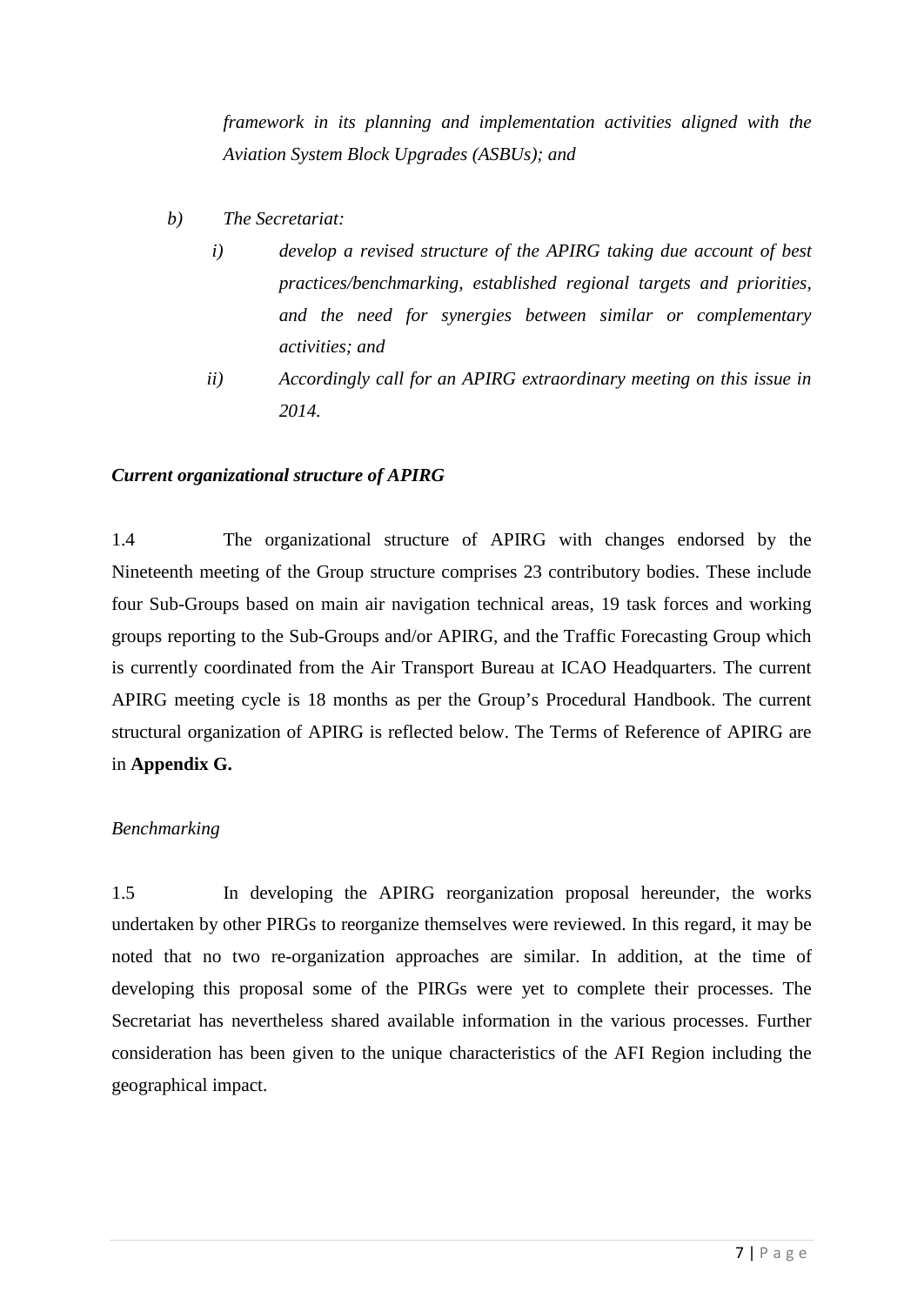*framework in its planning and implementation activities aligned with the Aviation System Block Upgrades (ASBUs); and*

- *b) The Secretariat:*
	- *i) develop a revised structure of the APIRG taking due account of best practices/benchmarking, established regional targets and priorities, and the need for synergies between similar or complementary activities; and*
	- *ii) Accordingly call for an APIRG extraordinary meeting on this issue in 2014.*

### *Current organizational structure of APIRG*

1.4 The organizational structure of APIRG with changes endorsed by the Nineteenth meeting of the Group structure comprises 23 contributory bodies. These include four Sub-Groups based on main air navigation technical areas, 19 task forces and working groups reporting to the Sub-Groups and/or APIRG, and the Traffic Forecasting Group which is currently coordinated from the Air Transport Bureau at ICAO Headquarters. The current APIRG meeting cycle is 18 months as per the Group's Procedural Handbook. The current structural organization of APIRG is reflected below. The Terms of Reference of APIRG are in **Appendix G.**

### *Benchmarking*

1.5 In developing the APIRG reorganization proposal hereunder, the works undertaken by other PIRGs to reorganize themselves were reviewed. In this regard, it may be noted that no two re-organization approaches are similar. In addition, at the time of developing this proposal some of the PIRGs were yet to complete their processes. The Secretariat has nevertheless shared available information in the various processes. Further consideration has been given to the unique characteristics of the AFI Region including the geographical impact.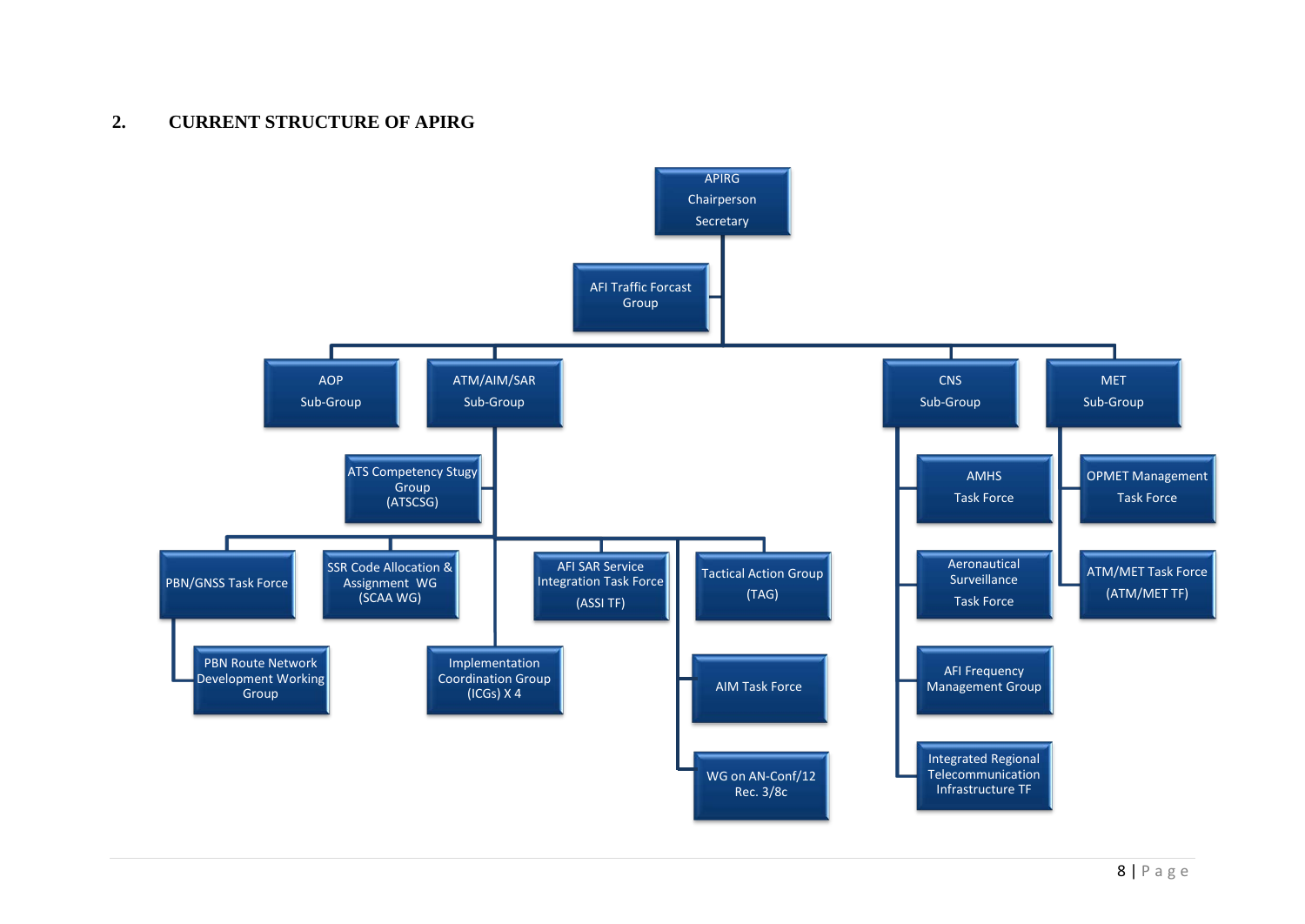## **2. CURRENT STRUCTURE OF APIRG**

<span id="page-12-0"></span>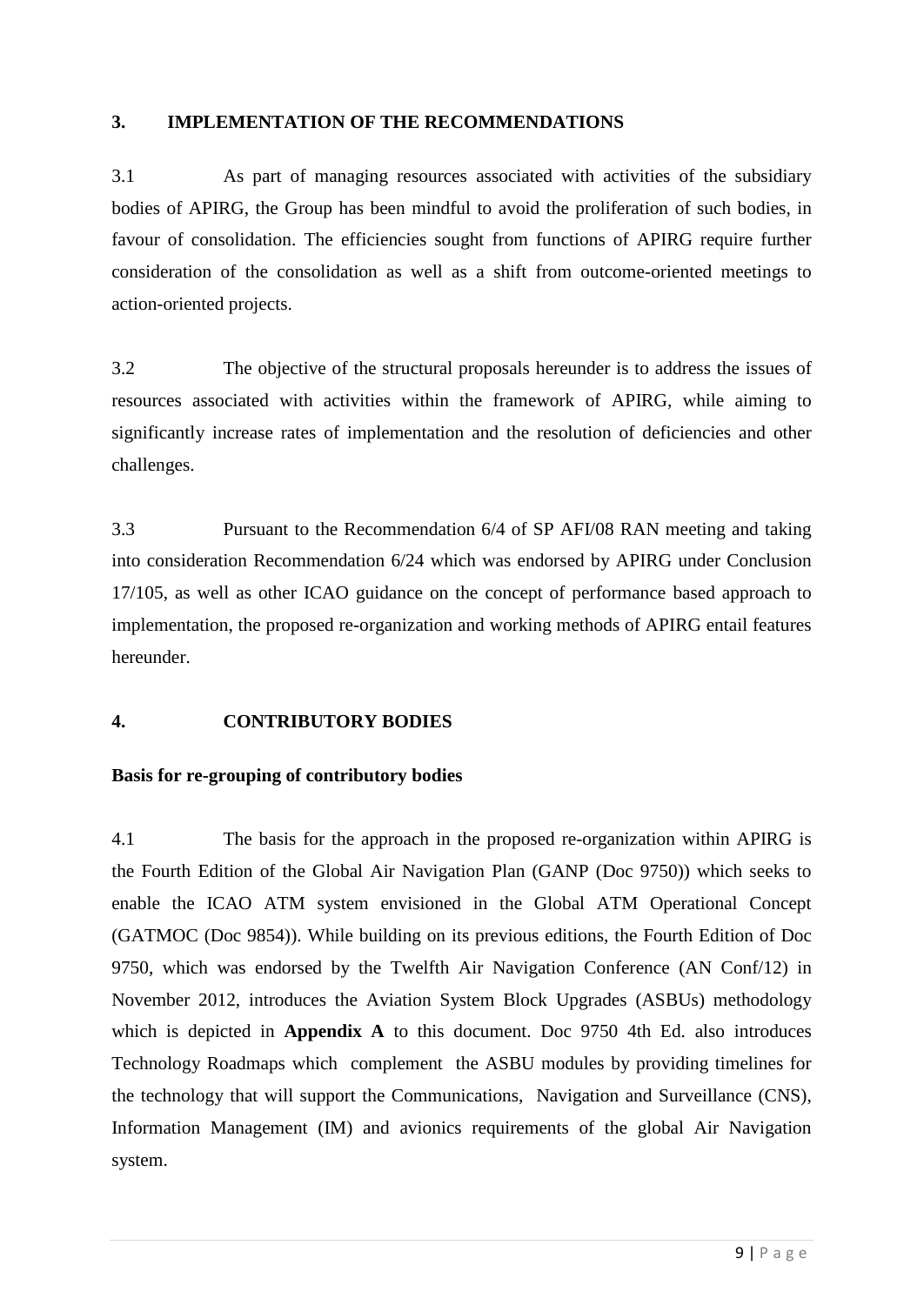### <span id="page-13-0"></span>**3. IMPLEMENTATION OF THE RECOMMENDATIONS**

3.1 As part of managing resources associated with activities of the subsidiary bodies of APIRG, the Group has been mindful to avoid the proliferation of such bodies, in favour of consolidation. The efficiencies sought from functions of APIRG require further consideration of the consolidation as well as a shift from outcome-oriented meetings to action-oriented projects.

3.2 The objective of the structural proposals hereunder is to address the issues of resources associated with activities within the framework of APIRG, while aiming to significantly increase rates of implementation and the resolution of deficiencies and other challenges.

3.3 Pursuant to the Recommendation 6/4 of SP AFI/08 RAN meeting and taking into consideration Recommendation 6/24 which was endorsed by APIRG under Conclusion 17/105, as well as other ICAO guidance on the concept of performance based approach to implementation, the proposed re-organization and working methods of APIRG entail features hereunder.

### **4. CONTRIBUTORY BODIES**

### **Basis for re-grouping of contributory bodies**

4.1 The basis for the approach in the proposed re-organization within APIRG is the Fourth Edition of the Global Air Navigation Plan (GANP (Doc 9750)) which seeks to enable the ICAO ATM system envisioned in the Global ATM Operational Concept (GATMOC (Doc 9854)). While building on its previous editions, the Fourth Edition of Doc 9750, which was endorsed by the Twelfth Air Navigation Conference (AN Conf/12) in November 2012, introduces the Aviation System Block Upgrades (ASBUs) methodology which is depicted in **Appendix A** to this document. Doc 9750 4th Ed. also introduces Technology Roadmaps which complement the ASBU modules by providing timelines for the technology that will support the Communications, Navigation and Surveillance (CNS), Information Management (IM) and avionics requirements of the global Air Navigation system.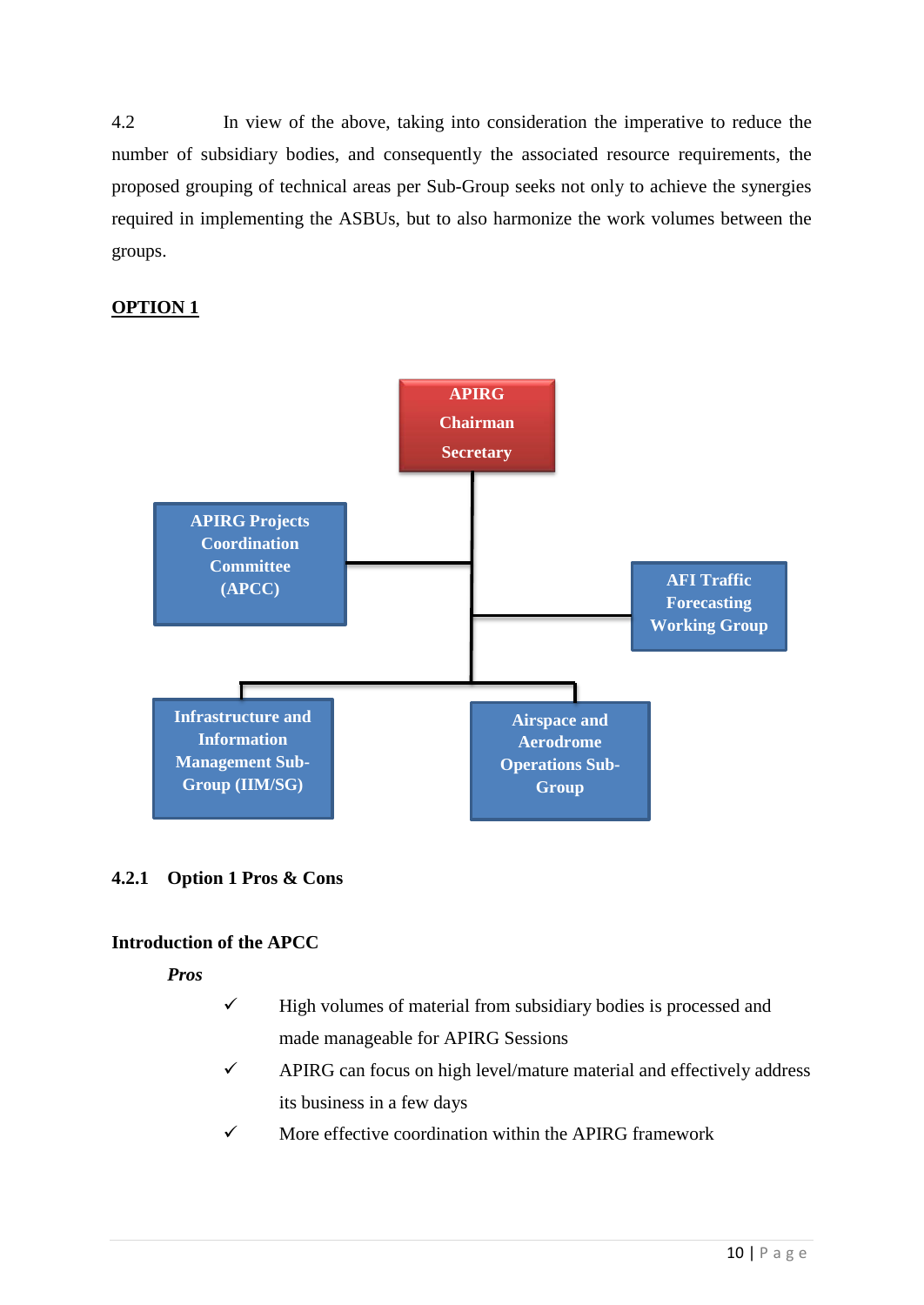4.2 In view of the above, taking into consideration the imperative to reduce the number of subsidiary bodies, and consequently the associated resource requirements, the proposed grouping of technical areas per Sub-Group seeks not only to achieve the synergies required in implementing the ASBUs, but to also harmonize the work volumes between the groups.

## **OPTION 1**



### **4.2.1 Option 1 Pros & Cons**

### **Introduction of the APCC**

*Pros* 

- $\checkmark$  High volumes of material from subsidiary bodies is processed and made manageable for APIRG Sessions
- $\checkmark$  APIRG can focus on high level/mature material and effectively address its business in a few days
- $\checkmark$  More effective coordination within the APIRG framework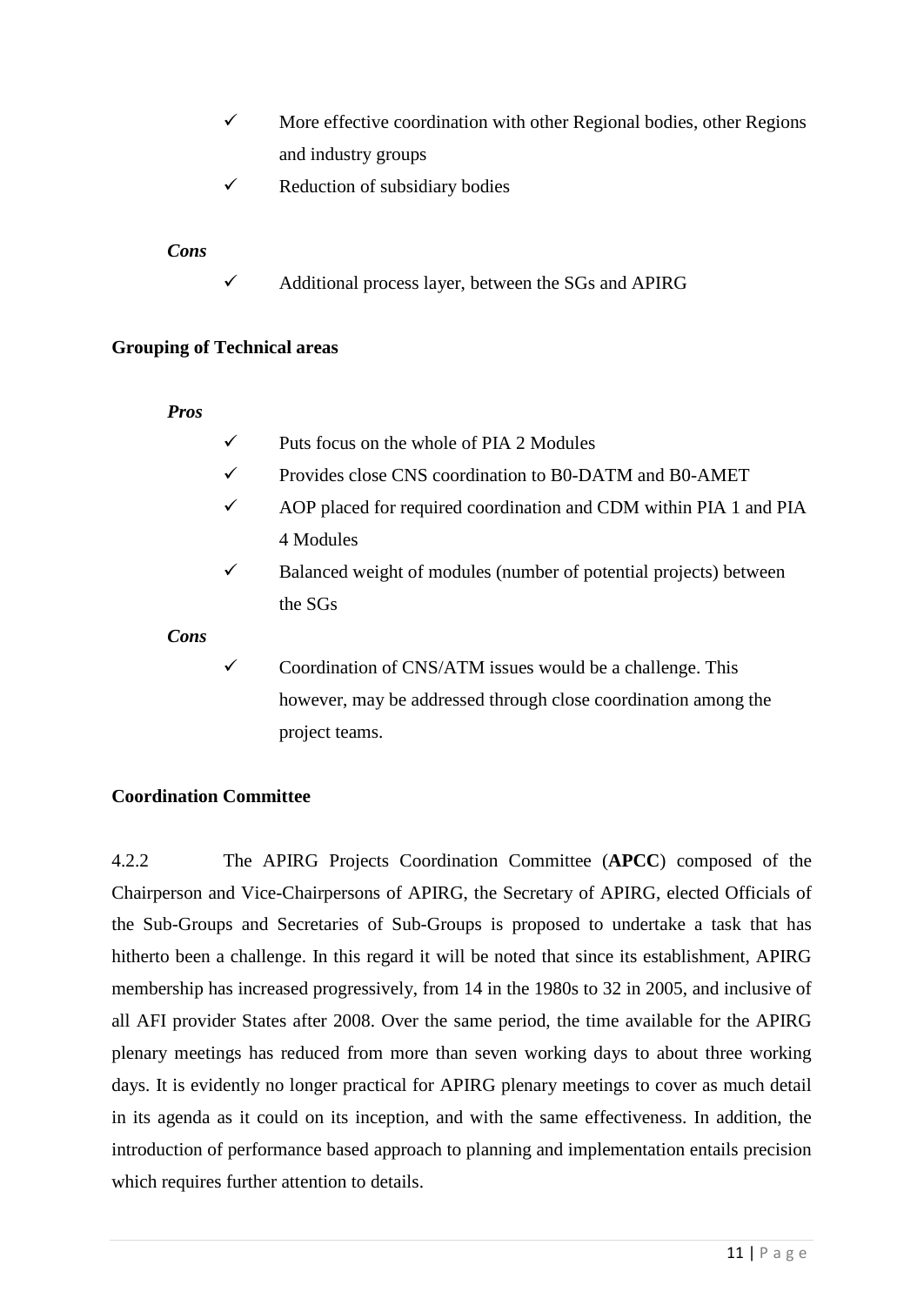- $\checkmark$  More effective coordination with other Regional bodies, other Regions and industry groups
- $\checkmark$  Reduction of subsidiary bodies

### *Cons*

 $\checkmark$  Additional process layer, between the SGs and APIRG

### **Grouping of Technical areas**

### *Pros*

- $\checkmark$  Puts focus on the whole of PIA 2 Modules
- Provides close CNS coordination to B0-DATM and B0-AMET
- AOP placed for required coordination and CDM within PIA 1 and PIA 4 Modules
- $\checkmark$  Balanced weight of modules (number of potential projects) between the SGs

*Cons* 

 $\checkmark$  Coordination of CNS/ATM issues would be a challenge. This however, may be addressed through close coordination among the project teams.

### **Coordination Committee**

4.2.2 The APIRG Projects Coordination Committee (**APCC**) composed of the Chairperson and Vice-Chairpersons of APIRG, the Secretary of APIRG, elected Officials of the Sub-Groups and Secretaries of Sub-Groups is proposed to undertake a task that has hitherto been a challenge. In this regard it will be noted that since its establishment, APIRG membership has increased progressively, from 14 in the 1980s to 32 in 2005, and inclusive of all AFI provider States after 2008. Over the same period, the time available for the APIRG plenary meetings has reduced from more than seven working days to about three working days. It is evidently no longer practical for APIRG plenary meetings to cover as much detail in its agenda as it could on its inception, and with the same effectiveness. In addition, the introduction of performance based approach to planning and implementation entails precision which requires further attention to details.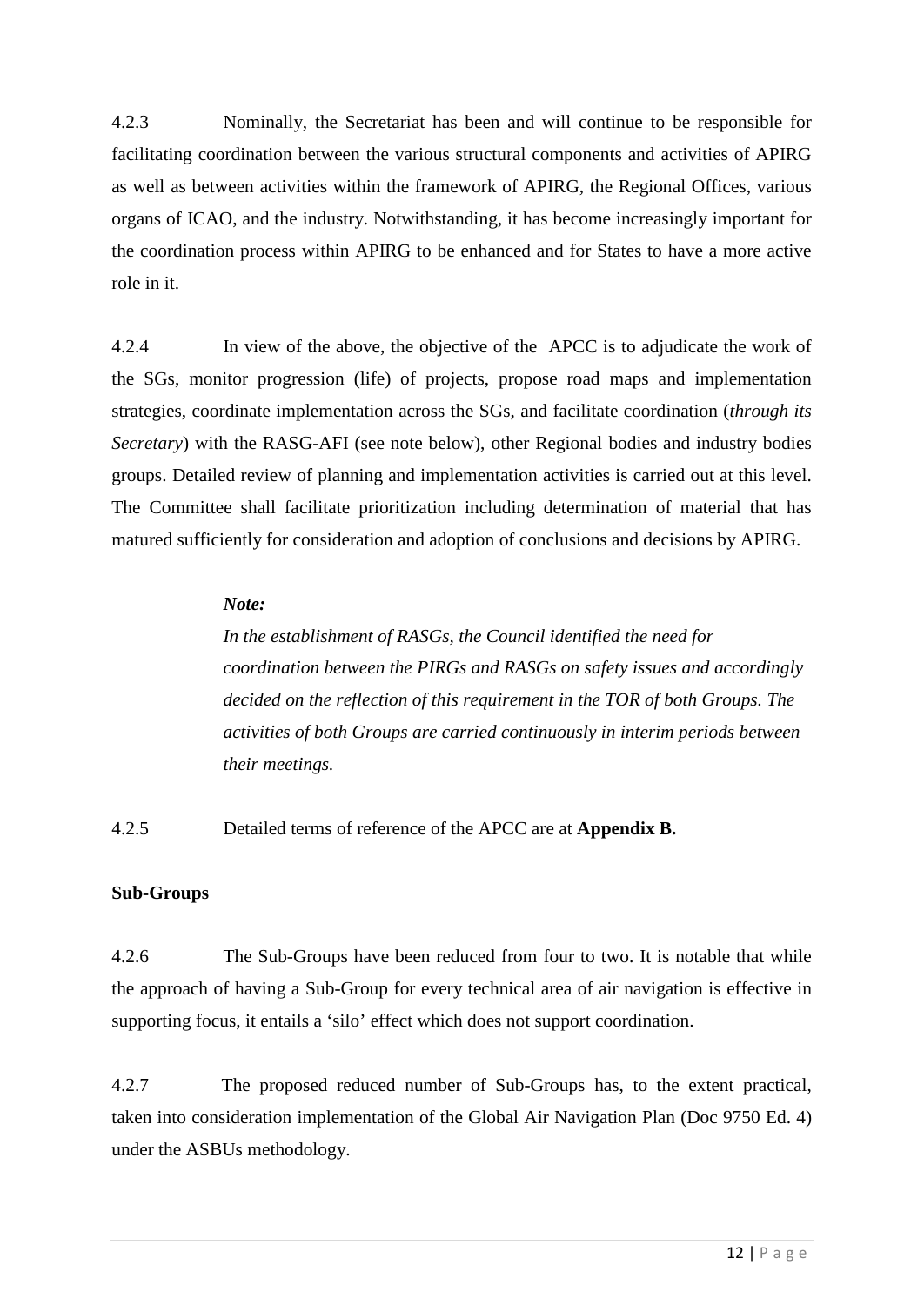4.2.3 Nominally, the Secretariat has been and will continue to be responsible for facilitating coordination between the various structural components and activities of APIRG as well as between activities within the framework of APIRG, the Regional Offices, various organs of ICAO, and the industry. Notwithstanding, it has become increasingly important for the coordination process within APIRG to be enhanced and for States to have a more active role in it.

4.2.4 In view of the above, the objective of the APCC is to adjudicate the work of the SGs, monitor progression (life) of projects, propose road maps and implementation strategies, coordinate implementation across the SGs, and facilitate coordination (*through its Secretary*) with the RASG-AFI (see note below), other Regional bodies and industry bodies groups. Detailed review of planning and implementation activities is carried out at this level. The Committee shall facilitate prioritization including determination of material that has matured sufficiently for consideration and adoption of conclusions and decisions by APIRG.

### *Note:*

*In the establishment of RASGs, the Council identified the need for coordination between the PIRGs and RASGs on safety issues and accordingly decided on the reflection of this requirement in the TOR of both Groups. The activities of both Groups are carried continuously in interim periods between their meetings.*

4.2.5 Detailed terms of reference of the APCC are at **Appendix B.**

### **Sub-Groups**

4.2.6 The Sub-Groups have been reduced from four to two. It is notable that while the approach of having a Sub-Group for every technical area of air navigation is effective in supporting focus, it entails a 'silo' effect which does not support coordination.

4.2.7 The proposed reduced number of Sub-Groups has, to the extent practical, taken into consideration implementation of the Global Air Navigation Plan (Doc 9750 Ed. 4) under the ASBUs methodology.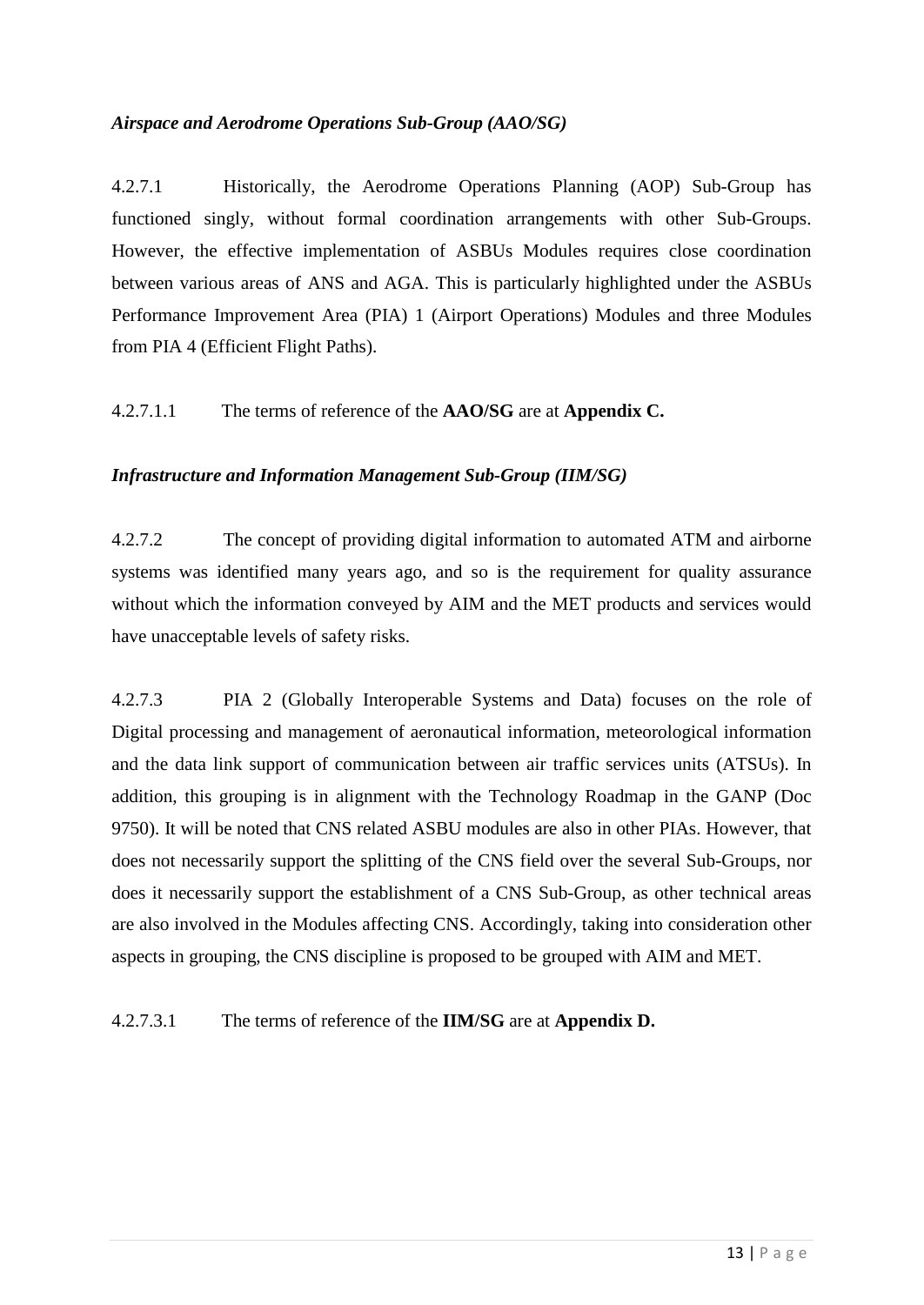### *Airspace and Aerodrome Operations Sub-Group (AAO/SG)*

4.2.7.1 Historically, the Aerodrome Operations Planning (AOP) Sub-Group has functioned singly, without formal coordination arrangements with other Sub-Groups. However, the effective implementation of ASBUs Modules requires close coordination between various areas of ANS and AGA. This is particularly highlighted under the ASBUs Performance Improvement Area (PIA) 1 (Airport Operations) Modules and three Modules from PIA 4 (Efficient Flight Paths).

4.2.7.1.1 The terms of reference of the **AAO/SG** are at **Appendix C.**

### *Infrastructure and Information Management Sub-Group (IIM/SG)*

4.2.7.2 The concept of providing digital information to automated ATM and airborne systems was identified many years ago, and so is the requirement for quality assurance without which the information conveyed by AIM and the MET products and services would have unacceptable levels of safety risks.

4.2.7.3 PIA 2 (Globally Interoperable Systems and Data) focuses on the role of Digital processing and management of aeronautical information, meteorological information and the data link support of communication between air traffic services units (ATSUs). In addition, this grouping is in alignment with the Technology Roadmap in the GANP (Doc 9750). It will be noted that CNS related ASBU modules are also in other PIAs. However, that does not necessarily support the splitting of the CNS field over the several Sub-Groups, nor does it necessarily support the establishment of a CNS Sub-Group, as other technical areas are also involved in the Modules affecting CNS. Accordingly, taking into consideration other aspects in grouping, the CNS discipline is proposed to be grouped with AIM and MET.

4.2.7.3.1 The terms of reference of the **IIM/SG** are at **Appendix D.**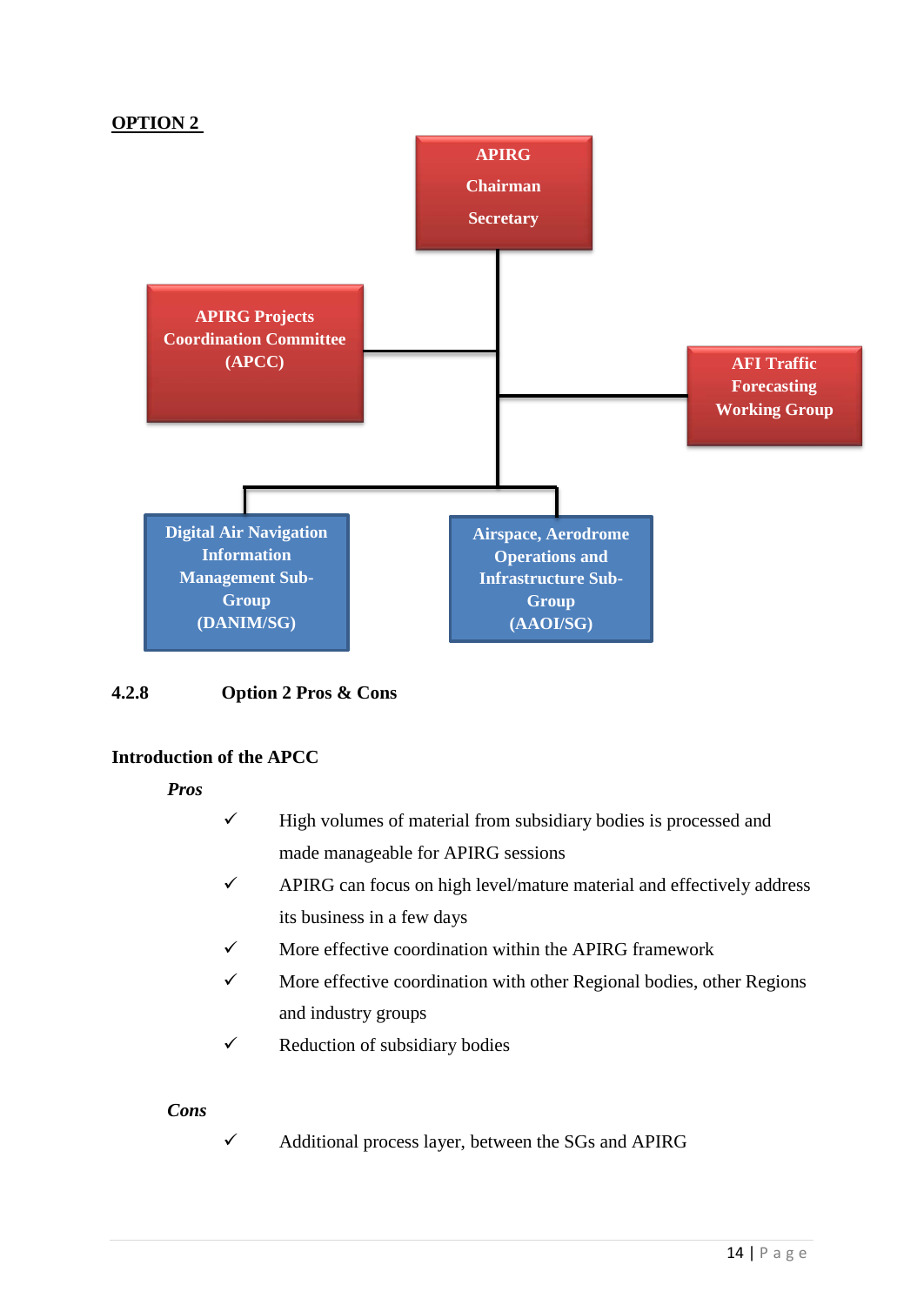## **OPTION 2**



### **4.2.8 Option 2 Pros & Cons**

## **Introduction of the APCC**

*Pros* 

- $\checkmark$  High volumes of material from subsidiary bodies is processed and made manageable for APIRG sessions
- $\checkmark$  APIRG can focus on high level/mature material and effectively address its business in a few days
- $\checkmark$  More effective coordination within the APIRG framework
- $\checkmark$  More effective coordination with other Regional bodies, other Regions and industry groups
- $\checkmark$  Reduction of subsidiary bodies

### *Cons*

 $\checkmark$  Additional process layer, between the SGs and APIRG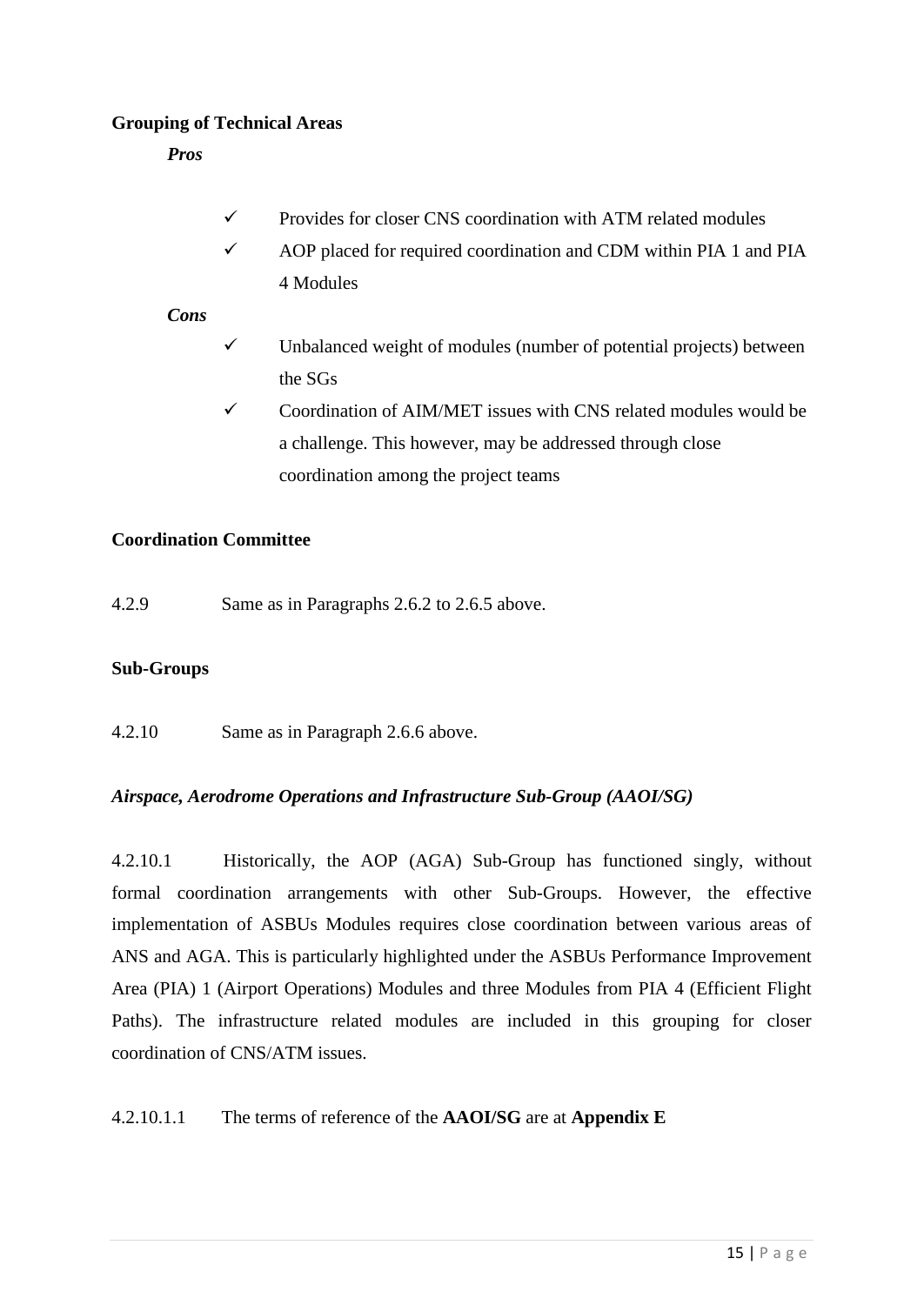## **Grouping of Technical Areas**

*Pros* 

- $\checkmark$  Provides for closer CNS coordination with ATM related modules
- $\checkmark$  AOP placed for required coordination and CDM within PIA 1 and PIA 4 Modules

## *Cons*

- Unbalanced weight of modules (number of potential projects) between the SGs
- $\checkmark$  Coordination of AIM/MET issues with CNS related modules would be a challenge. This however, may be addressed through close coordination among the project teams

## **Coordination Committee**

4.2.9 Same as in Paragraphs 2.6.2 to 2.6.5 above.

### **Sub-Groups**

4.2.10 Same as in Paragraph 2.6.6 above.

### *Airspace, Aerodrome Operations and Infrastructure Sub-Group (AAOI/SG)*

4.2.10.1 Historically, the AOP (AGA) Sub-Group has functioned singly, without formal coordination arrangements with other Sub-Groups. However, the effective implementation of ASBUs Modules requires close coordination between various areas of ANS and AGA. This is particularly highlighted under the ASBUs Performance Improvement Area (PIA) 1 (Airport Operations) Modules and three Modules from PIA 4 (Efficient Flight Paths). The infrastructure related modules are included in this grouping for closer coordination of CNS/ATM issues.

### 4.2.10.1.1 The terms of reference of the **AAOI/SG** are at **Appendix E**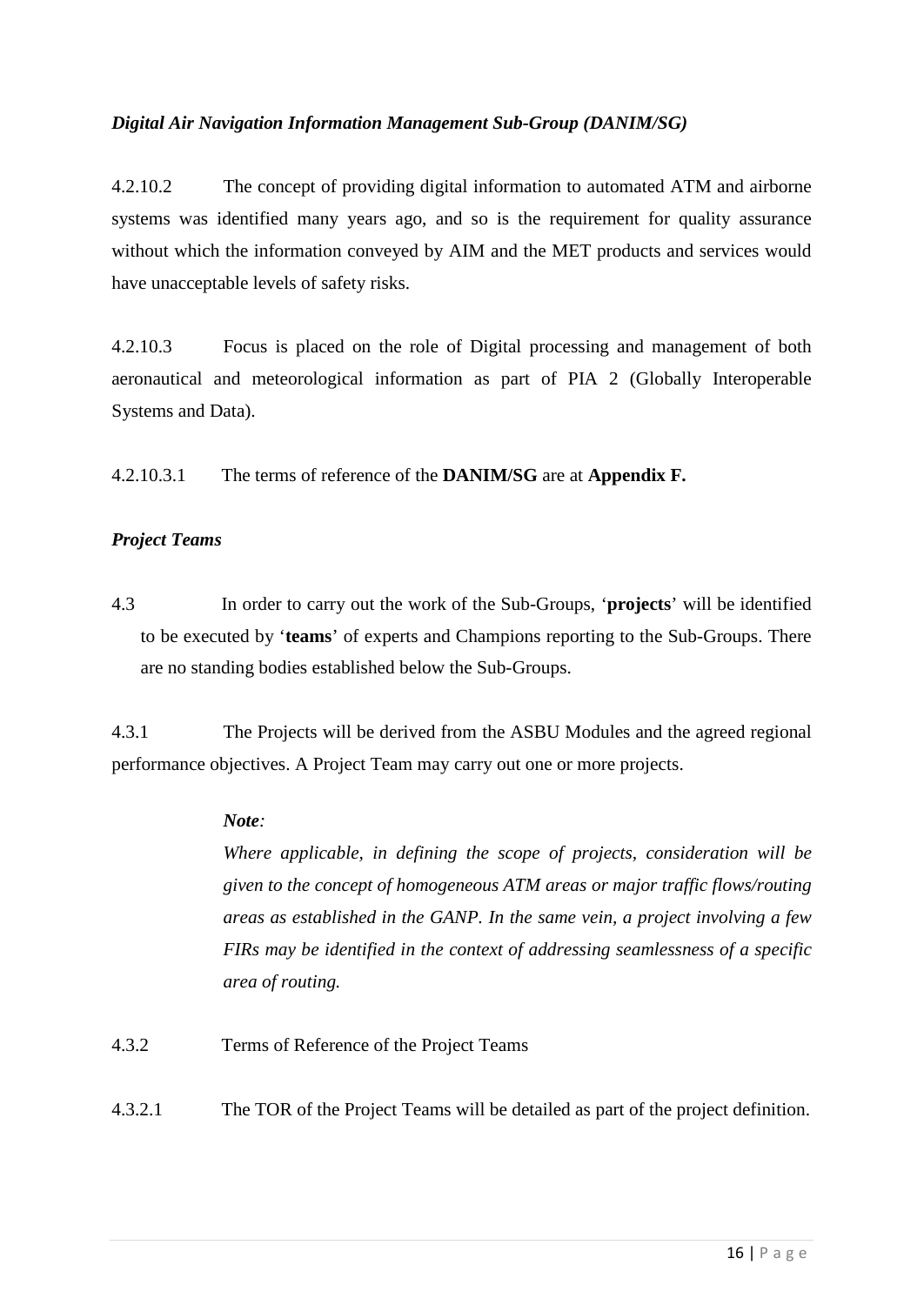### *Digital Air Navigation Information Management Sub-Group (DANIM/SG)*

4.2.10.2 The concept of providing digital information to automated ATM and airborne systems was identified many years ago, and so is the requirement for quality assurance without which the information conveyed by AIM and the MET products and services would have unacceptable levels of safety risks.

4.2.10.3 Focus is placed on the role of Digital processing and management of both aeronautical and meteorological information as part of PIA 2 (Globally Interoperable Systems and Data).

4.2.10.3.1 The terms of reference of the **DANIM/SG** are at **Appendix F.**

### *Project Teams*

4.3 In order to carry out the work of the Sub-Groups, '**projects**' will be identified to be executed by '**teams**' of experts and Champions reporting to the Sub-Groups. There are no standing bodies established below the Sub-Groups.

4.3.1 The Projects will be derived from the ASBU Modules and the agreed regional performance objectives. A Project Team may carry out one or more projects.

### *Note:*

*Where applicable, in defining the scope of projects, consideration will be given to the concept of homogeneous ATM areas or major traffic flows/routing areas as established in the GANP. In the same vein, a project involving a few FIRs may be identified in the context of addressing seamlessness of a specific area of routing.*

- 4.3.2 Terms of Reference of the Project Teams
- 4.3.2.1 The TOR of the Project Teams will be detailed as part of the project definition.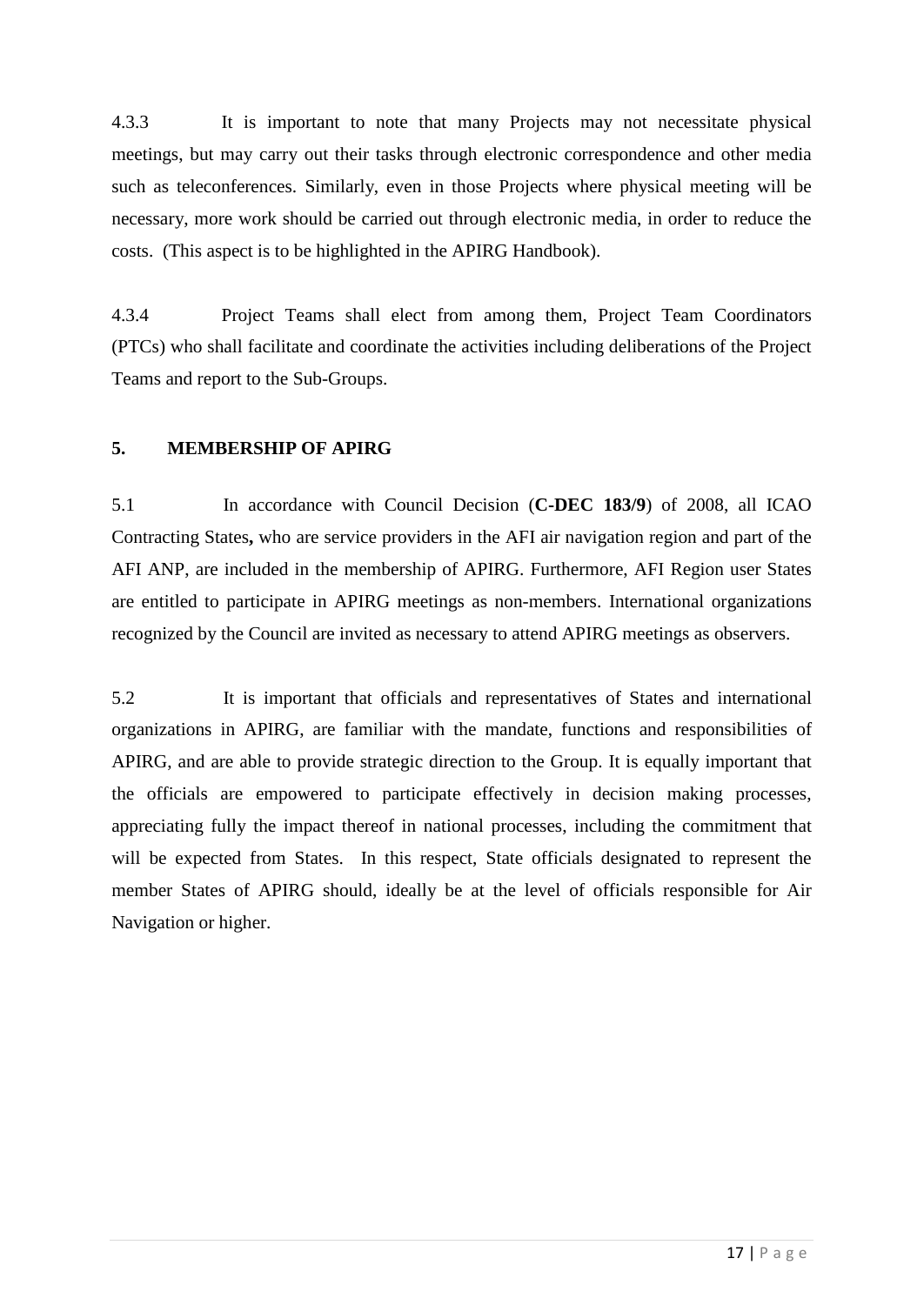4.3.3 It is important to note that many Projects may not necessitate physical meetings, but may carry out their tasks through electronic correspondence and other media such as teleconferences. Similarly, even in those Projects where physical meeting will be necessary, more work should be carried out through electronic media, in order to reduce the costs. (This aspect is to be highlighted in the APIRG Handbook).

4.3.4 Project Teams shall elect from among them, Project Team Coordinators (PTCs) who shall facilitate and coordinate the activities including deliberations of the Project Teams and report to the Sub-Groups.

### <span id="page-21-0"></span>**5. MEMBERSHIP OF APIRG**

5.1 In accordance with Council Decision (**C-DEC 183/9**) of 2008, all ICAO Contracting States**,** who are service providers in the AFI air navigation region and part of the AFI ANP, are included in the membership of APIRG. Furthermore, AFI Region user States are entitled to participate in APIRG meetings as non-members. International organizations recognized by the Council are invited as necessary to attend APIRG meetings as observers.

5.2 It is important that officials and representatives of States and international organizations in APIRG, are familiar with the mandate, functions and responsibilities of APIRG, and are able to provide strategic direction to the Group. It is equally important that the officials are empowered to participate effectively in decision making processes, appreciating fully the impact thereof in national processes, including the commitment that will be expected from States. In this respect, State officials designated to represent the member States of APIRG should, ideally be at the level of officials responsible for Air Navigation or higher.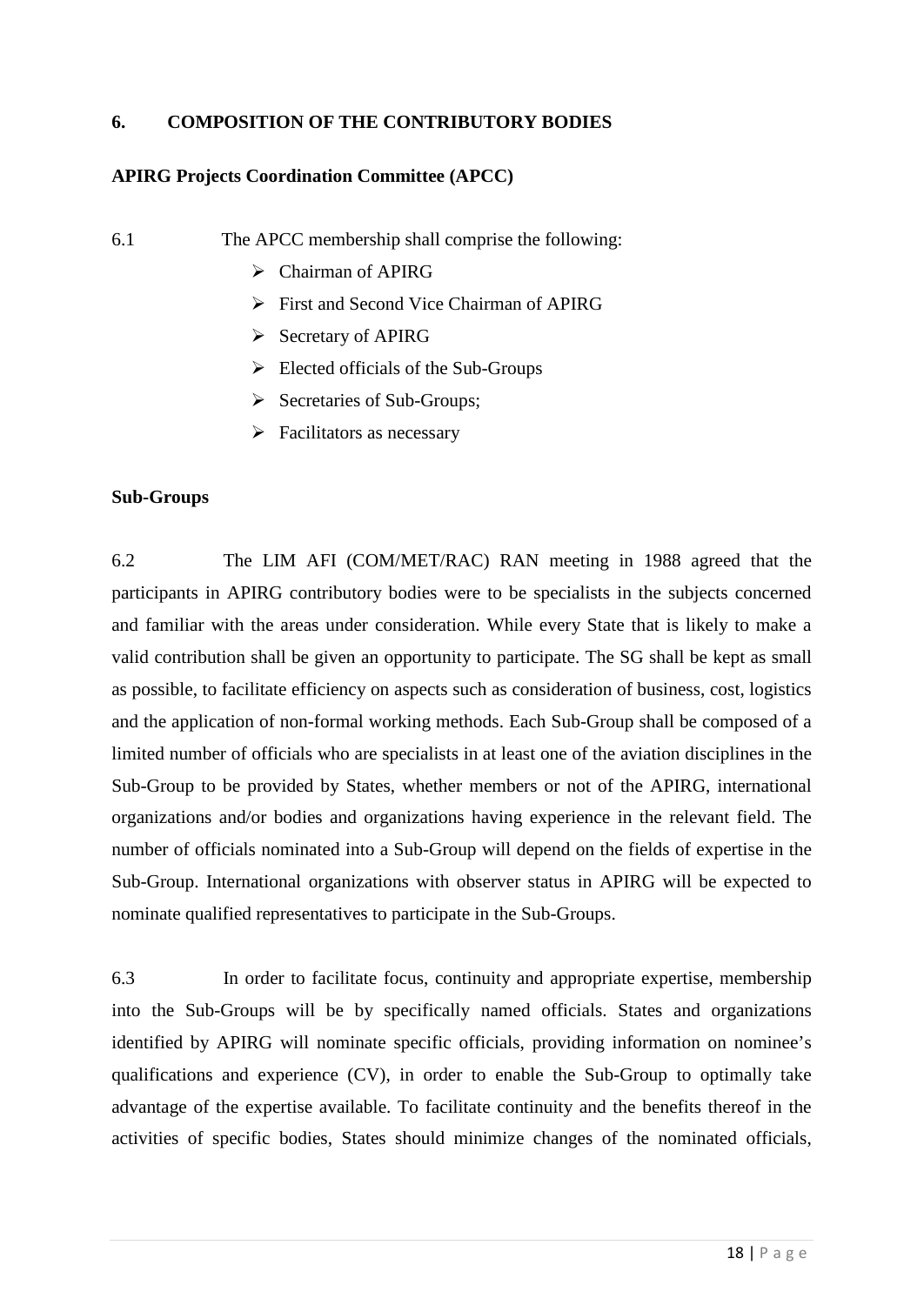### <span id="page-22-0"></span>**6. COMPOSITION OF THE CONTRIBUTORY BODIES**

### **APIRG Projects Coordination Committee (APCC)**

6.1 The APCC membership shall comprise the following:

- $\triangleright$  Chairman of APIRG
- First and Second Vice Chairman of APIRG
- $\triangleright$  Secretary of APIRG
- $\triangleright$  Elected officials of the Sub-Groups
- $\triangleright$  Secretaries of Sub-Groups;
- $\triangleright$  Facilitators as necessary

### **Sub-Groups**

6.2 The LIM AFI (COM/MET/RAC) RAN meeting in 1988 agreed that the participants in APIRG contributory bodies were to be specialists in the subjects concerned and familiar with the areas under consideration. While every State that is likely to make a valid contribution shall be given an opportunity to participate. The SG shall be kept as small as possible, to facilitate efficiency on aspects such as consideration of business, cost, logistics and the application of non-formal working methods. Each Sub-Group shall be composed of a limited number of officials who are specialists in at least one of the aviation disciplines in the Sub-Group to be provided by States, whether members or not of the APIRG, international organizations and/or bodies and organizations having experience in the relevant field. The number of officials nominated into a Sub-Group will depend on the fields of expertise in the Sub-Group. International organizations with observer status in APIRG will be expected to nominate qualified representatives to participate in the Sub-Groups.

6.3 In order to facilitate focus, continuity and appropriate expertise, membership into the Sub-Groups will be by specifically named officials. States and organizations identified by APIRG will nominate specific officials, providing information on nominee's qualifications and experience (CV), in order to enable the Sub-Group to optimally take advantage of the expertise available. To facilitate continuity and the benefits thereof in the activities of specific bodies, States should minimize changes of the nominated officials,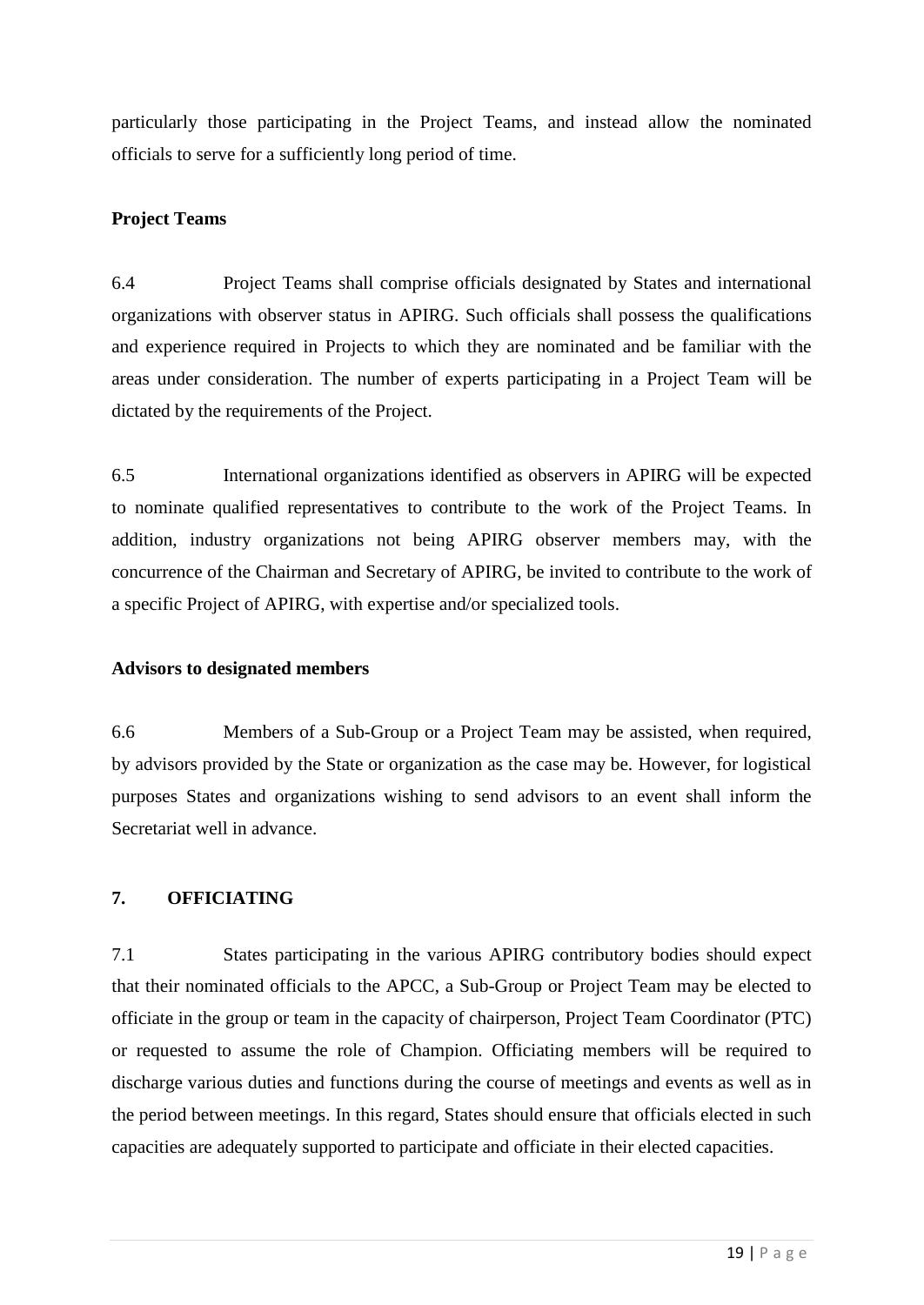particularly those participating in the Project Teams, and instead allow the nominated officials to serve for a sufficiently long period of time.

## **Project Teams**

6.4 Project Teams shall comprise officials designated by States and international organizations with observer status in APIRG. Such officials shall possess the qualifications and experience required in Projects to which they are nominated and be familiar with the areas under consideration. The number of experts participating in a Project Team will be dictated by the requirements of the Project.

6.5 International organizations identified as observers in APIRG will be expected to nominate qualified representatives to contribute to the work of the Project Teams. In addition, industry organizations not being APIRG observer members may, with the concurrence of the Chairman and Secretary of APIRG, be invited to contribute to the work of a specific Project of APIRG, with expertise and/or specialized tools.

### **Advisors to designated members**

6.6 Members of a Sub-Group or a Project Team may be assisted, when required, by advisors provided by the State or organization as the case may be. However, for logistical purposes States and organizations wishing to send advisors to an event shall inform the Secretariat well in advance.

### <span id="page-23-0"></span>**7. OFFICIATING**

7.1 States participating in the various APIRG contributory bodies should expect that their nominated officials to the APCC, a Sub-Group or Project Team may be elected to officiate in the group or team in the capacity of chairperson, Project Team Coordinator (PTC) or requested to assume the role of Champion. Officiating members will be required to discharge various duties and functions during the course of meetings and events as well as in the period between meetings. In this regard, States should ensure that officials elected in such capacities are adequately supported to participate and officiate in their elected capacities.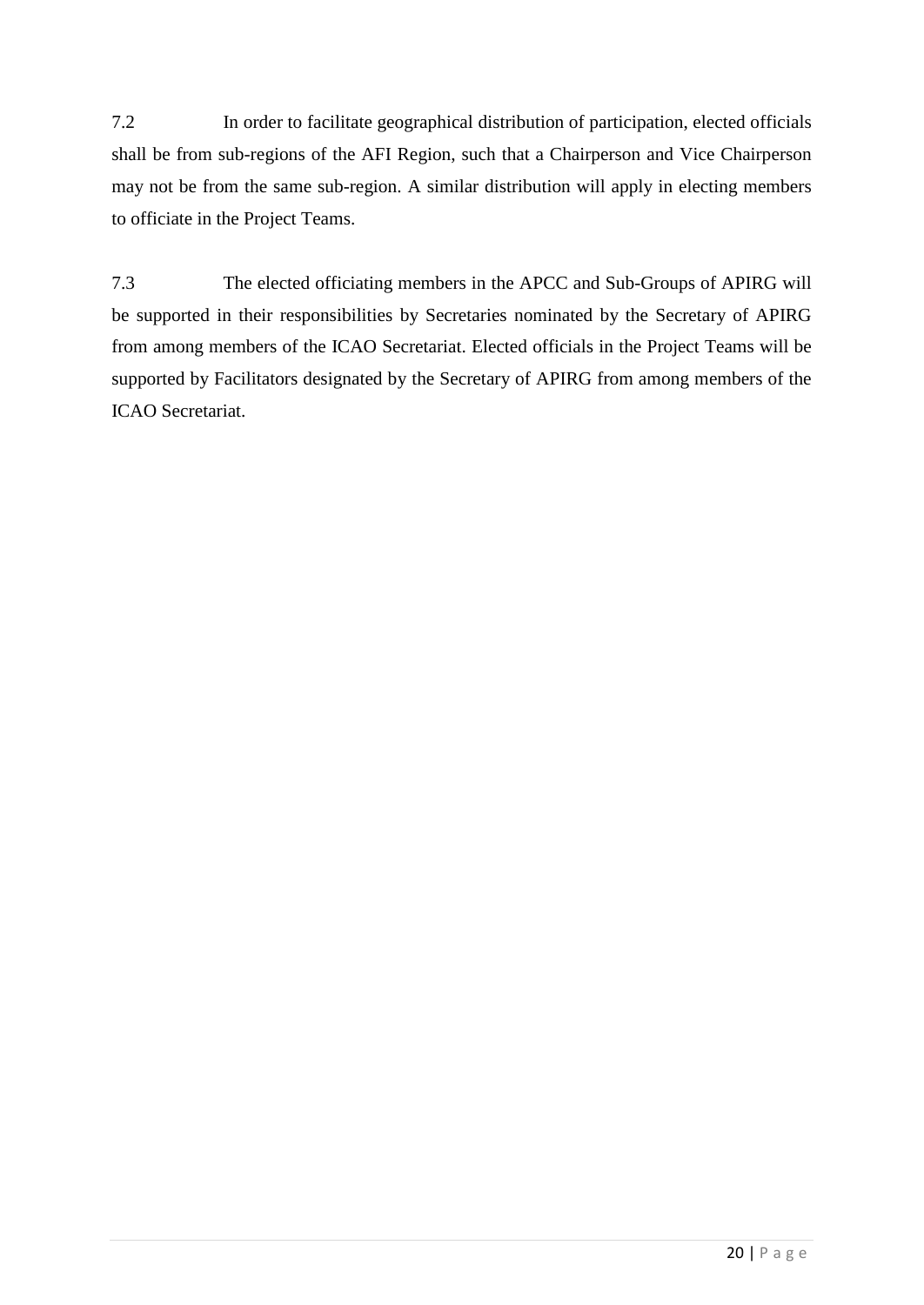7.2 In order to facilitate geographical distribution of participation, elected officials shall be from sub-regions of the AFI Region, such that a Chairperson and Vice Chairperson may not be from the same sub-region. A similar distribution will apply in electing members to officiate in the Project Teams.

7.3 The elected officiating members in the APCC and Sub-Groups of APIRG will be supported in their responsibilities by Secretaries nominated by the Secretary of APIRG from among members of the ICAO Secretariat. Elected officials in the Project Teams will be supported by Facilitators designated by the Secretary of APIRG from among members of the ICAO Secretariat.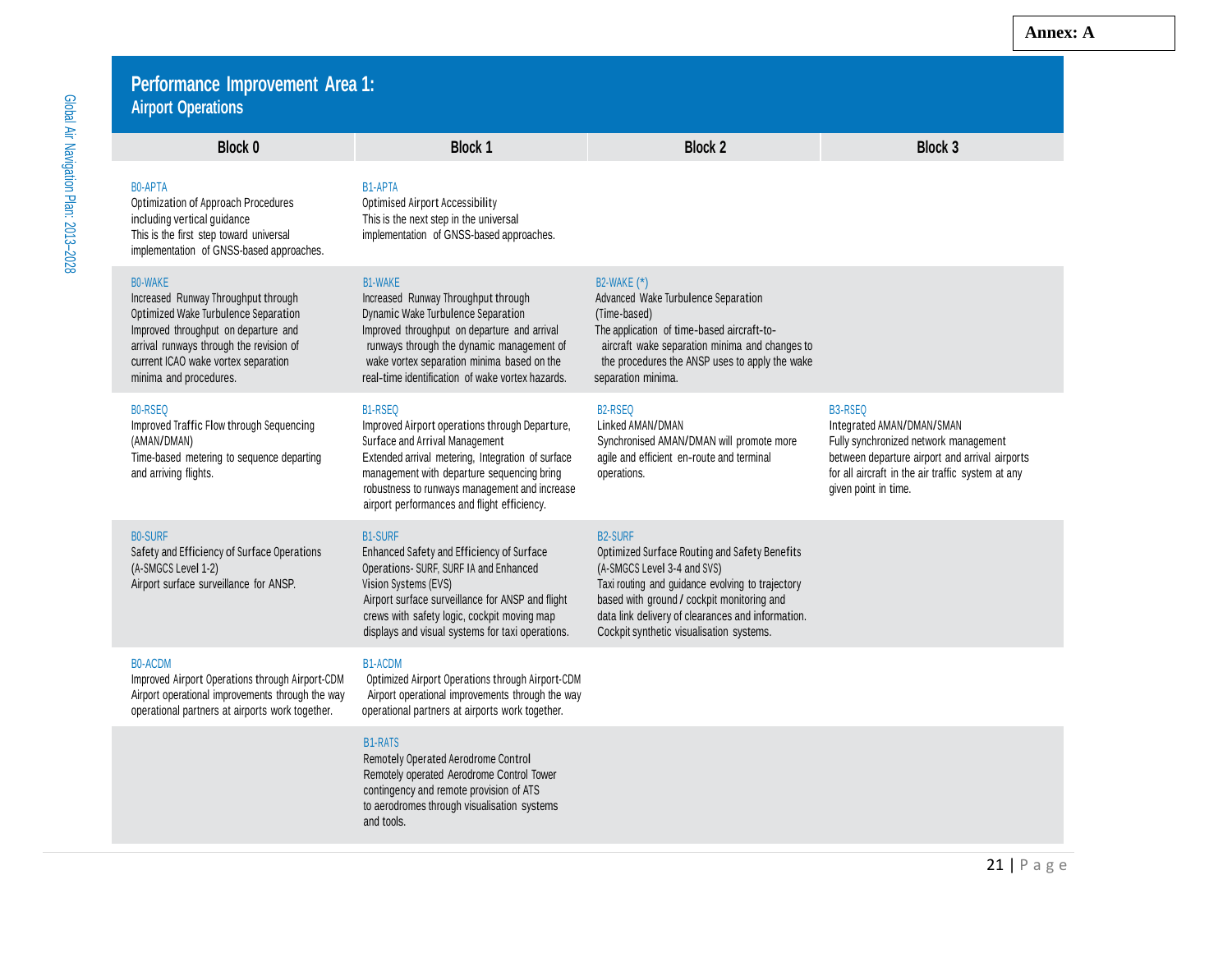| Š        |
|----------|
| ≧        |
|          |
| ומווי הא |
| ì        |
| ř        |

### **Performance Improvement Area 1: Airport Operations**

B0-APTA B1-APTA Optimization of Approach Procedures Optimised Airport Accessibility including vertical guidance This is the next step in the universal This is the first step toward universal implementation of GNSS-based approaches.

Optimized Wake Turbulence Separation Dynamic Wake Turbulence Separation (Time-based) minima and procedures. The real-time identification of wake vortex hazards. Separation minima.

implementation of GNSS-based approaches.

Improved Traffic Flow through Sequencing Improved Airport operations through Departure, Linked AMAN/DMAN Integrated AMAN/DMAN/SMAN

### B0-SURF B2-SURF B2-SURF B1-SURF B1-SURF B1-SURF B2-SURF B2-SURF

Safety and Efficiency of Surface Operations Enhanced Safety and Efficiency of Surface Optimized Surface Routing and Safety Benefits (A-SMGCS Level 1-2) Operations- SURF, SURF IA and Enhanced (A-SMGCS Level 3-4 and SVS)

### B0-ACDM B1-ACDM

operational partners at airports work together. operational partners at airports work together.

Improved Airport Operations through Airport-CDM Optimized Airport Operations through Airport-CDM Airport operational improvements through the way Airport operational improvements through the way

airport performances and flight efficiency.

### B1-RATS

Remotely Operated Aerodrome Control Remotely operated Aerodrome Control Tower contingency and remote provision of ATS to aerodromes through visualisation systems and tools.

### B0-WAKE B1-WAKE B2-WAKE (\*)

**Block 0 Block 1 Block 2 Block 3**

Increased Runway Throughput through Increased Runway Throughput through Advanced Wake Turbulence Separation Improved throughput on departure and Improved throughput on departure and arrival The application of time-based aircraft-toarrival runways through the revision of runways through the dynamic management of aircraft wake separation minima and changes to current ICAO wake vortex separation wake vortex separation minima based on the the procedures the ANSP uses to apply the wake

### B0-RSEQ B1-RSEQ B2-RSEQ B3-RSEQ

(AMAN/DMAN) Surface and Arrival Management Synchronised AMAN/DMAN will promote more Fully synchronized network management Time-based metering to sequence departing Extended arrival metering, Integration of surface agile and efficient en-route and terminal between departure airport and arrival airports and arriving flights. The air traffic system at any management with departure sequencing bring operations. The section of the air traffic system at any

robustness to runways management and increase given point in time.

Airport surface surveillance for ANSP. Vision Systems (EVS) Taxi routing and guidance evolving to trajectory Airport surface surveillance for ANSP and flight based with ground / cockpit monitoring and crews with safety logic, cockpit moving map data link delivery of clearances and information. displays and visual systems for taxi operations. Cockpit synthetic visualisation systems.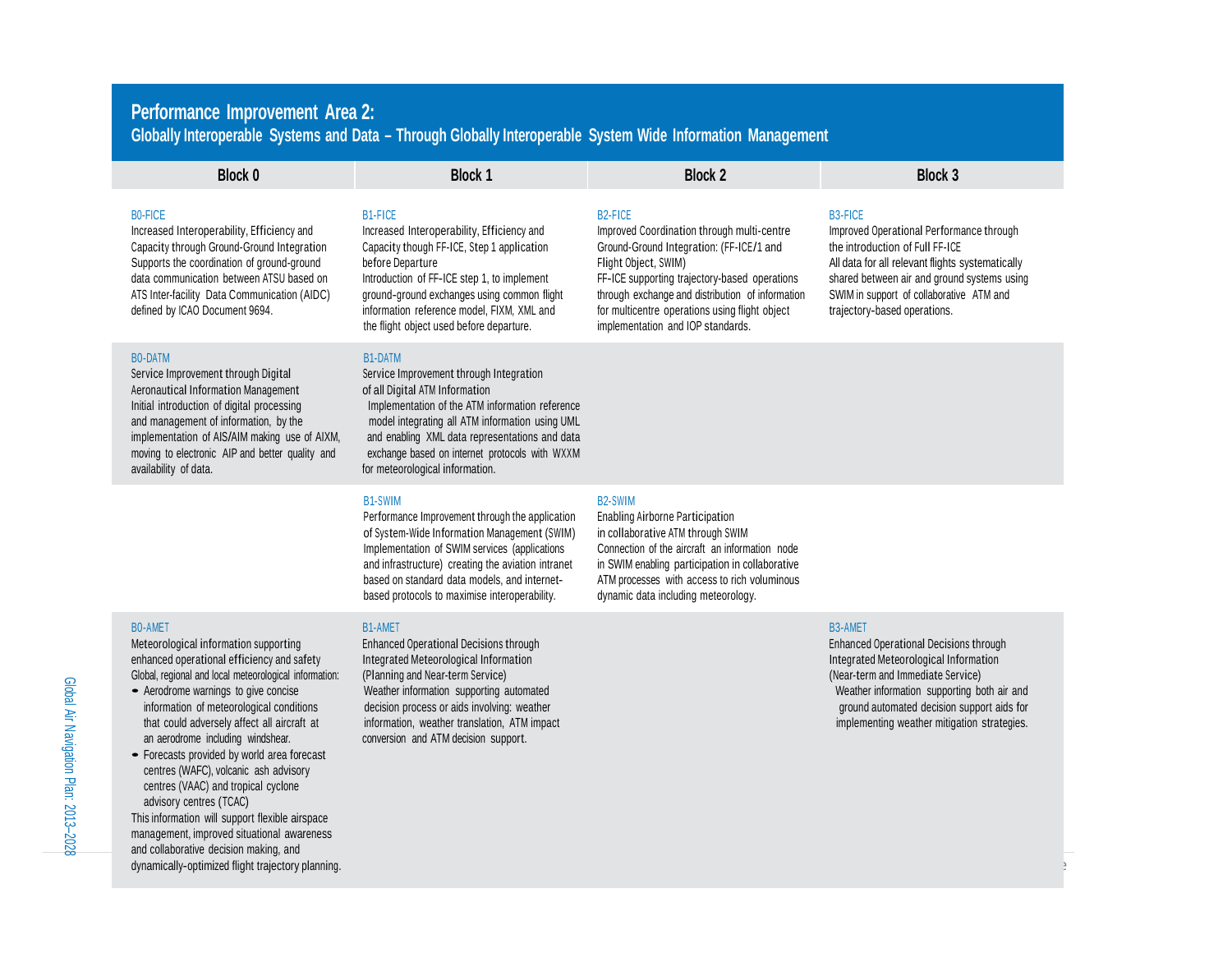## **Performance Improvement Area 2: Globally Interoperable Systems and Data – Through Globally Interoperable System Wide Information Management**

| <b>Block 0</b>                                                                                                                                                                                                                                                                                                   | <b>Block 1</b>                                                                                                                                                                                                                                                                                                                           | <b>Block 2</b>                                                                                                                                                                                                                                                                                                                     | <b>Block 3</b>                                                                                                                                                                                                                                                               |
|------------------------------------------------------------------------------------------------------------------------------------------------------------------------------------------------------------------------------------------------------------------------------------------------------------------|------------------------------------------------------------------------------------------------------------------------------------------------------------------------------------------------------------------------------------------------------------------------------------------------------------------------------------------|------------------------------------------------------------------------------------------------------------------------------------------------------------------------------------------------------------------------------------------------------------------------------------------------------------------------------------|------------------------------------------------------------------------------------------------------------------------------------------------------------------------------------------------------------------------------------------------------------------------------|
| <b>BO-FICE</b><br>Increased Interoperability, Efficiency and<br>Capacity through Ground-Ground Integration<br>Supports the coordination of ground-ground<br>data communication between ATSU based on<br>ATS Inter-facility Data Communication (AIDC)<br>defined by ICAO Document 9694.                           | <b>B1-FICE</b><br>Increased Interoperability, Efficiency and<br>Capacity though FF-ICE, Step 1 application<br>before Departure<br>Introduction of FF-ICE step 1, to implement<br>ground-ground exchanges using common flight<br>information reference model, FIXM, XML and<br>the flight object used before departure.                   | B <sub>2</sub> -FICE<br>Improved Coordination through multi-centre<br>Ground-Ground Integration: (FF-ICE/1 and<br>Flight Object, SWIM)<br>FF-ICE supporting trajectory-based operations<br>through exchange and distribution of information<br>for multicentre operations using flight object<br>implementation and IOP standards. | <b>B3-FICE</b><br>Improved Operational Performance through<br>the introduction of Full FF-ICE<br>All data for all relevant flights systematically<br>shared between air and ground systems using<br>SWIM in support of collaborative ATM and<br>trajectory-based operations. |
| <b>BO-DATM</b><br>Service Improvement through Digital<br>Aeronautical Information Management<br>Initial introduction of digital processing<br>and management of information, by the<br>implementation of AIS/AIM making use of AIXM,<br>moving to electronic AIP and better quality and<br>availability of data. | <b>B1-DATM</b><br>Service Improvement through Integration<br>of all Digital ATM Information<br>Implementation of the ATM information reference<br>model integrating all ATM information using UML<br>and enabling XML data representations and data<br>exchange based on internet protocols with WXXM<br>for meteorological information. |                                                                                                                                                                                                                                                                                                                                    |                                                                                                                                                                                                                                                                              |
|                                                                                                                                                                                                                                                                                                                  | <b>B1-SWIM</b><br>Performance Improvement through the application<br>of System-Wide Information Management (SWIM)<br>Implementation of SWIM services (applications<br>and infrastructure) creating the aviation intranet<br>based on standard data models, and internet-<br>based protocols to maximise interoperability.                | <b>B2-SWIM</b><br><b>Enabling Airborne Participation</b><br>in collaborative ATM through SWIM<br>Connection of the aircraft an information node<br>in SWIM enabling participation in collaborative<br>ATM processes with access to rich voluminous<br>dynamic data including meteorology.                                          |                                                                                                                                                                                                                                                                              |
| <b>BO-AMET</b><br>Meteorological information supporting<br>enhanced operational efficiency and safety<br>Global, regional and local meteorological information:<br>- Aerodrome warnings to give concise                                                                                                          | <b>B1-AMET</b><br><b>Enhanced Operational Decisions through</b><br>Integrated Meteorological Information<br>(Planning and Near-term Service)<br>Weather information supporting automated                                                                                                                                                 |                                                                                                                                                                                                                                                                                                                                    | <b>B3-AMET</b><br><b>Enhanced Operational Decisions through</b><br>Integrated Meteorological Information<br>(Near-term and Immediate Service)<br>Weather information supporting both air and                                                                                 |

- that could adversely affect all aircraft at information, weather translation, ATM impact impact in the strategies in the interval of the strategies.<br>
an aerodrome including windshear. Conversion and ATM decision support.
- Forecasts provided by world area forecast centres (WAFC), volcanic ash advisory centres (VAAC) and tropical cyclone advisory centres (TCAC) This information will support flexible airspace

management, improved situational awareness and collaborative decision making, and dynamically-optimized flight trajectory planning. conversion and ATM decision support.

information of meteorological conditions decision process or aids involving: weather decision support aids for<br>
that could adversely affect all aircraft at information, weather translation, ATM impact that could adversely

Global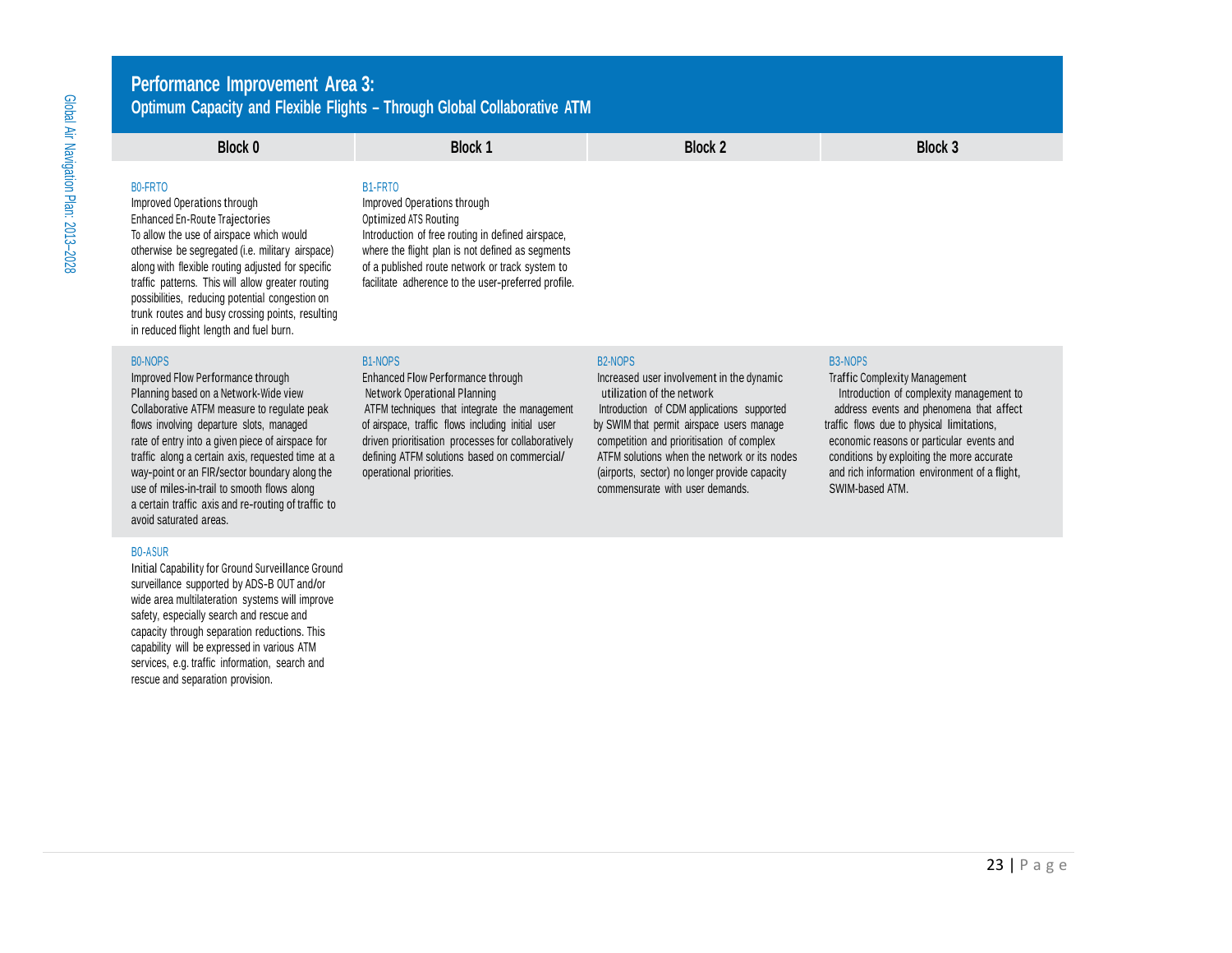## **Performance Improvement Area 3: Optimum Capacity and Flexible Flights – Through Global Collaborative ATM**

# **Block 0 Block 1 Block 2 Block 3**

### B0-FRTO B1-FRTO

Improved Operations through Improved Operations through Enhanced En-Route Trajectories **Contained ATS Routing**<br>To allow the use of airspace which would by Detroduction of free rou possibilities, reducing potential congestion on trunk routes and busy crossing points, resulting in reduced flight length and fuel burn.

Improved Flow Performance through **Improved Flow Performance through** Increased user involvement in the dynamic Traffic Complexity Management<br>Planning based on a Network-Wide view **Network Operational Planning increased** u use of miles-in-trail to smooth flows along comments are comments and comments with user demands. SWIM-based ATM. a certain traffic axis and re-routing of traffic to avoid saturated areas.

### B0-ASUR

Initial Capability for Ground Surveillance Ground surveillance supported by ADS-B OUT and/or wide area multilateration systems will improve safety, especially search and rescue and capacity through separation reductions. This capability will be expressed in various ATM services, e.g. traffic information, search and rescue and separation provision.

Introduction of free routing in defined airspace, otherwise be segregated (i.e. military airspace) where the flight plan is not defined as segments along with flexible routing adjusted for specific of a published route network or track system to of a published route network or track system to traffic patterns. This will allow greater routing facilitate adherence to the user-preferred profile.

### B0-NOPS B1-NOPS B2-NOPS B3-NOPS

Planning based on a Network-Wide view Network Operational Planning under the structure of the network introduction of complexity management to return to the network introduction of complexity management to Collaborative ATFM measure to regulate peak ATFM techniques that integrate the management Introduction of CDM applications supported address events and phenomena that affect flows involving departure slots, managed of airspace, traffic flows including initial user by SWIM that permit airspace users manage traffic flows due to physical limitations, rate of entry into a given piece of airspace for driven prioritisation processes for collaboratively competition and prioritisation of complex economic reasons or particular events and traffic along a certain axis, requested time at a defining ATFM solutions based on commercial/ ATFM solutions when the network or its nodes conditions by exploiting the more accurate way-point or an FIR/sector boundary alo way-point or an FIR/sector boundary along the operational priorities. (airports, sector) no longer provide capacity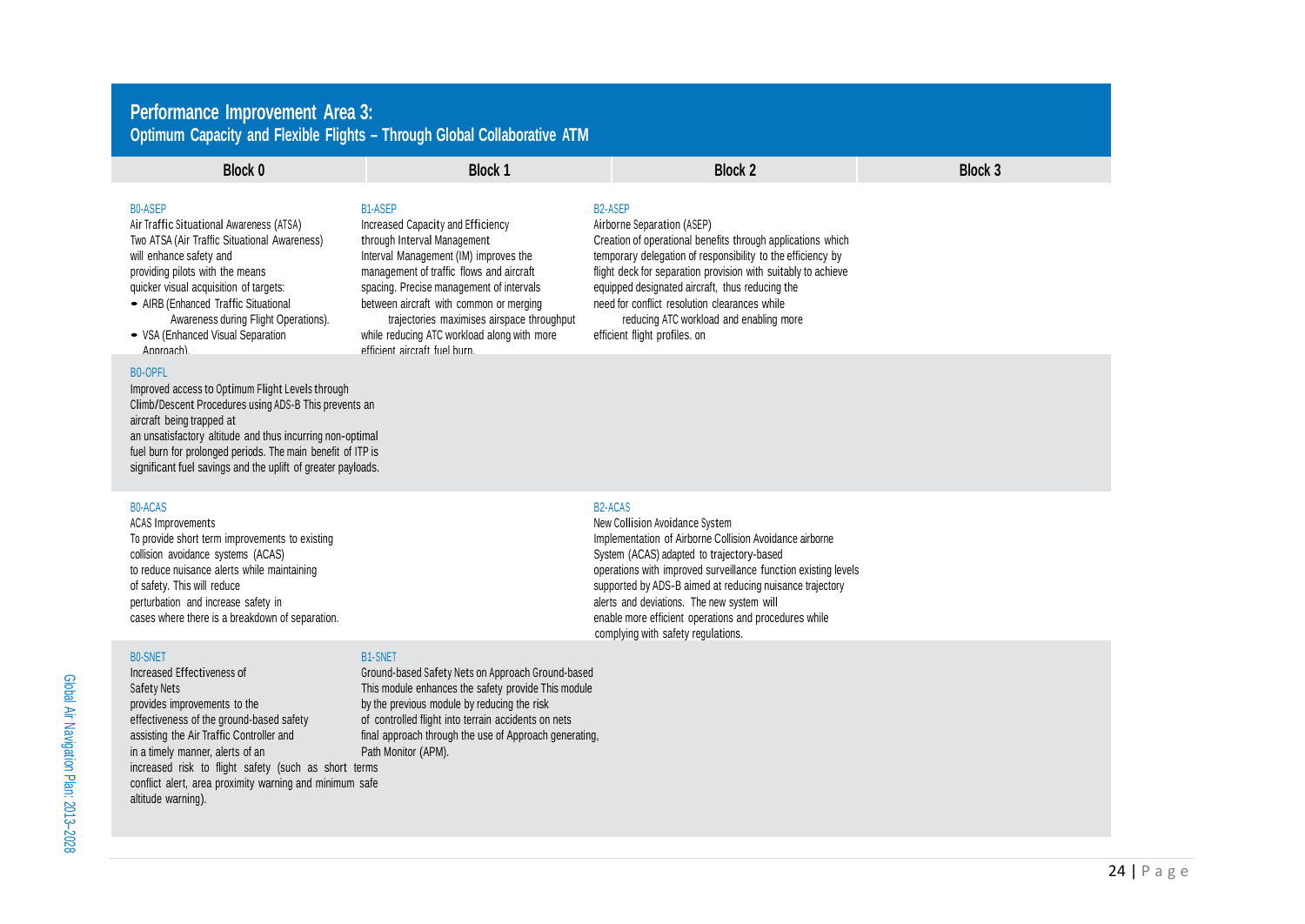## **Performanc e Imp rovemen t A r e a 3: Collaborative** ATM and Fiexible Fiights – Through Global Collaborative ATM

| <b>Block 0</b>                                                                                                                                                                                                                                                                                                                                        | <b>Block 1</b>                                                                                                                                                                                                                                                                                                                                                                              | <b>Block 2</b>                                                                                                                                                                                                                                                                                                                                                                                                              | <b>Block 3</b> |
|-------------------------------------------------------------------------------------------------------------------------------------------------------------------------------------------------------------------------------------------------------------------------------------------------------------------------------------------------------|---------------------------------------------------------------------------------------------------------------------------------------------------------------------------------------------------------------------------------------------------------------------------------------------------------------------------------------------------------------------------------------------|-----------------------------------------------------------------------------------------------------------------------------------------------------------------------------------------------------------------------------------------------------------------------------------------------------------------------------------------------------------------------------------------------------------------------------|----------------|
| <b>BO-ASEP</b><br>Air Traffic Situational Awareness (ATSA)<br>Two ATSA (Air Traffic Situational Awareness)<br>will enhance safety and<br>providing pilots with the means<br>quicker visual acquisition of targets:<br>• AIRB (Enhanced Traffic Situational<br>Awareness during Flight Operations).<br>• VSA (Enhanced Visual Separation<br>Approach). | <b>B1-ASEP</b><br>Increased Capacity and Efficiency<br>through Interval Management<br>Interval Management (IM) improves the<br>management of traffic flows and aircraft<br>spacing. Precise management of intervals<br>between aircraft with common or merging<br>trajectories maximises airspace throughput<br>while reducing ATC workload along with more<br>efficient aircraft fuel burn | <b>B2-ASEP</b><br>Airborne Separation (ASEP)<br>Creation of operational benefits through applications which<br>temporary delegation of responsibility to the efficiency by<br>flight deck for separation provision with suitably to achieve<br>equipped designated aircraft, thus reducing the<br>need for conflict resolution clearances while<br>reducing ATC workload and enabling more<br>efficient flight profiles, on |                |
| <b>BO-OPFL</b><br>Improved access to Optimum Flight Levels through                                                                                                                                                                                                                                                                                    |                                                                                                                                                                                                                                                                                                                                                                                             |                                                                                                                                                                                                                                                                                                                                                                                                                             |                |

Climb/Descent Procedures using ADS-B This prevents an aircraft being trapped at an unsatisfactory altitude and thus incurring non-optimal fuel burn for prolonged periods. The main benefit of ITP is significant fuel savings and the uplift of greater payloads.

### DU-AUAƏ

ACAS Improvements To provide short term improvements to existing collision a voidanc e s ystems ( ACA S ) to reduce nuisance aierts while maintainin g op or sarety. This will reduc e substitution of the substitution of the substitution of the substitution of the substitution of the substitu perturbation and increase safety in cases where there is a breakdown of sep aration. enab

### BU-SINE I

Increased Effectiveness of Safety Nets provides improvements to th errectiveness or the ground-based safety assisting the Air Traffic Controller and in a timely manner, alerts of an increased risk to flight safety (such as short terms conflict alert, area proximity warning and minimum safe altitude warning).

### B1-SNET

Ground-based Safety Nets on Approach Ground-based This module enhances the safety provide This module e by the previous module by reducing the risk or controlled flight into terrain accidents on nets final approacn tnrougn the use of Approacn generating, Path Monitor (APM).

### BZ-AUAS

New Collision Avoidance System Implementation of Airborne Collision Avoidance airborne System (ACAS) adapted to trajectory-based erations with improved surveillance function existing levels pported by ADS-B aimed at reducing nuisance trajectory alerts and deviations. The new system will le more efficient operations and procedures while complying with safety regulations.

Global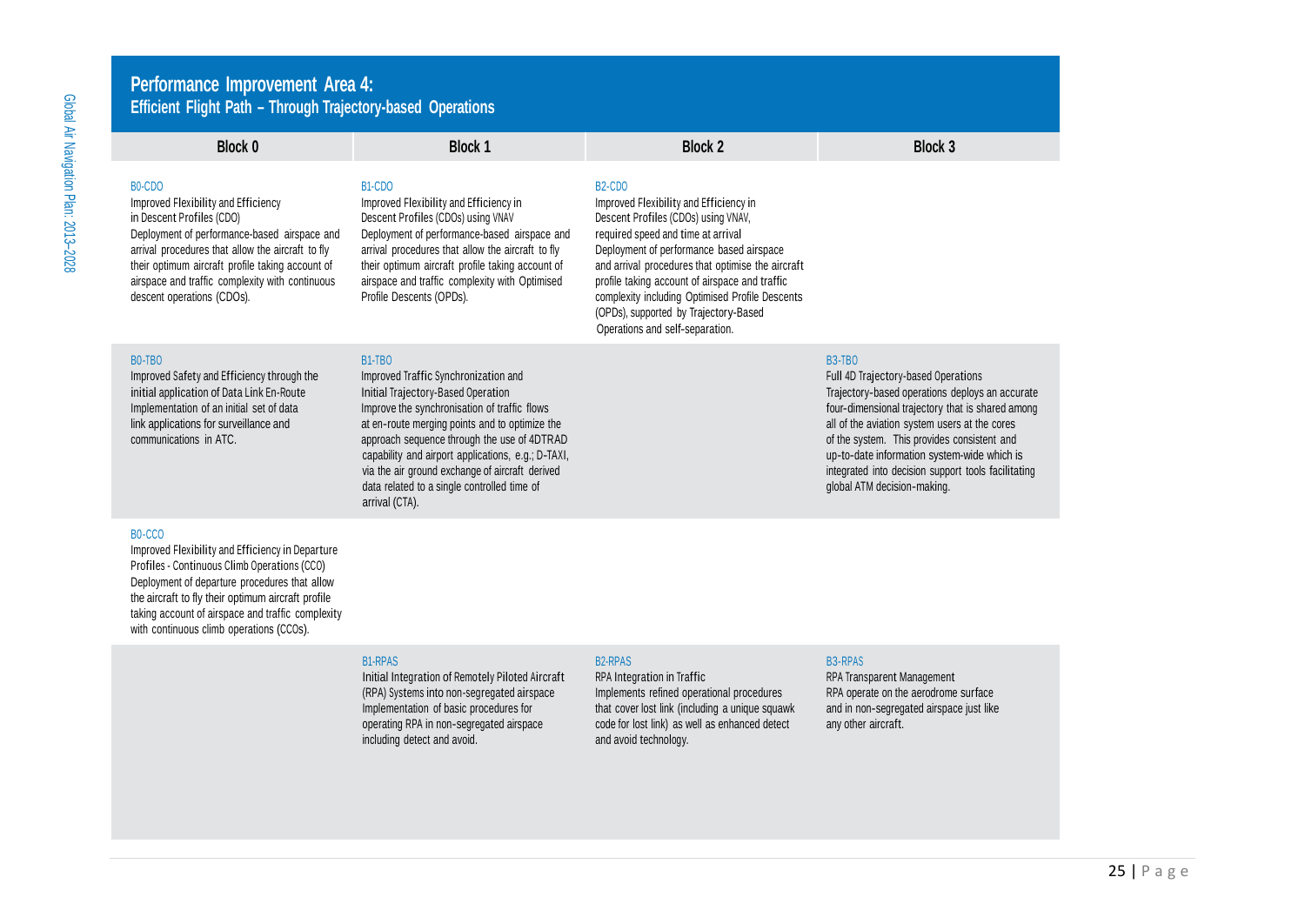## **Performance Improvement Area 4: Efficient Flight Path – Through Trajectory-based Operations**

| Block 0                                                                                                                                                                                                                                                                                                                                        | <b>Block 1</b>                                                                                                                                                                                                                                                                                                                                                                                                         | <b>Block 2</b>                                                                                                                                                                                                                                                                                                                                                                                                                           | Block 3                                                                                                                                                                                                                                                                                                                                                                                          |
|------------------------------------------------------------------------------------------------------------------------------------------------------------------------------------------------------------------------------------------------------------------------------------------------------------------------------------------------|------------------------------------------------------------------------------------------------------------------------------------------------------------------------------------------------------------------------------------------------------------------------------------------------------------------------------------------------------------------------------------------------------------------------|------------------------------------------------------------------------------------------------------------------------------------------------------------------------------------------------------------------------------------------------------------------------------------------------------------------------------------------------------------------------------------------------------------------------------------------|--------------------------------------------------------------------------------------------------------------------------------------------------------------------------------------------------------------------------------------------------------------------------------------------------------------------------------------------------------------------------------------------------|
| B <sub>0</sub> -C <sub>D</sub> O<br>Improved Flexibility and Efficiency<br>in Descent Profiles (CDO)<br>Deployment of performance-based airspace and<br>arrival procedures that allow the aircraft to fly<br>their optimum aircraft profile taking account of<br>airspace and traffic complexity with continuous<br>descent operations (CDOs). | B <sub>1</sub> -C <sub>D</sub> O<br>Improved Flexibility and Efficiency in<br>Descent Profiles (CDOs) using VNAV<br>Deployment of performance-based airspace and<br>arrival procedures that allow the aircraft to fly<br>their optimum aircraft profile taking account of<br>airspace and traffic complexity with Optimised<br>Profile Descents (OPDs).                                                                | B <sub>2</sub> -C <sub>DO</sub><br>Improved Flexibility and Efficiency in<br>Descent Profiles (CDOs) using VNAV,<br>required speed and time at arrival<br>Deployment of performance based airspace<br>and arrival procedures that optimise the aircraft<br>profile taking account of airspace and traffic<br>complexity including Optimised Profile Descents<br>(OPDs), supported by Trajectory-Based<br>Operations and self-separation. |                                                                                                                                                                                                                                                                                                                                                                                                  |
| <b>BO-TBO</b><br>Improved Safety and Efficiency through the<br>initial application of Data Link En-Route<br>Implementation of an initial set of data<br>link applications for surveillance and<br>communications in ATC.                                                                                                                       | <b>B1-TBO</b><br>Improved Traffic Synchronization and<br>Initial Trajectory-Based Operation<br>Improve the synchronisation of traffic flows<br>at en-route merging points and to optimize the<br>approach sequence through the use of 4DTRAD<br>capability and airport applications, e.g.; D-TAXI,<br>via the air ground exchange of aircraft derived<br>data related to a single controlled time of<br>arrival (CTA). |                                                                                                                                                                                                                                                                                                                                                                                                                                          | <b>B3-TBO</b><br>Full 4D Trajectory-based Operations<br>Trajectory-based operations deploys an accurate<br>four-dimensional trajectory that is shared among<br>all of the aviation system users at the cores<br>of the system. This provides consistent and<br>up-to-date information system-wide which is<br>integrated into decision support tools facilitating<br>global ATM decision-making. |

### B0-CCO

Improved Flexibility and Efficiency in Departure Profiles - Continuous Climb Operations (CCO) Deployment of departure procedures that allow the aircraft to fly their optimum aircraft profile taking account of airspace and traffic complexity with continuous climb operations (CCOs).

operating RPA in non-segregated airspace code for lost link) as well as enhanced detect and avoid the non-sengential and avoid technology.  $including$  detect and avoid.

### B1-RPAS B3-RPAS B3-RPAS B3-RPAS B3-RPAS B3-RPAS B3-RPAS B3-RPAS B3-RPAS B3-RPAS B3-RPAS

Initial Integration of Remotely Piloted Aircraft RPA Integration in Traffic **RPA REA Transparent Management**<br>(RPA) Systems into non-segregated airspace Implements refined operational procedures RPA operate on the aerodrome (RPA) Systems into non-segregated airspace Implements refined operational procedures RPA operate on the aerodrome surface<br>Implementation of basic procedures for that cover lost link (including a unique squawk and in non-se Implementation of that cover lost link (including a unique squawk and in non-segregated code for lost link) as well as enhanced detect any other aircraft.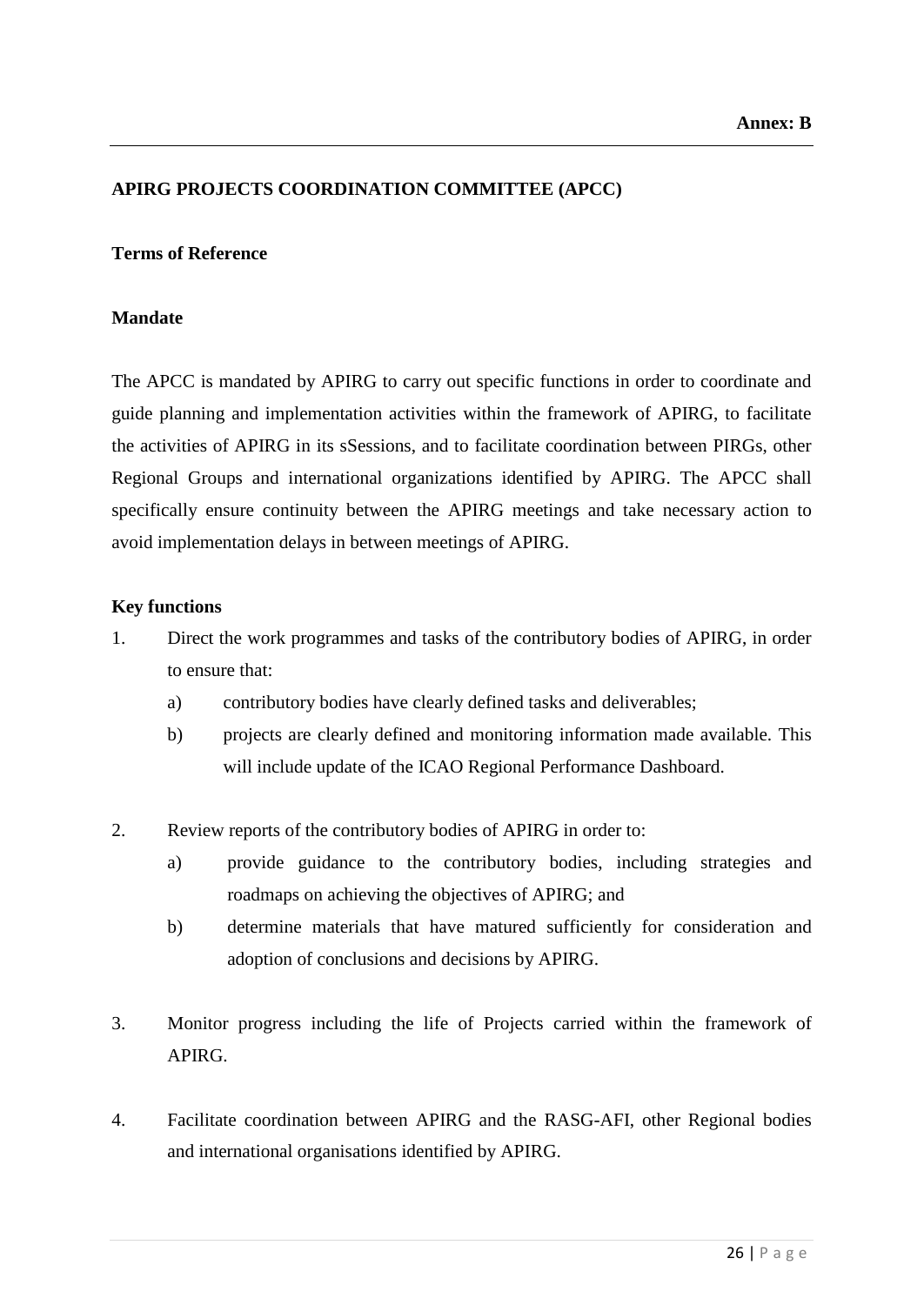### **APIRG PROJECTS COORDINATION COMMITTEE (APCC)**

### **Terms of Reference**

### **Mandate**

The APCC is mandated by APIRG to carry out specific functions in order to coordinate and guide planning and implementation activities within the framework of APIRG, to facilitate the activities of APIRG in its sSessions, and to facilitate coordination between PIRGs, other Regional Groups and international organizations identified by APIRG. The APCC shall specifically ensure continuity between the APIRG meetings and take necessary action to avoid implementation delays in between meetings of APIRG.

### **Key functions**

- 1. Direct the work programmes and tasks of the contributory bodies of APIRG, in order to ensure that:
	- a) contributory bodies have clearly defined tasks and deliverables;
	- b) projects are clearly defined and monitoring information made available. This will include update of the ICAO Regional Performance Dashboard.
- 2. Review reports of the contributory bodies of APIRG in order to:
	- a) provide guidance to the contributory bodies, including strategies and roadmaps on achieving the objectives of APIRG; and
	- b) determine materials that have matured sufficiently for consideration and adoption of conclusions and decisions by APIRG.
- 3. Monitor progress including the life of Projects carried within the framework of APIRG.
- 4. Facilitate coordination between APIRG and the RASG-AFI, other Regional bodies and international organisations identified by APIRG.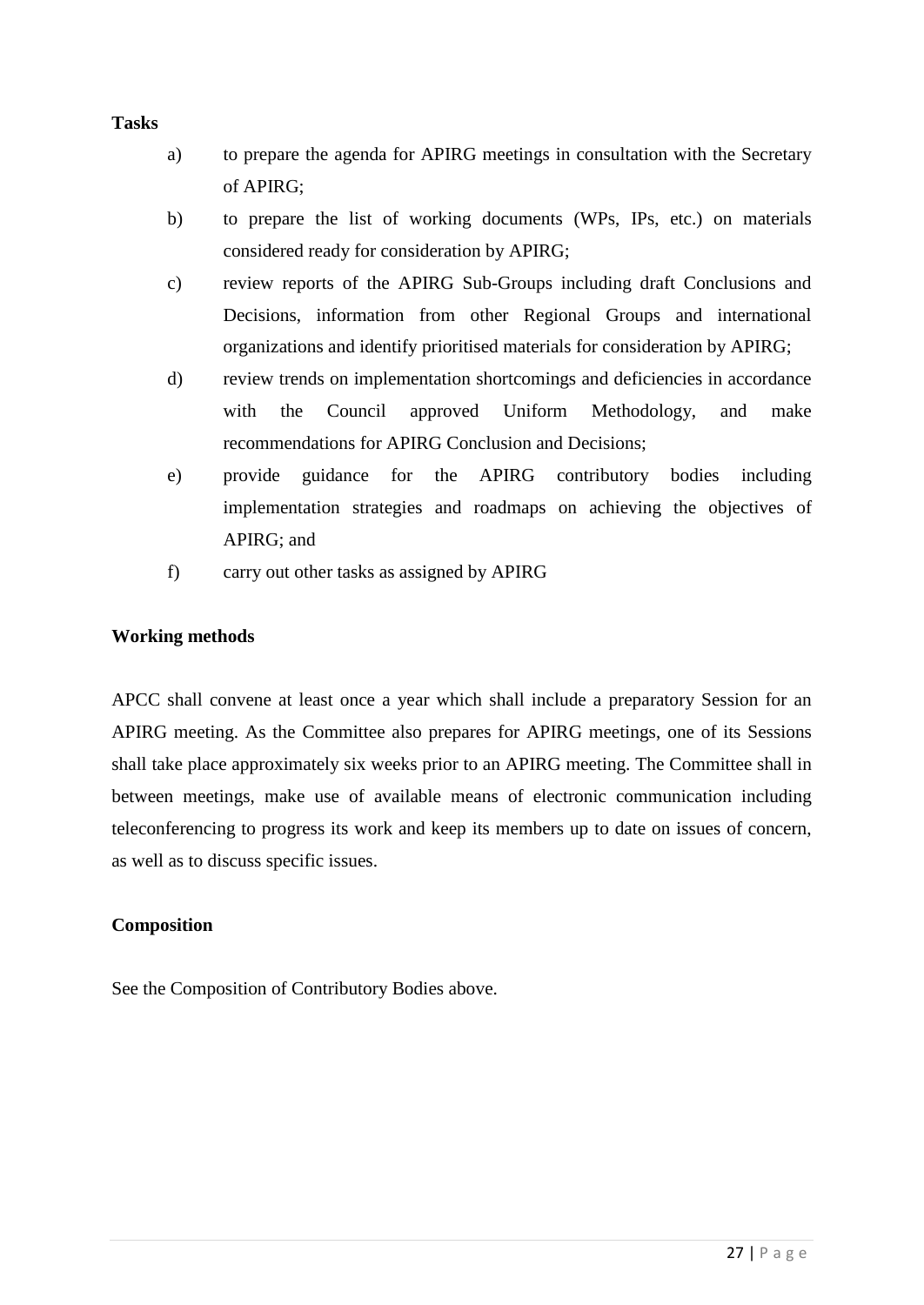### **Tasks**

- a) to prepare the agenda for APIRG meetings in consultation with the Secretary of APIRG;
- b) to prepare the list of working documents (WPs, IPs, etc.) on materials considered ready for consideration by APIRG;
- c) review reports of the APIRG Sub-Groups including draft Conclusions and Decisions, information from other Regional Groups and international organizations and identify prioritised materials for consideration by APIRG;
- d) review trends on implementation shortcomings and deficiencies in accordance with the Council approved Uniform Methodology, and make recommendations for APIRG Conclusion and Decisions;
- e) provide guidance for the APIRG contributory bodies including implementation strategies and roadmaps on achieving the objectives of APIRG; and
- f) carry out other tasks as assigned by APIRG

### **Working methods**

APCC shall convene at least once a year which shall include a preparatory Session for an APIRG meeting. As the Committee also prepares for APIRG meetings, one of its Sessions shall take place approximately six weeks prior to an APIRG meeting. The Committee shall in between meetings, make use of available means of electronic communication including teleconferencing to progress its work and keep its members up to date on issues of concern, as well as to discuss specific issues.

### **Composition**

See the Composition of Contributory Bodies above.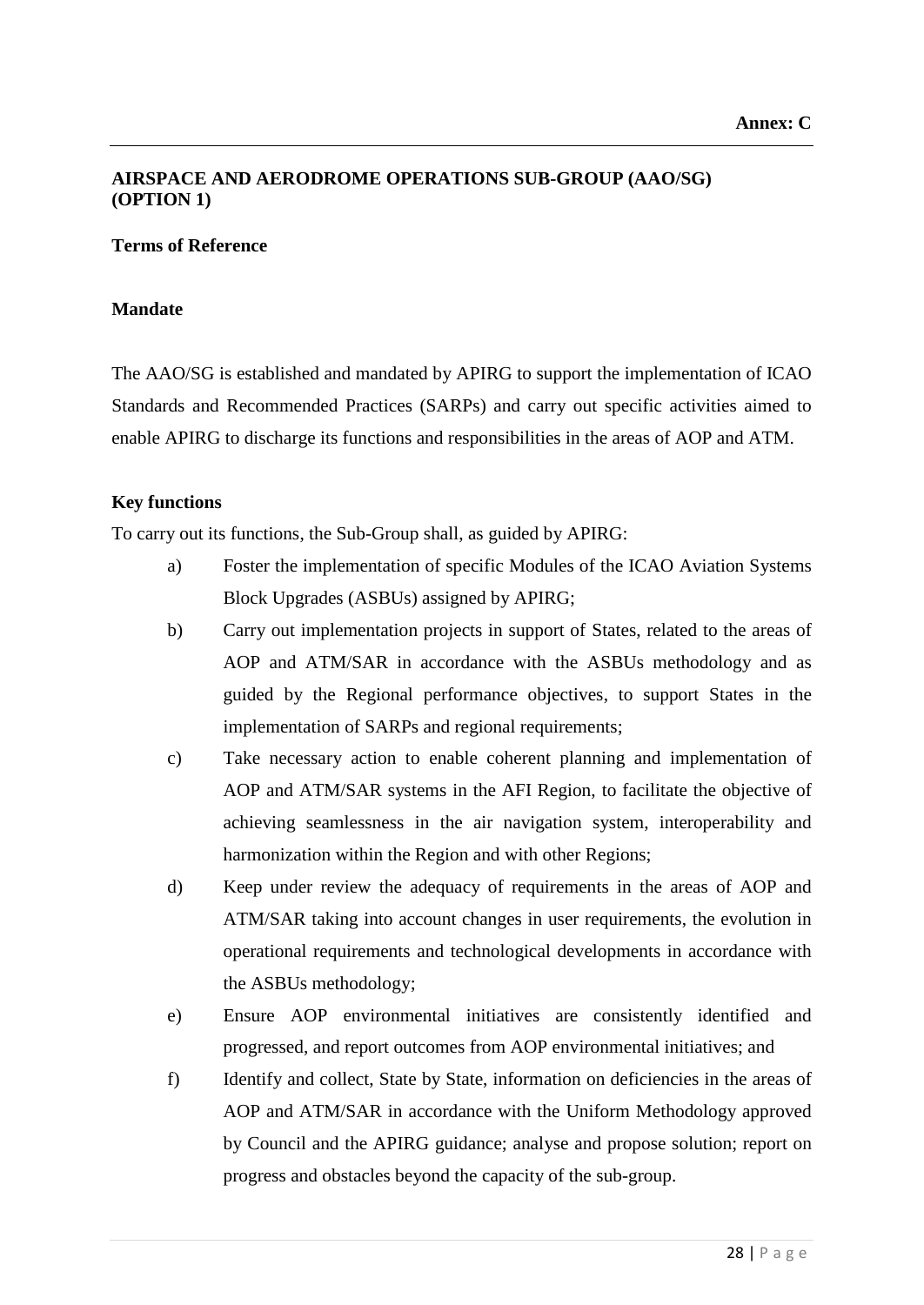### **AIRSPACE AND AERODROME OPERATIONS SUB-GROUP (AAO/SG) (OPTION 1)**

### **Terms of Reference**

### **Mandate**

The AAO/SG is established and mandated by APIRG to support the implementation of ICAO Standards and Recommended Practices (SARPs) and carry out specific activities aimed to enable APIRG to discharge its functions and responsibilities in the areas of AOP and ATM.

### **Key functions**

To carry out its functions, the Sub-Group shall, as guided by APIRG:

- a) Foster the implementation of specific Modules of the ICAO Aviation Systems Block Upgrades (ASBUs) assigned by APIRG;
- b) Carry out implementation projects in support of States, related to the areas of AOP and ATM/SAR in accordance with the ASBUs methodology and as guided by the Regional performance objectives, to support States in the implementation of SARPs and regional requirements;
- c) Take necessary action to enable coherent planning and implementation of AOP and ATM/SAR systems in the AFI Region, to facilitate the objective of achieving seamlessness in the air navigation system, interoperability and harmonization within the Region and with other Regions;
- d) Keep under review the adequacy of requirements in the areas of AOP and ATM/SAR taking into account changes in user requirements, the evolution in operational requirements and technological developments in accordance with the ASBUs methodology;
- e) Ensure AOP environmental initiatives are consistently identified and progressed, and report outcomes from AOP environmental initiatives; and
- f) Identify and collect, State by State, information on deficiencies in the areas of AOP and ATM/SAR in accordance with the Uniform Methodology approved by Council and the APIRG guidance; analyse and propose solution; report on progress and obstacles beyond the capacity of the sub-group.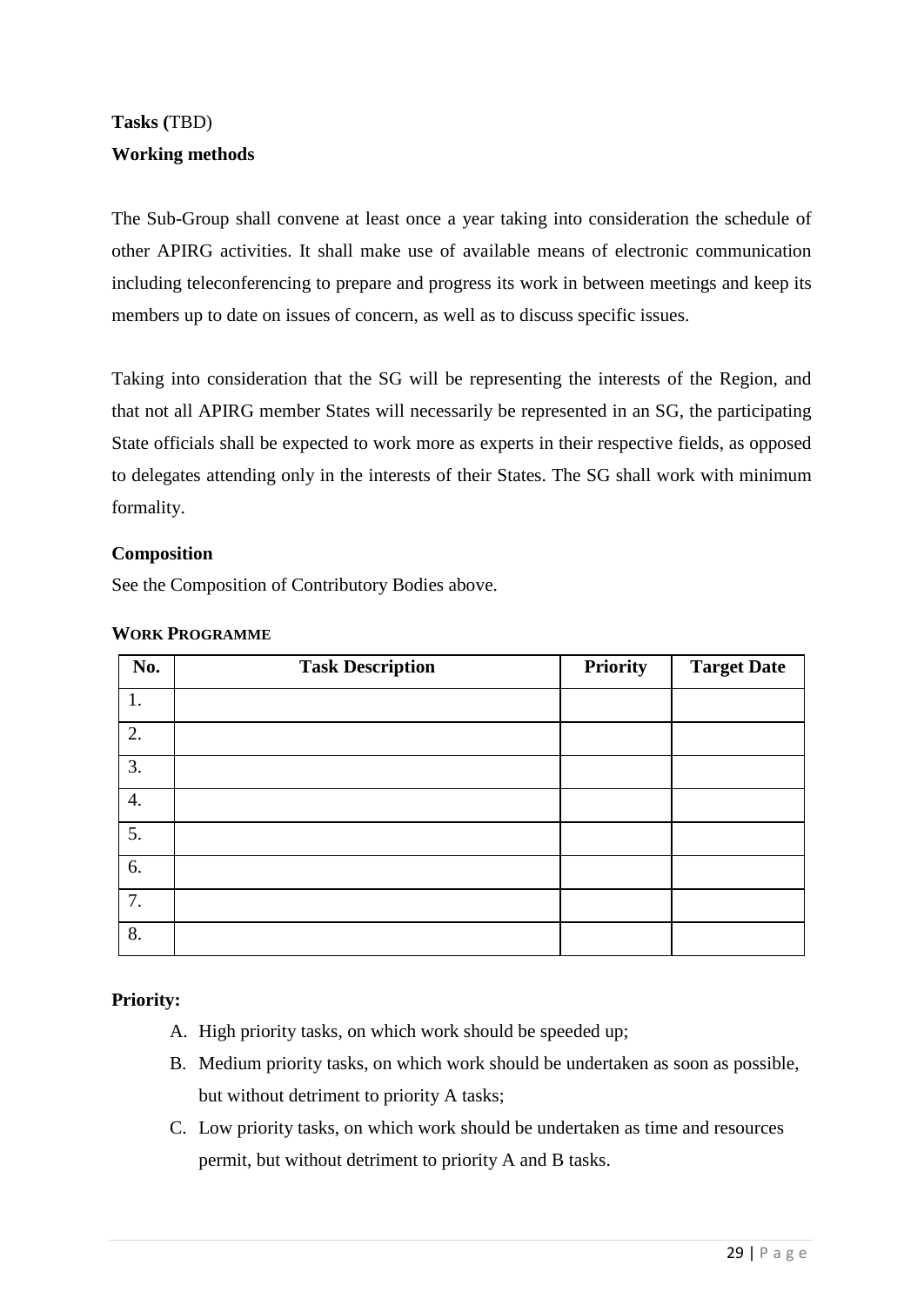# **Tasks (**TBD) **Working methods**

The Sub-Group shall convene at least once a year taking into consideration the schedule of other APIRG activities. It shall make use of available means of electronic communication including teleconferencing to prepare and progress its work in between meetings and keep its members up to date on issues of concern, as well as to discuss specific issues.

Taking into consideration that the SG will be representing the interests of the Region, and that not all APIRG member States will necessarily be represented in an SG, the participating State officials shall be expected to work more as experts in their respective fields, as opposed to delegates attending only in the interests of their States. The SG shall work with minimum formality.

### **Composition**

See the Composition of Contributory Bodies above.

| No. | <b>Task Description</b> | <b>Priority</b> | <b>Target Date</b> |
|-----|-------------------------|-----------------|--------------------|
| 1.  |                         |                 |                    |
| 2.  |                         |                 |                    |
| 3.  |                         |                 |                    |
| 4.  |                         |                 |                    |
| 5.  |                         |                 |                    |
| 6.  |                         |                 |                    |
| 7.  |                         |                 |                    |
| 8.  |                         |                 |                    |

### **WORK PROGRAMME**

### **Priority:**

- A. High priority tasks, on which work should be speeded up;
- B. Medium priority tasks, on which work should be undertaken as soon as possible, but without detriment to priority A tasks;
- C. Low priority tasks, on which work should be undertaken as time and resources permit, but without detriment to priority A and B tasks.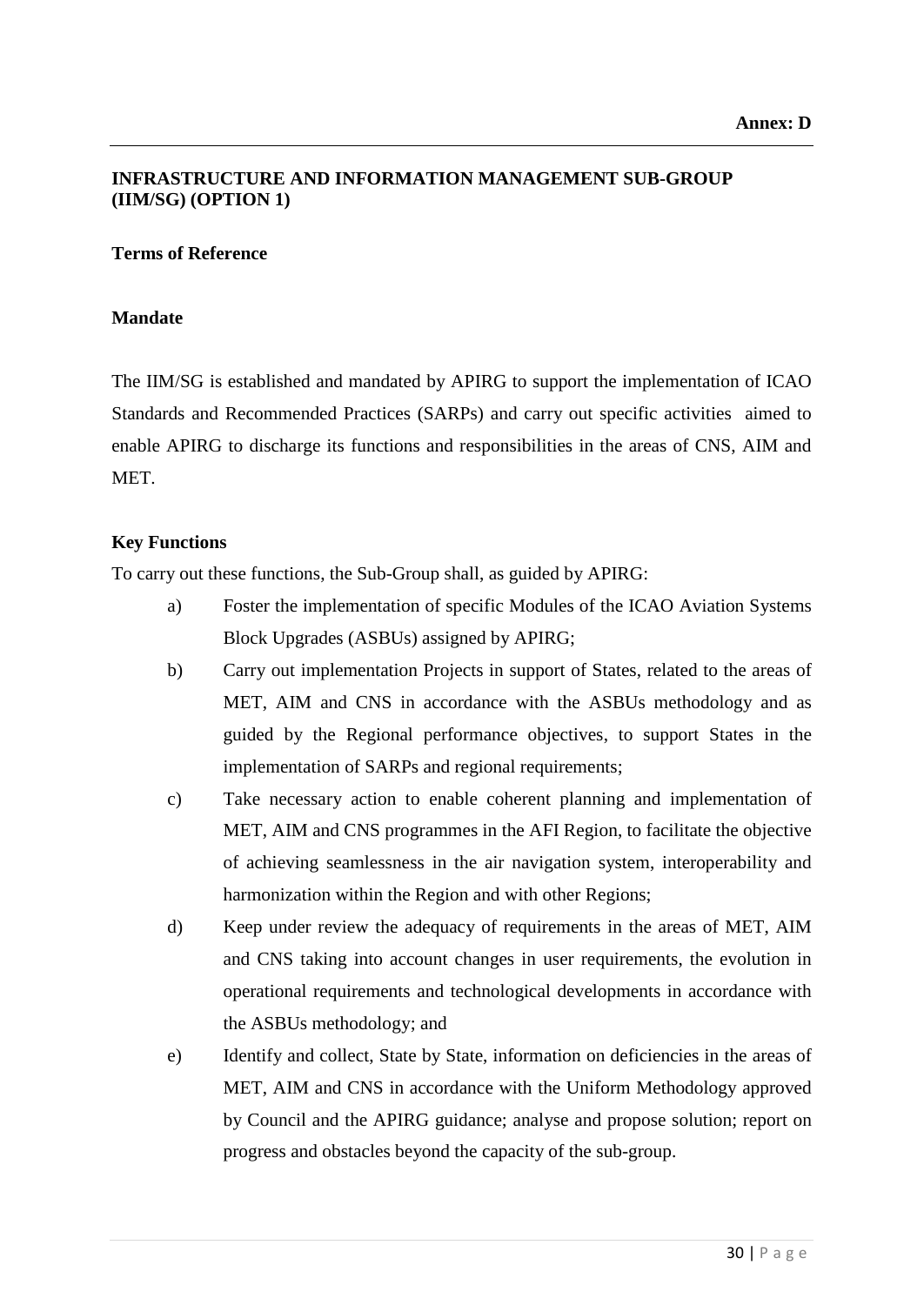## **INFRASTRUCTURE AND INFORMATION MANAGEMENT SUB-GROUP (IIM/SG) (OPTION 1)**

### **Terms of Reference**

### **Mandate**

The IIM/SG is established and mandated by APIRG to support the implementation of ICAO Standards and Recommended Practices (SARPs) and carry out specific activities aimed to enable APIRG to discharge its functions and responsibilities in the areas of CNS, AIM and MET.

### **Key Functions**

To carry out these functions, the Sub-Group shall, as guided by APIRG:

- a) Foster the implementation of specific Modules of the ICAO Aviation Systems Block Upgrades (ASBUs) assigned by APIRG;
- b) Carry out implementation Projects in support of States, related to the areas of MET, AIM and CNS in accordance with the ASBUs methodology and as guided by the Regional performance objectives, to support States in the implementation of SARPs and regional requirements;
- c) Take necessary action to enable coherent planning and implementation of MET, AIM and CNS programmes in the AFI Region, to facilitate the objective of achieving seamlessness in the air navigation system, interoperability and harmonization within the Region and with other Regions;
- d) Keep under review the adequacy of requirements in the areas of MET, AIM and CNS taking into account changes in user requirements, the evolution in operational requirements and technological developments in accordance with the ASBUs methodology; and
- e) Identify and collect, State by State, information on deficiencies in the areas of MET, AIM and CNS in accordance with the Uniform Methodology approved by Council and the APIRG guidance; analyse and propose solution; report on progress and obstacles beyond the capacity of the sub-group.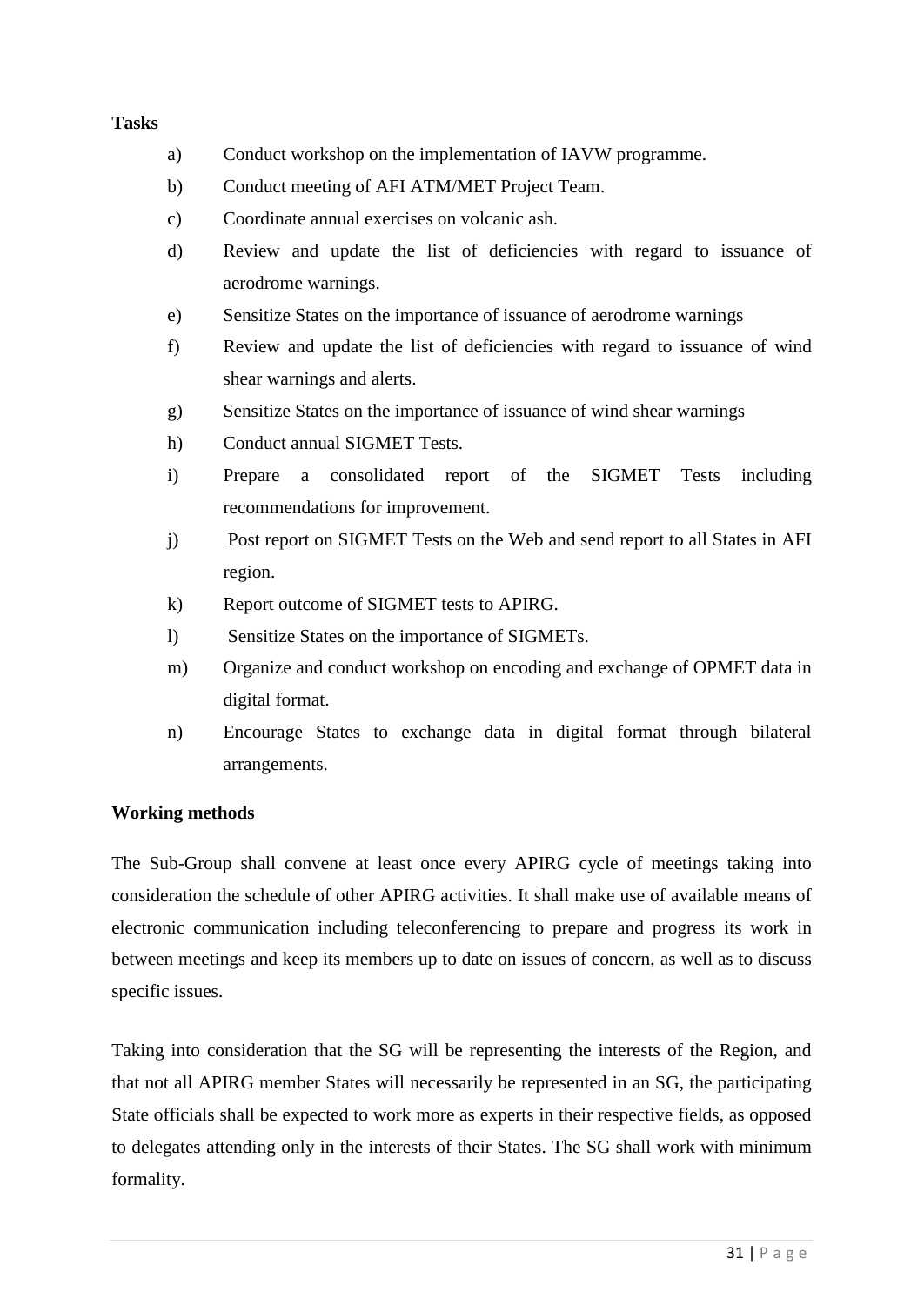### **Tasks**

- a) Conduct workshop on the implementation of IAVW programme.
- b) Conduct meeting of AFI ATM/MET Project Team.
- c) Coordinate annual exercises on volcanic ash.
- d) Review and update the list of deficiencies with regard to issuance of aerodrome warnings.
- e) Sensitize States on the importance of issuance of aerodrome warnings
- f) Review and update the list of deficiencies with regard to issuance of wind shear warnings and alerts.
- g) Sensitize States on the importance of issuance of wind shear warnings
- h) Conduct annual SIGMET Tests.
- i) Prepare a consolidated report of the SIGMET Tests including recommendations for improvement.
- j) Post report on SIGMET Tests on the Web and send report to all States in AFI region.
- k) Report outcome of SIGMET tests to APIRG.
- l) Sensitize States on the importance of SIGMETs.
- m) Organize and conduct workshop on encoding and exchange of OPMET data in digital format.
- n) Encourage States to exchange data in digital format through bilateral arrangements.

### **Working methods**

The Sub-Group shall convene at least once every APIRG cycle of meetings taking into consideration the schedule of other APIRG activities. It shall make use of available means of electronic communication including teleconferencing to prepare and progress its work in between meetings and keep its members up to date on issues of concern, as well as to discuss specific issues.

Taking into consideration that the SG will be representing the interests of the Region, and that not all APIRG member States will necessarily be represented in an SG, the participating State officials shall be expected to work more as experts in their respective fields, as opposed to delegates attending only in the interests of their States. The SG shall work with minimum formality.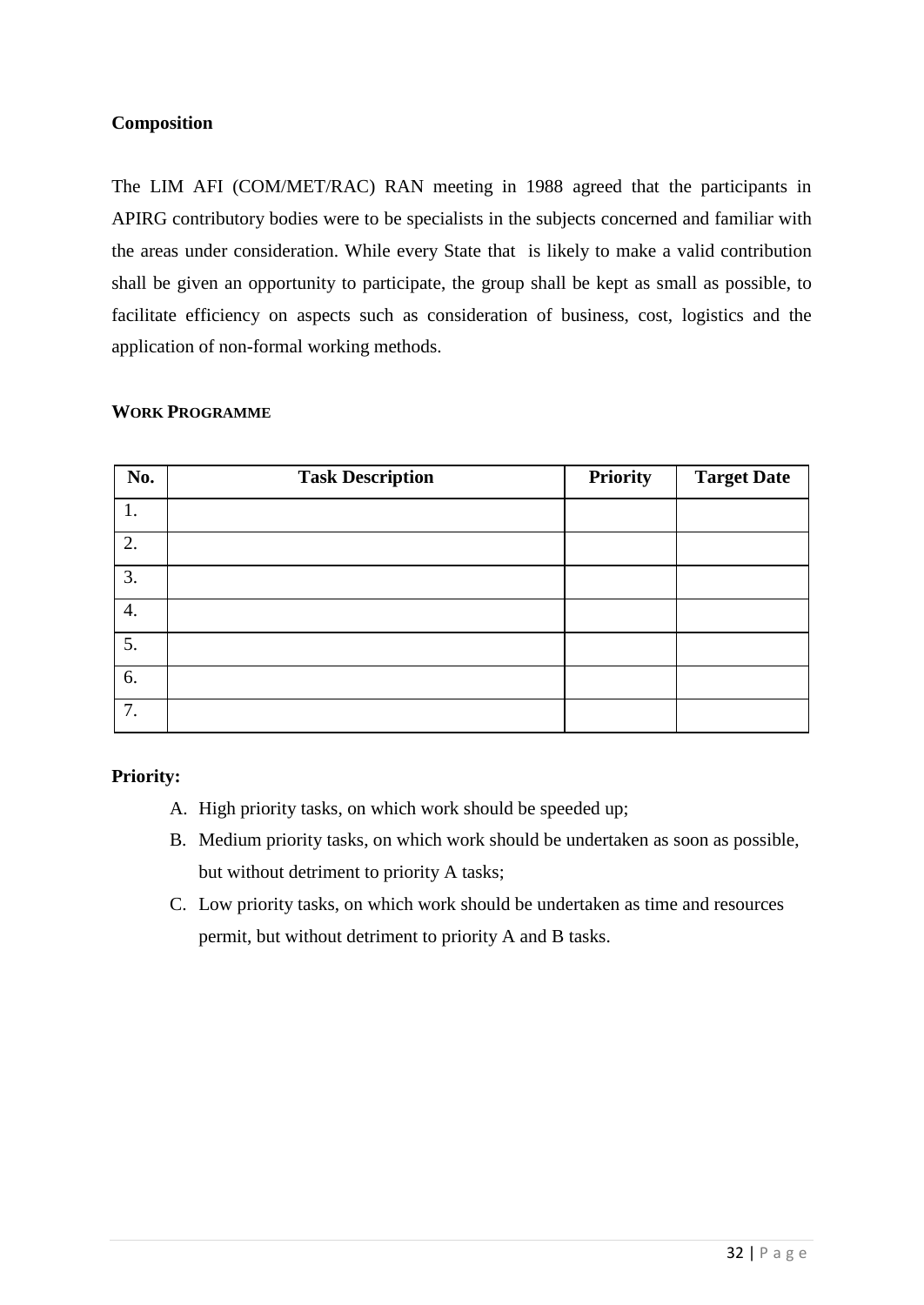### **Composition**

The LIM AFI (COM/MET/RAC) RAN meeting in 1988 agreed that the participants in APIRG contributory bodies were to be specialists in the subjects concerned and familiar with the areas under consideration. While every State that is likely to make a valid contribution shall be given an opportunity to participate, the group shall be kept as small as possible, to facilitate efficiency on aspects such as consideration of business, cost, logistics and the application of non-formal working methods.

### **WORK PROGRAMME**

| No. | <b>Task Description</b> | <b>Priority</b> | <b>Target Date</b> |
|-----|-------------------------|-----------------|--------------------|
|     |                         |                 |                    |
| 2.  |                         |                 |                    |
| 3.  |                         |                 |                    |
| 4.  |                         |                 |                    |
| 5.  |                         |                 |                    |
| 6.  |                         |                 |                    |
| 7.  |                         |                 |                    |

### **Priority:**

- A. High priority tasks, on which work should be speeded up;
- B. Medium priority tasks, on which work should be undertaken as soon as possible, but without detriment to priority A tasks;
- C. Low priority tasks, on which work should be undertaken as time and resources permit, but without detriment to priority A and B tasks.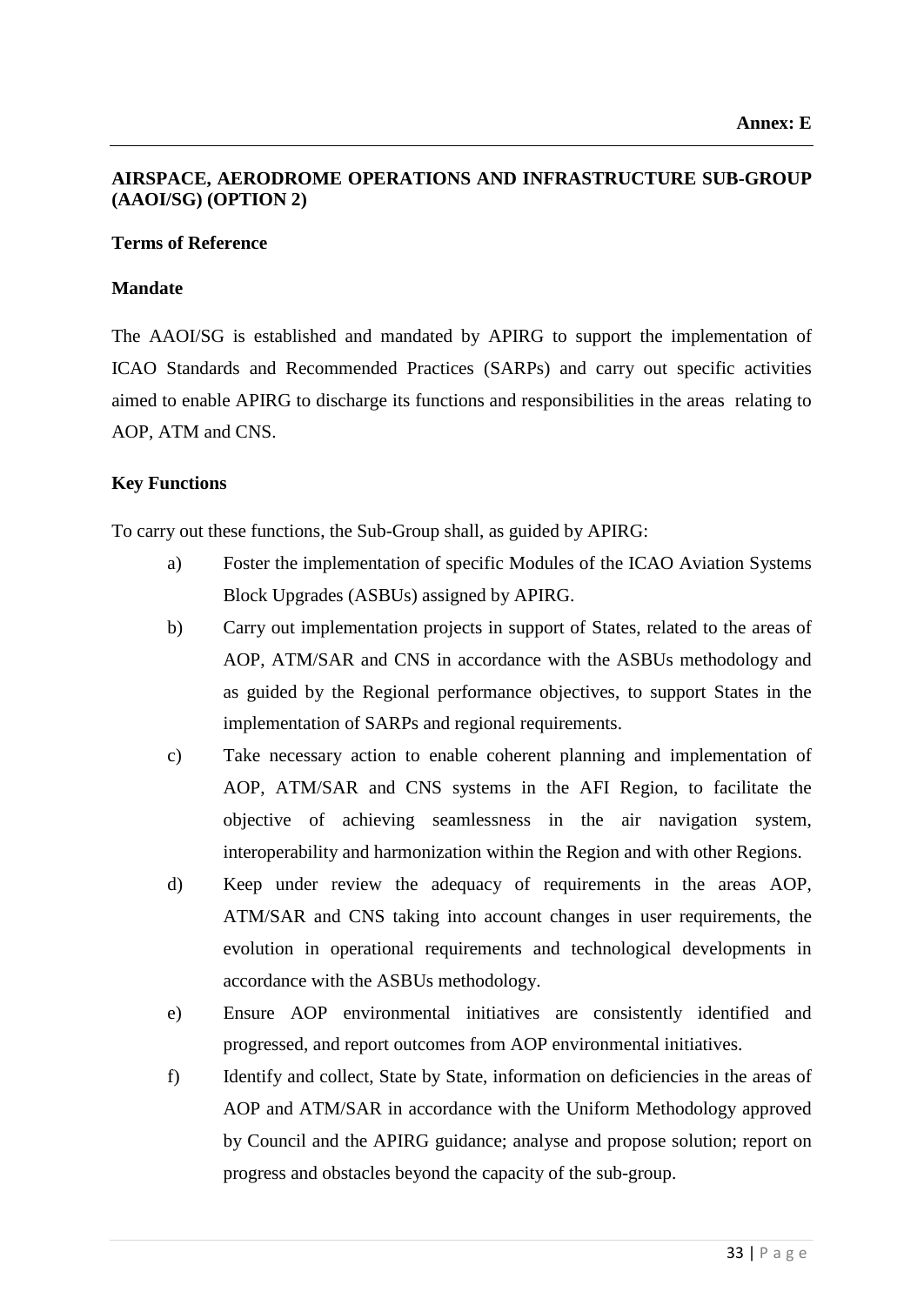### **AIRSPACE, AERODROME OPERATIONS AND INFRASTRUCTURE SUB-GROUP (AAOI/SG) (OPTION 2)**

### **Terms of Reference**

### **Mandate**

The AAOI/SG is established and mandated by APIRG to support the implementation of ICAO Standards and Recommended Practices (SARPs) and carry out specific activities aimed to enable APIRG to discharge its functions and responsibilities in the areas relating to AOP, ATM and CNS.

### **Key Functions**

To carry out these functions, the Sub-Group shall, as guided by APIRG:

- a) Foster the implementation of specific Modules of the ICAO Aviation Systems Block Upgrades (ASBUs) assigned by APIRG.
- b) Carry out implementation projects in support of States, related to the areas of AOP, ATM/SAR and CNS in accordance with the ASBUs methodology and as guided by the Regional performance objectives, to support States in the implementation of SARPs and regional requirements.
- c) Take necessary action to enable coherent planning and implementation of AOP, ATM/SAR and CNS systems in the AFI Region, to facilitate the objective of achieving seamlessness in the air navigation system, interoperability and harmonization within the Region and with other Regions.
- d) Keep under review the adequacy of requirements in the areas AOP, ATM/SAR and CNS taking into account changes in user requirements, the evolution in operational requirements and technological developments in accordance with the ASBUs methodology.
- e) Ensure AOP environmental initiatives are consistently identified and progressed, and report outcomes from AOP environmental initiatives.
- f) Identify and collect, State by State, information on deficiencies in the areas of AOP and ATM/SAR in accordance with the Uniform Methodology approved by Council and the APIRG guidance; analyse and propose solution; report on progress and obstacles beyond the capacity of the sub-group.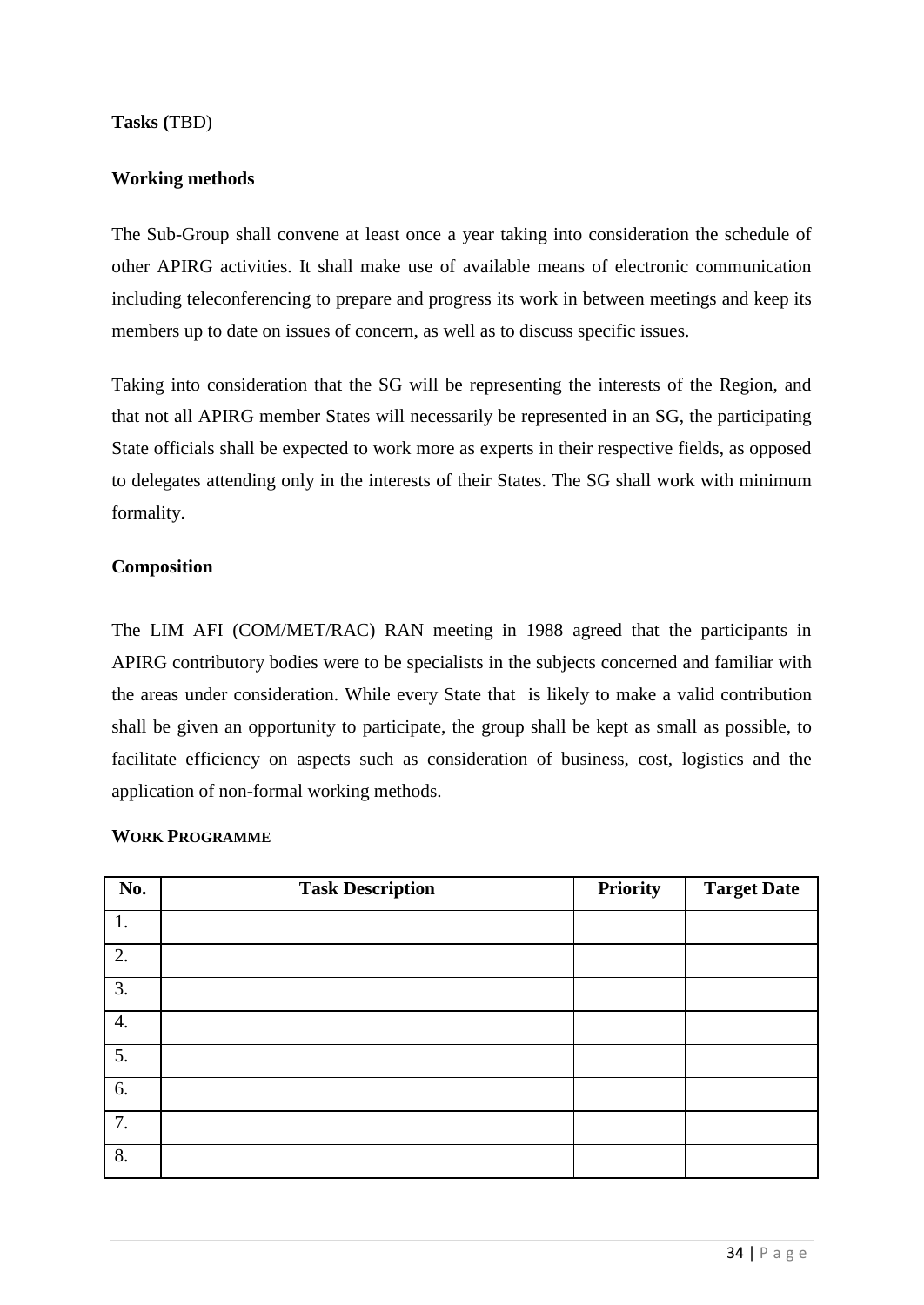### **Tasks (**TBD)

### **Working methods**

The Sub-Group shall convene at least once a year taking into consideration the schedule of other APIRG activities. It shall make use of available means of electronic communication including teleconferencing to prepare and progress its work in between meetings and keep its members up to date on issues of concern, as well as to discuss specific issues.

Taking into consideration that the SG will be representing the interests of the Region, and that not all APIRG member States will necessarily be represented in an SG, the participating State officials shall be expected to work more as experts in their respective fields, as opposed to delegates attending only in the interests of their States. The SG shall work with minimum formality.

### **Composition**

The LIM AFI (COM/MET/RAC) RAN meeting in 1988 agreed that the participants in APIRG contributory bodies were to be specialists in the subjects concerned and familiar with the areas under consideration. While every State that is likely to make a valid contribution shall be given an opportunity to participate, the group shall be kept as small as possible, to facilitate efficiency on aspects such as consideration of business, cost, logistics and the application of non-formal working methods.

| No.              | <b>Task Description</b> | <b>Priority</b> | <b>Target Date</b> |
|------------------|-------------------------|-----------------|--------------------|
| 1.               |                         |                 |                    |
| 2.               |                         |                 |                    |
| 3.               |                         |                 |                    |
| $\overline{4}$ . |                         |                 |                    |
| 5.               |                         |                 |                    |
| 6.               |                         |                 |                    |
| 7.               |                         |                 |                    |
| 8.               |                         |                 |                    |

### **WORK PROGRAMME**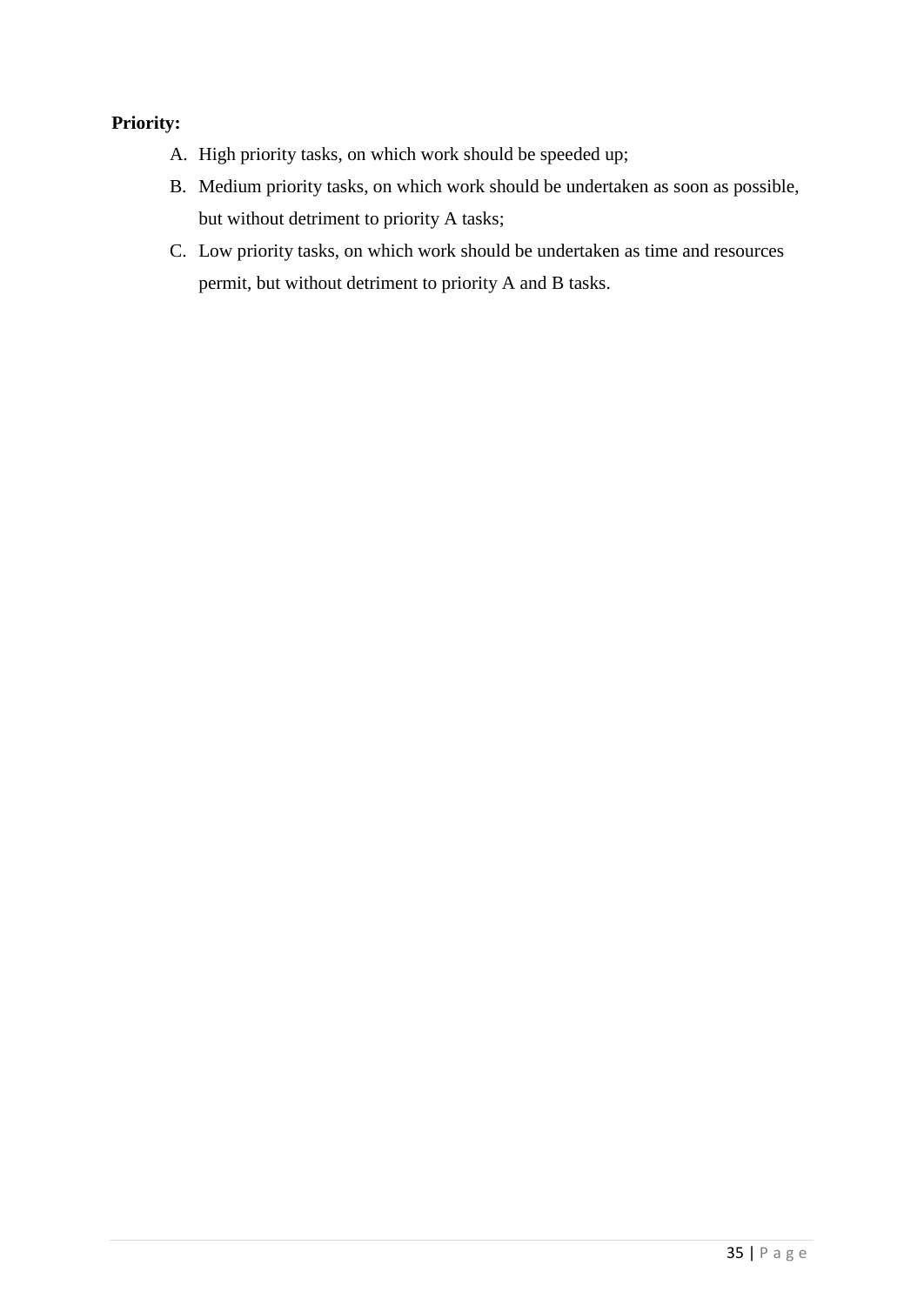## **Priority:**

- A. High priority tasks, on which work should be speeded up;
- B. Medium priority tasks, on which work should be undertaken as soon as possible, but without detriment to priority A tasks;
- C. Low priority tasks, on which work should be undertaken as time and resources permit, but without detriment to priority A and B tasks.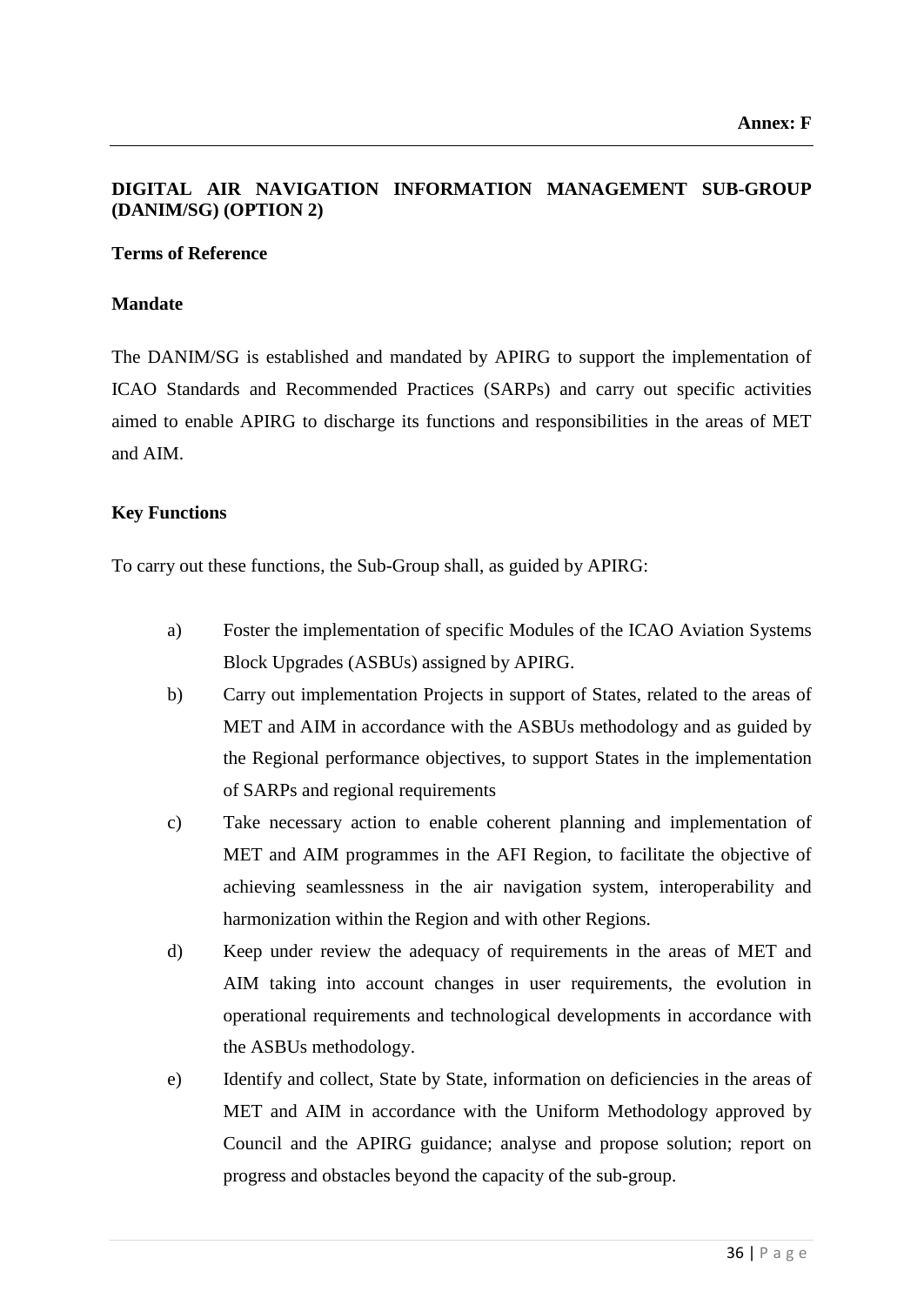## **DIGITAL AIR NAVIGATION INFORMATION MANAGEMENT SUB-GROUP (DANIM/SG) (OPTION 2)**

### **Terms of Reference**

### **Mandate**

The DANIM/SG is established and mandated by APIRG to support the implementation of ICAO Standards and Recommended Practices (SARPs) and carry out specific activities aimed to enable APIRG to discharge its functions and responsibilities in the areas of MET and AIM.

### **Key Functions**

To carry out these functions, the Sub-Group shall, as guided by APIRG:

- a) Foster the implementation of specific Modules of the ICAO Aviation Systems Block Upgrades (ASBUs) assigned by APIRG.
- b) Carry out implementation Projects in support of States, related to the areas of MET and AIM in accordance with the ASBUs methodology and as guided by the Regional performance objectives, to support States in the implementation of SARPs and regional requirements
- c) Take necessary action to enable coherent planning and implementation of MET and AIM programmes in the AFI Region, to facilitate the objective of achieving seamlessness in the air navigation system, interoperability and harmonization within the Region and with other Regions.
- d) Keep under review the adequacy of requirements in the areas of MET and AIM taking into account changes in user requirements, the evolution in operational requirements and technological developments in accordance with the ASBUs methodology.
- e) Identify and collect, State by State, information on deficiencies in the areas of MET and AIM in accordance with the Uniform Methodology approved by Council and the APIRG guidance; analyse and propose solution; report on progress and obstacles beyond the capacity of the sub-group.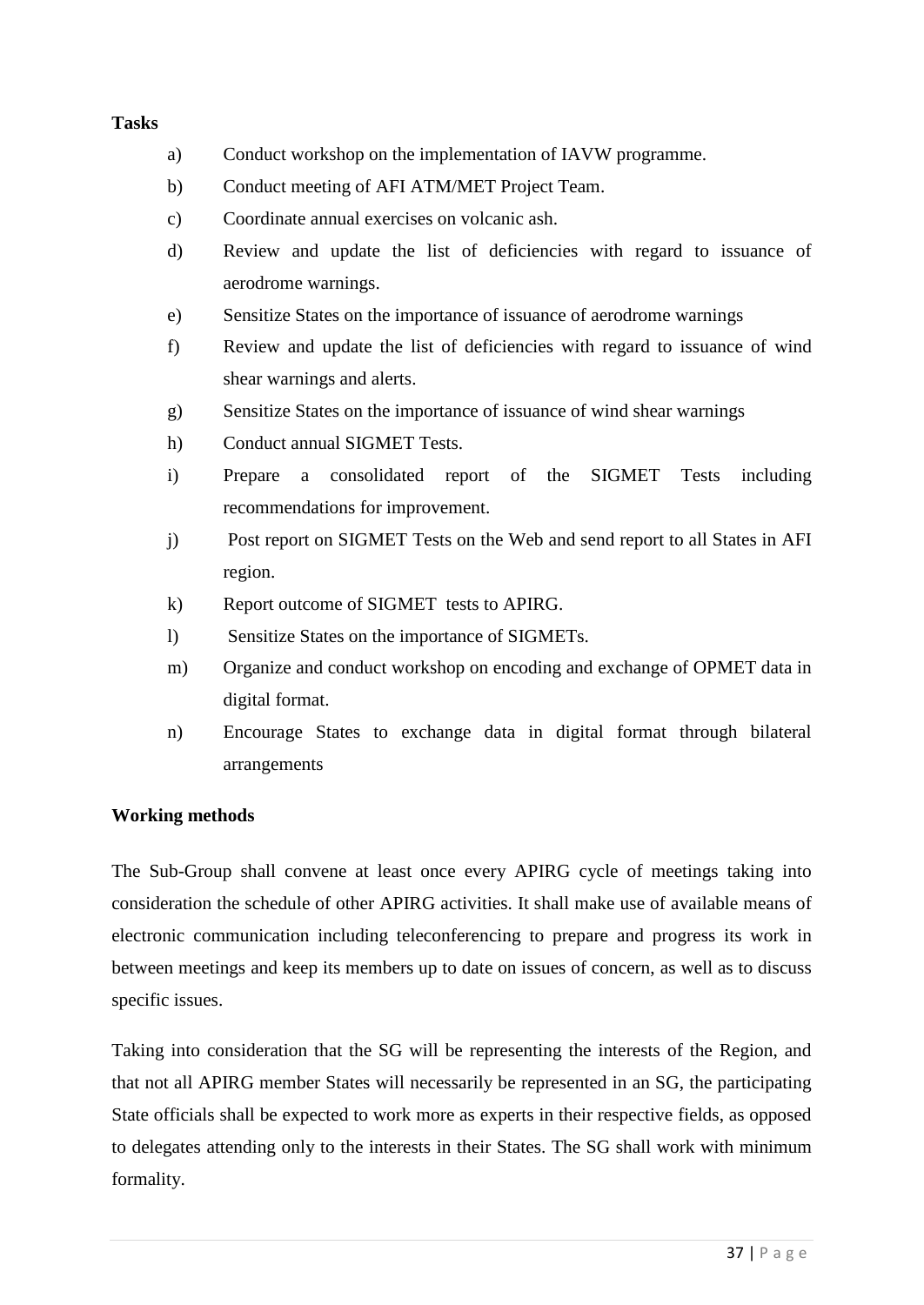### **Tasks**

- a) Conduct workshop on the implementation of IAVW programme.
- b) Conduct meeting of AFI ATM/MET Project Team.
- c) Coordinate annual exercises on volcanic ash.
- d) Review and update the list of deficiencies with regard to issuance of aerodrome warnings.
- e) Sensitize States on the importance of issuance of aerodrome warnings
- f) Review and update the list of deficiencies with regard to issuance of wind shear warnings and alerts.
- g) Sensitize States on the importance of issuance of wind shear warnings
- h) Conduct annual SIGMET Tests.
- i) Prepare a consolidated report of the SIGMET Tests including recommendations for improvement.
- j) Post report on SIGMET Tests on the Web and send report to all States in AFI region.
- k) Report outcome of SIGMET tests to APIRG.
- l) Sensitize States on the importance of SIGMETs.
- m) Organize and conduct workshop on encoding and exchange of OPMET data in digital format.
- n) Encourage States to exchange data in digital format through bilateral arrangements

### **Working methods**

The Sub-Group shall convene at least once every APIRG cycle of meetings taking into consideration the schedule of other APIRG activities. It shall make use of available means of electronic communication including teleconferencing to prepare and progress its work in between meetings and keep its members up to date on issues of concern, as well as to discuss specific issues.

Taking into consideration that the SG will be representing the interests of the Region, and that not all APIRG member States will necessarily be represented in an SG, the participating State officials shall be expected to work more as experts in their respective fields, as opposed to delegates attending only to the interests in their States. The SG shall work with minimum formality.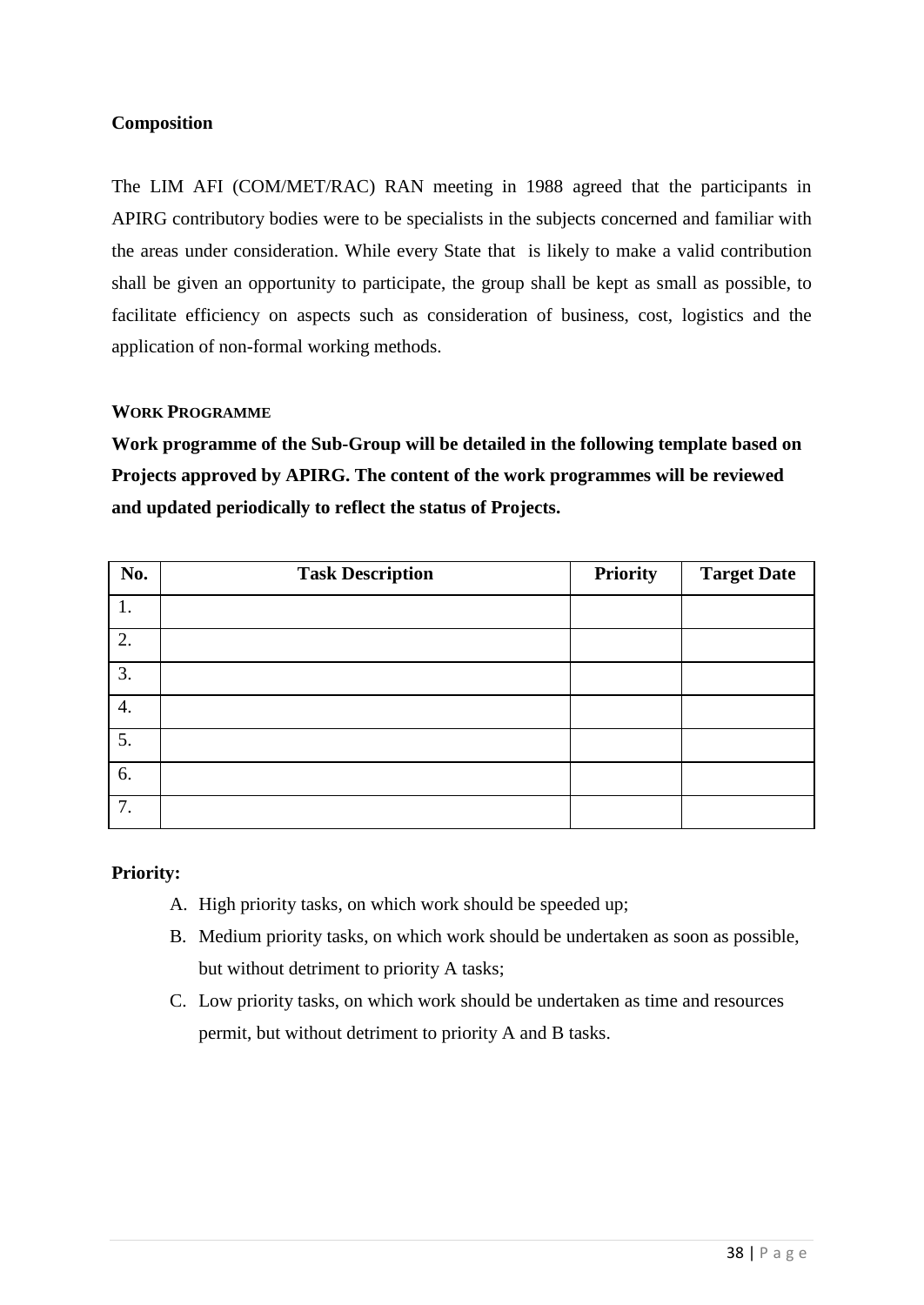### **Composition**

The LIM AFI (COM/MET/RAC) RAN meeting in 1988 agreed that the participants in APIRG contributory bodies were to be specialists in the subjects concerned and familiar with the areas under consideration. While every State that is likely to make a valid contribution shall be given an opportunity to participate, the group shall be kept as small as possible, to facilitate efficiency on aspects such as consideration of business, cost, logistics and the application of non-formal working methods.

### **WORK PROGRAMME**

**Work programme of the Sub-Group will be detailed in the following template based on Projects approved by APIRG. The content of the work programmes will be reviewed and updated periodically to reflect the status of Projects.**

| No. | <b>Task Description</b> | <b>Priority</b> | <b>Target Date</b> |
|-----|-------------------------|-----------------|--------------------|
| 1.  |                         |                 |                    |
| 2.  |                         |                 |                    |
| 3.  |                         |                 |                    |
| 4.  |                         |                 |                    |
| 5.  |                         |                 |                    |
| 6.  |                         |                 |                    |
| 7.  |                         |                 |                    |

### **Priority:**

- A. High priority tasks, on which work should be speeded up;
- B. Medium priority tasks, on which work should be undertaken as soon as possible, but without detriment to priority A tasks;
- C. Low priority tasks, on which work should be undertaken as time and resources permit, but without detriment to priority A and B tasks.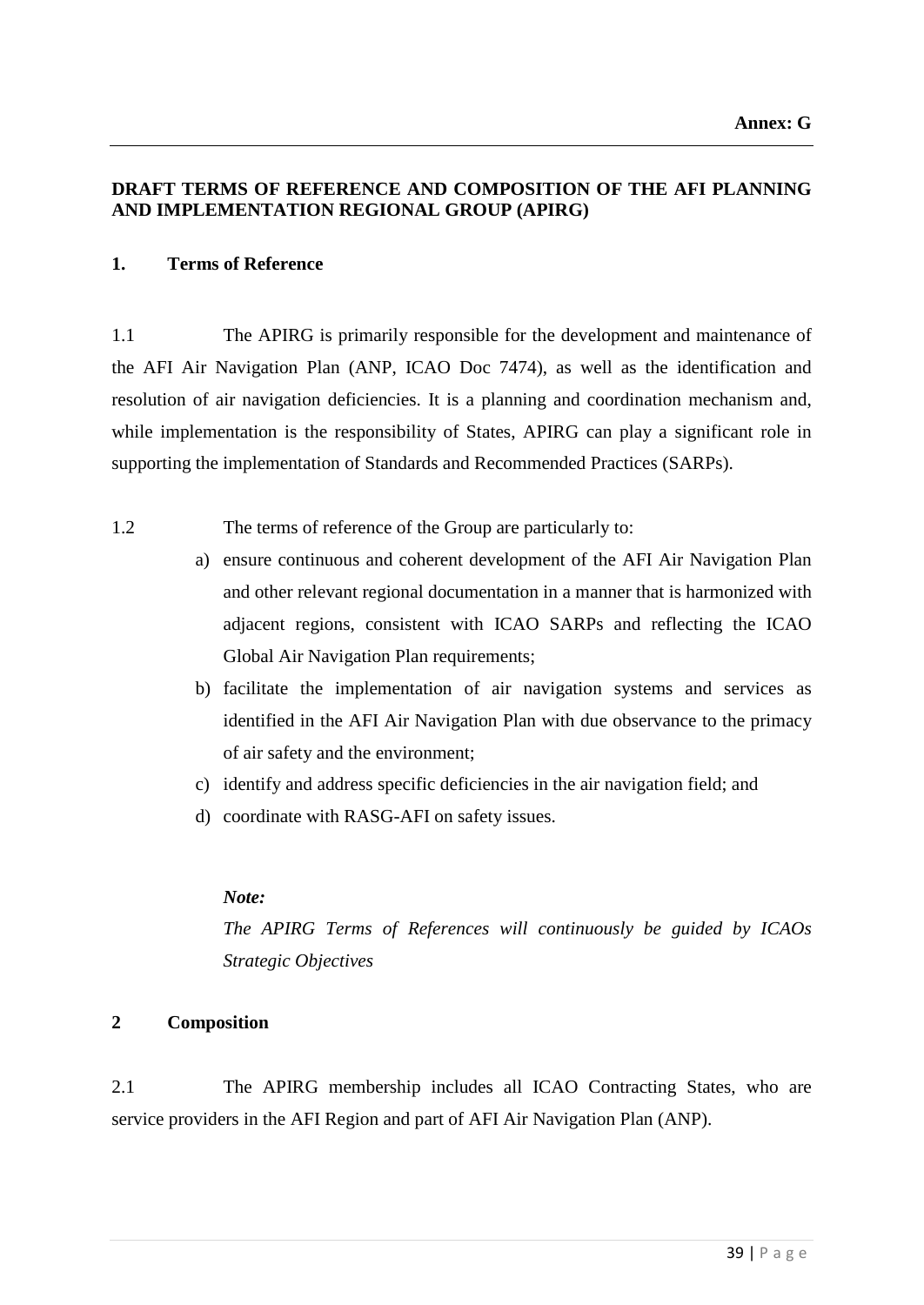### **DRAFT TERMS OF REFERENCE AND COMPOSITION OF THE AFI PLANNING AND IMPLEMENTATION REGIONAL GROUP (APIRG)**

### **1. Terms of Reference**

1.1 The APIRG is primarily responsible for the development and maintenance of the AFI Air Navigation Plan (ANP, ICAO Doc 7474), as well as the identification and resolution of air navigation deficiencies. It is a planning and coordination mechanism and, while implementation is the responsibility of States, APIRG can play a significant role in supporting the implementation of Standards and Recommended Practices (SARPs).

1.2 The terms of reference of the Group are particularly to:

- a) ensure continuous and coherent development of the AFI Air Navigation Plan and other relevant regional documentation in a manner that is harmonized with adjacent regions, consistent with ICAO SARPs and reflecting the ICAO Global Air Navigation Plan requirements;
- b) facilitate the implementation of air navigation systems and services as identified in the AFI Air Navigation Plan with due observance to the primacy of air safety and the environment;
- c) identify and address specific deficiencies in the air navigation field; and
- d) coordinate with RASG-AFI on safety issues.

### *Note:*

*The APIRG Terms of References will continuously be guided by ICAOs Strategic Objectives*

### **2 Composition**

2.1 The APIRG membership includes all ICAO Contracting States, who are service providers in the AFI Region and part of AFI Air Navigation Plan (ANP).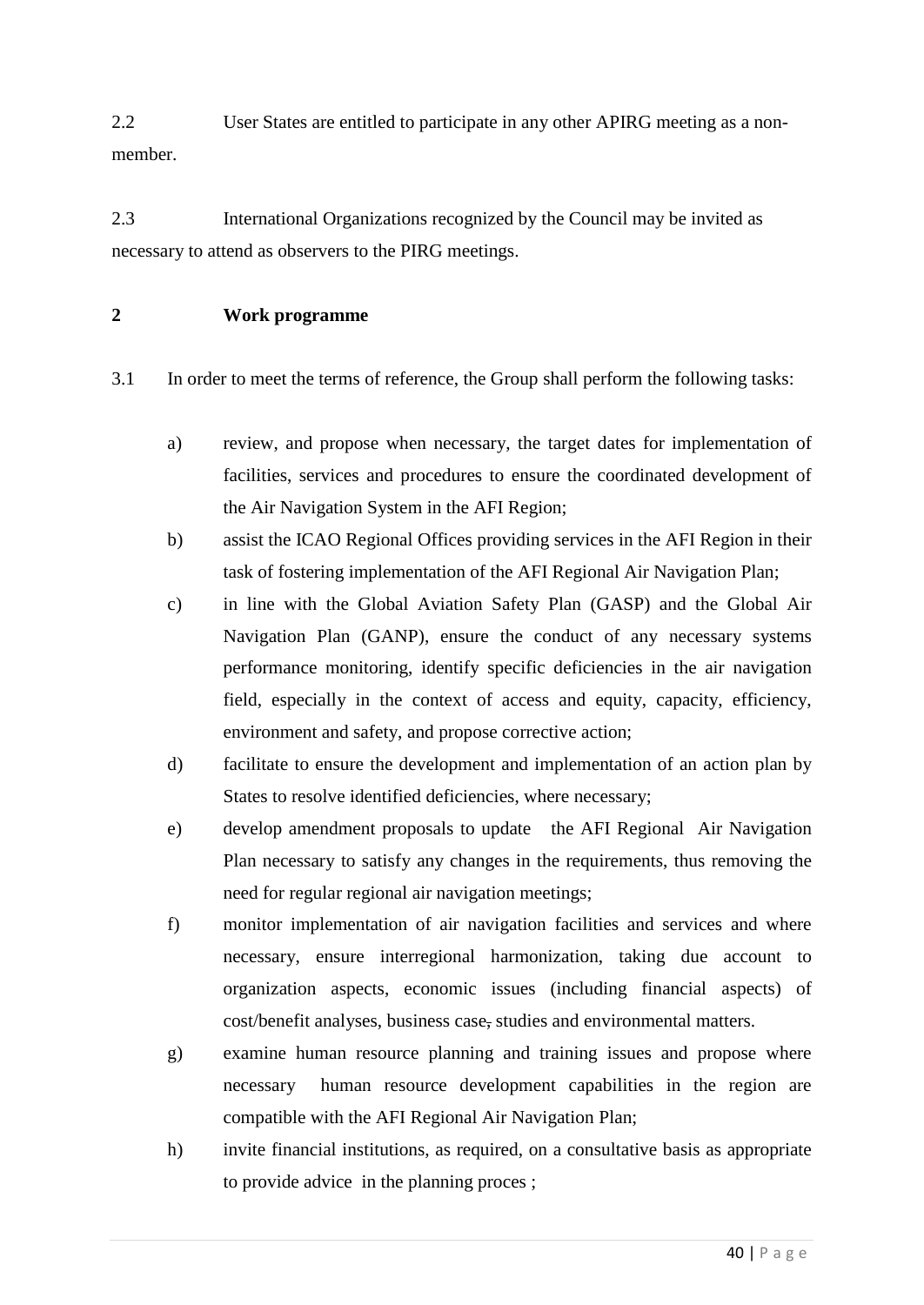2.2 User States are entitled to participate in any other APIRG meeting as a nonmember.

2.3 International Organizations recognized by the Council may be invited as necessary to attend as observers to the PIRG meetings.

### **2 Work programme**

3.1 In order to meet the terms of reference, the Group shall perform the following tasks:

- a) review, and propose when necessary, the target dates for implementation of facilities, services and procedures to ensure the coordinated development of the Air Navigation System in the AFI Region;
- b) assist the ICAO Regional Offices providing services in the AFI Region in their task of fostering implementation of the AFI Regional Air Navigation Plan;
- c) in line with the Global Aviation Safety Plan (GASP) and the Global Air Navigation Plan (GANP), ensure the conduct of any necessary systems performance monitoring, identify specific deficiencies in the air navigation field, especially in the context of access and equity, capacity, efficiency, environment and safety, and propose corrective action;
- d) facilitate to ensure the development and implementation of an action plan by States to resolve identified deficiencies, where necessary;
- e) develop amendment proposals to update the AFI Regional Air Navigation Plan necessary to satisfy any changes in the requirements, thus removing the need for regular regional air navigation meetings;
- f) monitor implementation of air navigation facilities and services and where necessary, ensure interregional harmonization, taking due account to organization aspects, economic issues (including financial aspects) of cost/benefit analyses, business case, studies and environmental matters.
- g) examine human resource planning and training issues and propose where necessary human resource development capabilities in the region are compatible with the AFI Regional Air Navigation Plan;
- h) invite financial institutions, as required, on a consultative basis as appropriate to provide advice in the planning proces ;